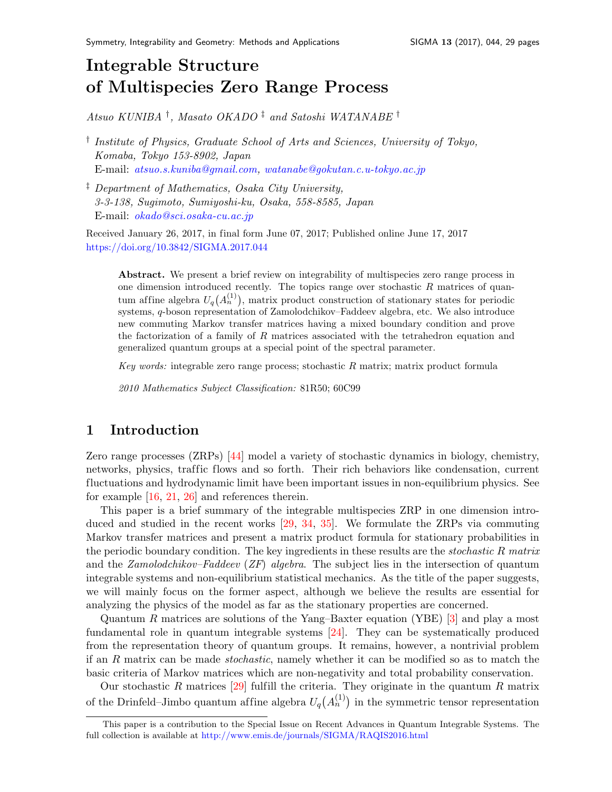# Integrable Structure of Multispecies Zero Range Proces[s](#page-0-0)

Atsuo KUNIBA † , Masato OKADO ‡ and Satoshi WATANABE †

- <sup>†</sup> Institute of Physics, Graduate School of Arts and Sciences, University of Tokyo, Komaba, Tokyo 153-8902, Japan E-mail: [atsuo.s.kuniba@gmail.com,](mailto:atsuo.s.kuniba@gmail.com) [watanabe@gokutan.c.u-tokyo.ac.jp](mailto:watanabe@gokutan.c.u-tokyo.ac.jp)
- ‡ Department of Mathematics, Osaka City University, 3-3-138, Sugimoto, Sumiyoshi-ku, Osaka, 558-8585, Japan E-mail: [okado@sci.osaka-cu.ac.jp](mailto:okado@sci.osaka-cu.ac.jp)

Received January 26, 2017, in final form June 07, 2017; Published online June 17, 2017 <https://doi.org/10.3842/SIGMA.2017.044>

Abstract. We present a brief review on integrability of multispecies zero range process in one dimension introduced recently. The topics range over stochastic  $R$  matrices of quantum affine algebra  $U_q(A_n^{(1)})$ , matrix product construction of stationary states for periodic systems, q-boson representation of Zamolodchikov–Faddeev algebra, etc. We also introduce new commuting Markov transfer matrices having a mixed boundary condition and prove the factorization of a family of  $R$  matrices associated with the tetrahedron equation and generalized quantum groups at a special point of the spectral parameter.

Key words: integrable zero range process; stochastic R matrix; matrix product formula

2010 Mathematics Subject Classification: 81R50; 60C99

# 1 Introduction

Zero range processes (ZRPs) [\[44\]](#page-28-0) model a variety of stochastic dynamics in biology, chemistry, networks, physics, traffic flows and so forth. Their rich behaviors like condensation, current fluctuations and hydrodynamic limit have been important issues in non-equilibrium physics. See for example [\[16,](#page-27-0) [21,](#page-27-1) [26\]](#page-28-1) and references therein.

This paper is a brief summary of the integrable multispecies ZRP in one dimension introduced and studied in the recent works [\[29,](#page-28-2) [34,](#page-28-3) [35\]](#page-28-4). We formulate the ZRPs via commuting Markov transfer matrices and present a matrix product formula for stationary probabilities in the periodic boundary condition. The key ingredients in these results are the *stochastic R matrix* and the Zamolodchikov–Faddeev (ZF) algebra. The subject lies in the intersection of quantum integrable systems and non-equilibrium statistical mechanics. As the title of the paper suggests, we will mainly focus on the former aspect, although we believe the results are essential for analyzing the physics of the model as far as the stationary properties are concerned.

Quantum R matrices are solutions of the Yang–Baxter equation (YBE)  $\lbrack 3\rbrack$  and play a most fundamental role in quantum integrable systems [\[24\]](#page-27-3). They can be systematically produced from the representation theory of quantum groups. It remains, however, a nontrivial problem if an R matrix can be made stochastic, namely whether it can be modified so as to match the basic criteria of Markov matrices which are non-negativity and total probability conservation.

Our stochastic R matrices  $[29]$  fulfill the criteria. They originate in the quantum R matrix of the Drinfeld–Jimbo quantum affine algebra  $U_q(A_n^{(1)})$  in the symmetric tensor representation

<span id="page-0-0"></span>This paper is a contribution to the Special Issue on Recent Advances in Quantum Integrable Systems. The full collection is available at <http://www.emis.de/journals/SIGMA/RAQIS2016.html>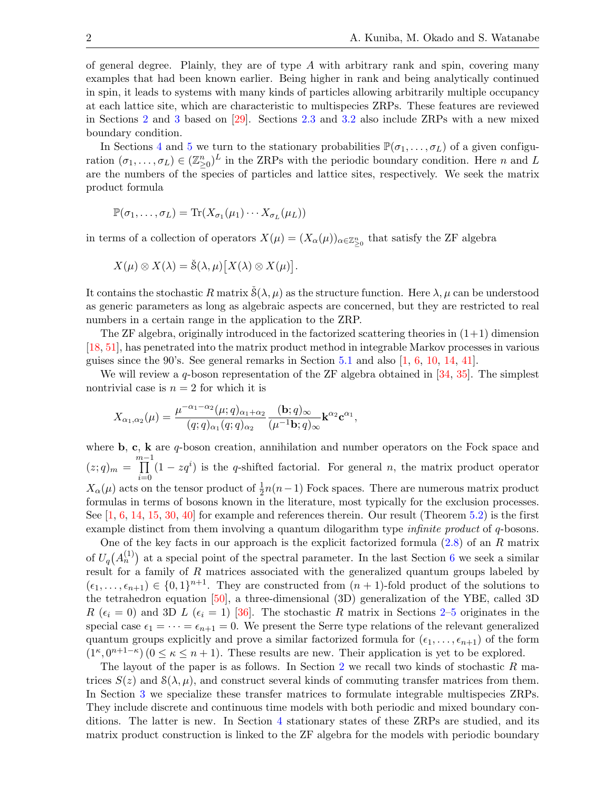of general degree. Plainly, they are of type  $A$  with arbitrary rank and spin, covering many examples that had been known earlier. Being higher in rank and being analytically continued in spin, it leads to systems with many kinds of particles allowing arbitrarily multiple occupancy at each lattice site, which are characteristic to multispecies ZRPs. These features are reviewed in Sections [2](#page-2-0) and [3](#page-6-0) based on [\[29\]](#page-28-2). Sections [2.3](#page-5-0) and [3.2](#page-8-0) also include ZRPs with a new mixed boundary condition.

In Sections [4](#page-10-0) and [5](#page-13-0) we turn to the stationary probabilities  $\mathbb{P}(\sigma_1,\ldots,\sigma_L)$  of a given configuration  $(\sigma_1,\ldots,\sigma_L) \in (\mathbb{Z}_{\geq 0}^n)^L$  in the ZRPs with the periodic boundary condition. Here n and L are the numbers of the species of particles and lattice sites, respectively. We seek the matrix product formula

$$
\mathbb{P}(\sigma_1,\ldots,\sigma_L)=\text{Tr}(X_{\sigma_1}(\mu_1)\cdots X_{\sigma_L}(\mu_L))
$$

in terms of a collection of operators  $X(\mu) = (X_{\alpha}(\mu))_{\alpha \in \mathbb{Z}_{\geq 0}^n}$  that satisfy the ZF algebra

$$
X(\mu) \otimes X(\lambda) = \check{\mathcal{S}}(\lambda, \mu) [X(\lambda) \otimes X(\mu)].
$$

It contains the stochastic R matrix  $\check{S}(\lambda, \mu)$  as the structure function. Here  $\lambda, \mu$  can be understood as generic parameters as long as algebraic aspects are concerned, but they are restricted to real numbers in a certain range in the application to the ZRP.

The ZF algebra, originally introduced in the factorized scattering theories in  $(1+1)$  dimension [\[18,](#page-27-4) [51\]](#page-28-5), has penetrated into the matrix product method in integrable Markov processes in various guises since the 90's. See general remarks in Section [5.1](#page-13-1) and also  $\left[1, 6, 10, 14, 41\right]$  $\left[1, 6, 10, 14, 41\right]$  $\left[1, 6, 10, 14, 41\right]$  $\left[1, 6, 10, 14, 41\right]$  $\left[1, 6, 10, 14, 41\right]$  $\left[1, 6, 10, 14, 41\right]$  $\left[1, 6, 10, 14, 41\right]$ .

We will review a  $q$ -boson representation of the ZF algebra obtained in [\[34,](#page-28-3) [35\]](#page-28-4). The simplest nontrivial case is  $n = 2$  for which it is

$$
X_{\alpha_1,\alpha_2}(\mu) = \frac{\mu^{-\alpha_1-\alpha_2}(\mu;q)_{\alpha_1+\alpha_2}}{(q;q)_{\alpha_1}(q;q)_{\alpha_2}} \frac{(\mathbf{b};q)_{\infty}}{(\mu^{-1}\mathbf{b};q)_{\infty}} \mathbf{k}^{\alpha_2} \mathbf{c}^{\alpha_1},
$$

where  $\mathbf{b}$ ,  $\mathbf{c}$ ,  $\mathbf{k}$  are q-boson creation, annihilation and number operators on the Fock space and  $(z;q)_m = \prod^{m-1}$  $i=0$  $(1 - zq<sup>i</sup>)$  is the q-shifted factorial. For general n, the matrix product operator  $X_{\alpha}(\mu)$  acts on the tensor product of  $\frac{1}{2}n(n-1)$  Fock spaces. There are numerous matrix product formulas in terms of bosons known in the literature, most typically for the exclusion processes. See  $[1, 6, 14, 15, 30, 40]$  $[1, 6, 14, 15, 30, 40]$  $[1, 6, 14, 15, 30, 40]$  $[1, 6, 14, 15, 30, 40]$  $[1, 6, 14, 15, 30, 40]$  $[1, 6, 14, 15, 30, 40]$  $[1, 6, 14, 15, 30, 40]$  $[1, 6, 14, 15, 30, 40]$  $[1, 6, 14, 15, 30, 40]$  $[1, 6, 14, 15, 30, 40]$  for example and references therein. Our result (Theorem [5.2\)](#page-17-0) is the first example distinct from them involving a quantum dilogarithm type *infinite product* of q-bosons.

One of the key facts in our approach is the explicit factorized formula  $(2.8)$  of an R matrix of  $U_q(A_n^{(1)})$  at a special point of the spectral parameter. In the last Section [6](#page-18-0) we seek a similar result for a family of R matrices associated with the generalized quantum groups labeled by  $(\epsilon_1,\ldots,\epsilon_{n+1}) \in \{0,1\}^{n+1}$ . They are constructed from  $(n+1)$ -fold product of the solutions to the tetrahedron equation [\[50\]](#page-28-9), a three-dimensional (3D) generalization of the YBE, called 3D R ( $\epsilon_i = 0$ ) and 3D L ( $\epsilon_i = 1$ ) [\[36\]](#page-28-10). The stochastic R matrix in Sections [2–](#page-2-0)[5](#page-13-0) originates in the special case  $\epsilon_1 = \cdots = \epsilon_{n+1} = 0$ . We present the Serre type relations of the relevant generalized quantum groups explicitly and prove a similar factorized formula for  $(\epsilon_1, \ldots, \epsilon_{n+1})$  of the form  $(1^{\kappa}, 0^{n+1-\kappa})$   $(0 \leq \kappa \leq n+1)$ . These results are new. Their application is yet to be explored.

The layout of the paper is as follows. In Section [2](#page-2-0) we recall two kinds of stochastic  $R$  matrices  $S(z)$  and  $S(\lambda, \mu)$ , and construct several kinds of commuting transfer matrices from them. In Section [3](#page-6-0) we specialize these transfer matrices to formulate integrable multispecies ZRPs. They include discrete and continuous time models with both periodic and mixed boundary conditions. The latter is new. In Section [4](#page-10-0) stationary states of these ZRPs are studied, and its matrix product construction is linked to the ZF algebra for the models with periodic boundary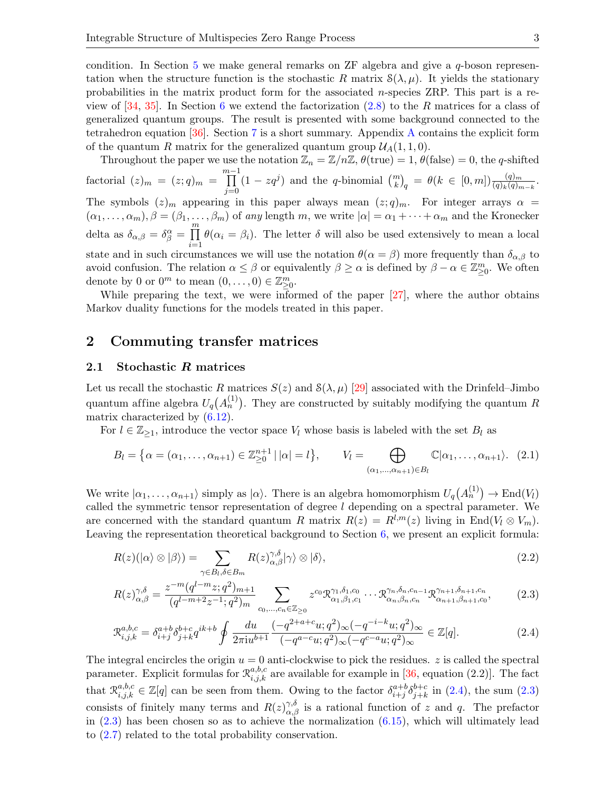condition. In Section [5](#page-13-0) we make general remarks on ZF algebra and give a  $q$ -boson representation when the structure function is the stochastic R matrix  $\mathcal{S}(\lambda, \mu)$ . It yields the stationary probabilities in the matrix product form for the associated n-species ZRP. This part is a review of  $[34, 35]$  $[34, 35]$ . In Section [6](#page-18-0) we extend the factorization  $(2.8)$  to the R matrices for a class of generalized quantum groups. The result is presented with some background connected to the tetrahedron equation [\[36\]](#page-28-10). Section [7](#page-24-0) is a short summary. Appendix [A](#page-25-0) contains the explicit form of the quantum R matrix for the generalized quantum group  $\mathcal{U}_A(1,1,0)$ .

Throughout the paper we use the notation  $\mathbb{Z}_n = \mathbb{Z}/n\mathbb{Z}$ ,  $\theta(\text{true}) = 1$ ,  $\theta(\text{false}) = 0$ , the q-shifted factorial  $(z)_m = (z;q)_m = \prod_{m=1}^{m-1}$  $j=0$  $(1 - zq^j)$  and the q-binomial  $\binom{m}{k}_q = \theta(k \in [0, m]) \frac{(q)_m}{(q)_k (q)_{m-k}}$ . The symbols  $(z)<sub>m</sub>$  appearing in this paper always mean  $(z; q)<sub>m</sub>$ . For integer arrays  $\alpha$  =  $(\alpha_1,\ldots,\alpha_m), \beta=(\beta_1,\ldots,\beta_m)$  of any length m, we write  $|\alpha|=\alpha_1+\cdots+\alpha_m$  and the Kronecker delta as  $\delta_{\alpha,\beta} = \delta_{\beta}^{\alpha} = \prod_{j=1}^{m}$  $i=1$  $\theta(\alpha_i = \beta_i)$ . The letter  $\delta$  will also be used extensively to mean a local state and in such circumstances we will use the notation  $\theta(\alpha = \beta)$  more frequently than  $\delta_{\alpha,\beta}$  to avoid confusion. The relation  $\alpha \leq \beta$  or equivalently  $\beta \geq \alpha$  is defined by  $\beta - \alpha \in \mathbb{Z}_{\geq 0}^m$ . We often denote by 0 or  $0^m$  to mean  $(0, \ldots, 0) \in \mathbb{Z}_{\geq 0}^m$ .

While preparing the text, we were informed of the paper [\[27\]](#page-28-11), where the author obtains Markov duality functions for the models treated in this paper.

# <span id="page-2-0"></span>2 Commuting transfer matrices

#### 2.1 Stochastic R matrices

Let us recall the stochastic R matrices  $S(z)$  and  $S(\lambda, \mu)$  [\[29\]](#page-28-2) associated with the Drinfeld–Jimbo quantum affine algebra  $U_q(A_n^{(1)})$ . They are constructed by suitably modifying the quantum R matrix characterized by [\(6.12\)](#page-19-0).

For  $l \in \mathbb{Z}_{\geq 1}$ , introduce the vector space  $V_l$  whose basis is labeled with the set  $B_l$  as

<span id="page-2-3"></span>
$$
B_l = \left\{ \alpha = (\alpha_1, \dots, \alpha_{n+1}) \in \mathbb{Z}_{\geq 0}^{n+1} \mid |\alpha| = l \right\}, \qquad V_l = \bigoplus_{(\alpha_1, \dots, \alpha_{n+1}) \in B_l} \mathbb{C} |\alpha_1, \dots, \alpha_{n+1} \rangle. \tag{2.1}
$$

We write  $|\alpha_1,\ldots,\alpha_{n+1}\rangle$  simply as  $|\alpha\rangle$ . There is an algebra homomorphism  $U_q(A_n^{(1)}) \to \text{End}(V_l)$ called the symmetric tensor representation of degree  $l$  depending on a spectral parameter. We are concerned with the standard quantum R matrix  $R(z) = R^{l,m}(z)$  living in End( $V_l \otimes V_m$ ). Leaving the representation theoretical background to Section [6,](#page-18-0) we present an explicit formula:

$$
R(z)(|\alpha\rangle \otimes |\beta\rangle) = \sum_{\gamma \in B_l, \delta \in B_m} R(z)_{\alpha, \beta}^{\gamma, \delta} |\gamma\rangle \otimes |\delta\rangle, \tag{2.2}
$$

<span id="page-2-2"></span>
$$
R(z)_{\alpha,\beta}^{\gamma,\delta} = \frac{z^{-m}(q^{l-m}z;q^2)_{m+1}}{(q^{l-m+2}z^{-1};q^2)_m} \sum_{c_0,\dots,c_n \in \mathbb{Z}_{\geq 0}} z^{c_0} \mathcal{R}_{\alpha_1,\beta_1,c_1}^{\gamma_1,\delta_1,c_0} \cdots \mathcal{R}_{\alpha_n,\beta_n,c_n}^{\gamma_n,\delta_n,c_{n-1}} \mathcal{R}_{\alpha_{n+1},\beta_{n+1},c_0}^{\gamma_{n+1},\delta_{n+1},c_n},\tag{2.3}
$$

<span id="page-2-1"></span>
$$
\mathcal{R}_{i,j,k}^{a,b,c} = \delta_{i+j}^{a+b} \delta_{j+k}^{b+c} q^{ik+b} \oint \frac{du}{2\pi i u^{b+1}} \frac{(-q^{2+a+c}u;q^2)_{\infty}(-q^{-i-k}u;q^2)_{\infty}}{(-q^{a-c}u;q^2)_{\infty}(-q^{c-a}u;q^2)_{\infty}} \in \mathbb{Z}[q].
$$
\n(2.4)

The integral encircles the origin  $u = 0$  anti-clockwise to pick the residues. z is called the spectral parameter. Explicit formulas for  $\mathcal{R}_{i,j,k}^{a,b,c}$  are available for example in [\[36,](#page-28-10) equation (2.2)]. The fact that  $\mathcal{R}^{a,b,c}_{i,j,k} \in \mathbb{Z}[q]$  can be seen from them. Owing to the factor  $\delta^{a+b}_{i+j} \delta^{b+c}_{j+k}$  $_{j+k}^{b+c}$  in [\(2.4\)](#page-2-1), the sum [\(2.3\)](#page-2-2) consists of finitely many terms and  $R(z)_{\alpha,\beta}^{\gamma,\delta}$  is a rational function of z and q. The prefactor in  $(2.3)$  has been chosen so as to achieve the normalization  $(6.15)$ , which will ultimately lead to [\(2.7\)](#page-3-1) related to the total probability conservation.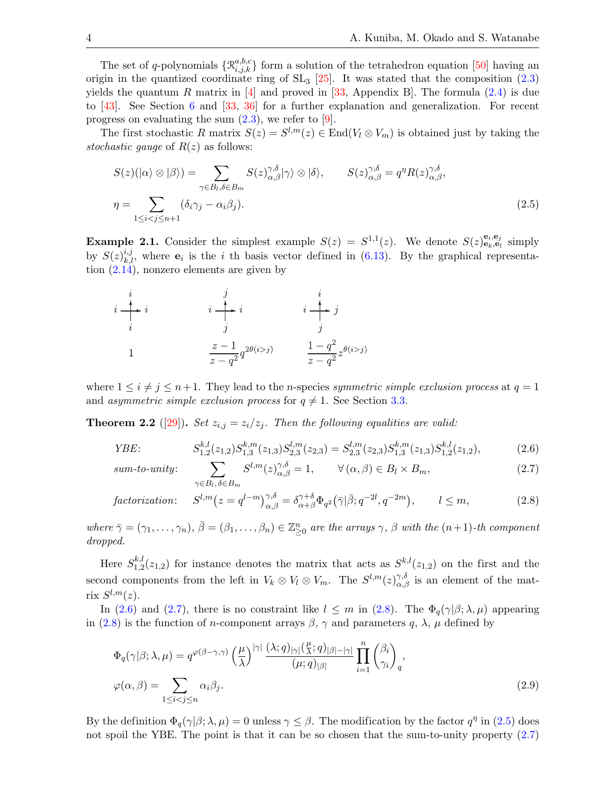The set of q-polynomials  $\{\mathcal{R}_{i,j,k}^{a,b,c}\}$  form a solution of the tetrahedron equation [\[50\]](#page-28-9) having an origin in the quantized coordinate ring of  $SL_3$  [\[25\]](#page-27-10). It was stated that the composition [\(2.3\)](#page-2-2) yields the quantum R matrix in [\[4\]](#page-27-11) and proved in [\[33,](#page-28-12) Appendix B]. The formula  $(2.4)$  is due to [\[43\]](#page-28-13). See Section [6](#page-18-0) and [\[33,](#page-28-12) [36\]](#page-28-10) for a further explanation and generalization. For recent progress on evaluating the sum  $(2.3)$ , we refer to [\[9\]](#page-27-12).

The first stochastic R matrix  $S(z) = S^{l,m}(z) \in \text{End}(V_l \otimes V_m)$  is obtained just by taking the stochastic gauge of  $R(z)$  as follows:

<span id="page-3-3"></span>
$$
S(z)(|\alpha\rangle \otimes |\beta\rangle) = \sum_{\gamma \in B_l, \delta \in B_m} S(z)_{\alpha,\beta}^{\gamma,\delta} |\gamma\rangle \otimes |\delta\rangle, \qquad S(z)_{\alpha,\beta}^{\gamma,\delta} = q^{\eta} R(z)_{\alpha,\beta}^{\gamma,\delta},
$$
  

$$
\eta = \sum_{1 \le i < j \le n+1} (\delta_i \gamma_j - \alpha_i \beta_j).
$$
\n(2.5)

<span id="page-3-5"></span>**Example 2.1.** Consider the simplest example  $S(z) = S^{1,1}(z)$ . We denote  $S(z)_{e_k, e_l}^{e_i, e_j}$  simply by  $S(z)_{k,l}^{i,j}$ , where  $e_i$  is the i th basis vector defined in [\(6.13\)](#page-19-1). By the graphical representation [\(2.14\)](#page-4-0), nonzero elements are given by

$$
i \begin{array}{ccc}\n i & j & i \\
 i & i & j \\
 i & j & j\n\end{array}
$$
\n
$$
1 \begin{array}{ccc}\n & j & i \\
 & j & j \\
 & & j & j\n\end{array}
$$
\n
$$
1 \begin{array}{ccc}\n & z-1 & q^{2\theta(i>j)} \\
 & z-q^{2} & z-q^{2} \end{array}
$$

where  $1 \leq i \neq j \leq n+1$ . They lead to the *n*-species symmetric simple exclusion process at  $q = 1$ and asymmetric simple exclusion process for  $q \neq 1$ . See Section [3.3.](#page-10-1)

**Theorem 2.2** ([\[29\]](#page-28-2)). Set  $z_{i,j} = z_i/z_j$ . Then the following equalities are valid:

*YBE*: 
$$
S_{1,2}^{k,l}(z_{1,2})S_{1,3}^{k,m}(z_{1,3})S_{2,3}^{l,m}(z_{2,3}) = S_{2,3}^{l,m}(z_{2,3})S_{1,3}^{k,m}(z_{1,3})S_{1,2}^{k,l}(z_{1,2}),
$$
(2.6)

sum-to-unity:

<span id="page-3-4"></span><span id="page-3-2"></span><span id="page-3-1"></span><span id="page-3-0"></span>
$$
\sum_{\gamma \in B_l, \delta \in B_m} S^{l,m}(z)_{\alpha,\beta}^{\gamma,\delta} = 1, \qquad \forall (\alpha,\beta) \in B_l \times B_m,
$$
\n(2.7)

$$
factorization: \quad S^{l,m}(z = q^{l-m})^{\gamma,\delta}_{\alpha,\beta} = \delta^{\gamma+\delta}_{\alpha+\beta} \Phi_{q^2}(\bar{\gamma}|\bar{\beta}; q^{-2l}, q^{-2m}), \qquad l \le m,
$$
\n
$$
(2.8)
$$

where  $\bar{\gamma} = (\gamma_1, \ldots, \gamma_n)$ ,  $\bar{\beta} = (\beta_1, \ldots, \beta_n) \in \mathbb{Z}_{\geq 0}^n$  are the arrays  $\gamma$ ,  $\beta$  with the  $(n+1)$ -th component dropped.

Here  $S^{k,l}_{1,2}$  $\frac{k,l}{1,2}(z_{1,2})$  for instance denotes the matrix that acts as  $S^{k,l}(z_{1,2})$  on the first and the second components from the left in  $V_k \otimes V_l \otimes V_m$ . The  $S^{l,m}(z)_{\alpha,\beta}^{\gamma,\delta}$  is an element of the matrix  $S^{l,m}(z)$ .

In [\(2.6\)](#page-3-2) and [\(2.7\)](#page-3-1), there is no constraint like  $l \leq m$  in [\(2.8\)](#page-3-0). The  $\Phi_q(\gamma|\beta; \lambda, \mu)$  appearing in [\(2.8\)](#page-3-0) is the function of n-component arrays  $\beta$ ,  $\gamma$  and parameters q,  $\lambda$ ,  $\mu$  defined by

$$
\Phi_q(\gamma|\beta; \lambda, \mu) = q^{\varphi(\beta-\gamma,\gamma)} \left(\frac{\mu}{\lambda}\right)^{|\gamma|} \frac{(\lambda; q)_{|\gamma|}(\frac{\mu}{\lambda}; q)_{|\beta|-|\gamma|}}{(\mu; q)_{|\beta|}} \prod_{i=1}^n \binom{\beta_i}{\gamma_i}_q,
$$
\n
$$
\varphi(\alpha, \beta) = \sum_{1 \le i < j \le n} \alpha_i \beta_j.
$$
\n
$$
(2.9)
$$

By the definition  $\Phi_q(\gamma|\beta; \lambda, \mu) = 0$  unless  $\gamma \leq \beta$ . The modification by the factor  $q^{\eta}$  in [\(2.5\)](#page-3-3) does not spoil the YBE. The point is that it can be so chosen that the sum-to-unity property  $(2.7)$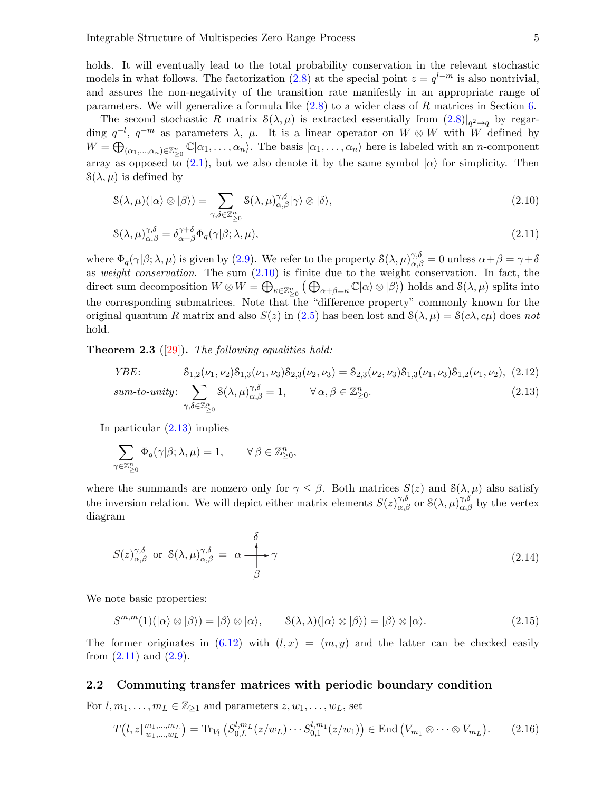holds. It will eventually lead to the total probability conservation in the relevant stochastic models in what follows. The factorization [\(2.8\)](#page-3-0) at the special point  $z = q^{l-m}$  is also nontrivial, and assures the non-negativity of the transition rate manifestly in an appropriate range of parameters. We will generalize a formula like  $(2.8)$  to a wider class of R matrices in Section [6.](#page-18-0)

The second stochastic R matrix  $S(\lambda, \mu)$  is extracted essentially from  $(2.8)|_{q^2 \to q}$  $(2.8)|_{q^2 \to q}$  $(2.8)|_{q^2 \to q}$  by regarding  $q^{-l}$ ,  $q^{-m}$  as parameters  $\lambda$ ,  $\mu$ . It is a linear operator on  $W \otimes W$  with W defined by  $W=\bigoplus_{(\alpha_1,\ldots,\alpha_n)\in\mathbb{Z}_{\geq 0}^n}\mathbb{C}|\alpha_1,\ldots,\alpha_n\rangle.$  The basis  $|\alpha_1,\ldots,\alpha_n\rangle$  here is labeled with an *n*-component array as opposed to [\(2.1\)](#page-2-3), but we also denote it by the same symbol  $|\alpha\rangle$  for simplicity. Then  $\mathcal{S}(\lambda, \mu)$  is defined by

<span id="page-4-1"></span>
$$
\mathcal{S}(\lambda,\mu)(\ket{\alpha}\otimes\ket{\beta}) = \sum_{\gamma,\delta\in\mathbb{Z}_{\geq 0}^n} \mathcal{S}(\lambda,\mu)_{\alpha,\beta}^{\gamma,\delta}|\gamma\rangle \otimes \ket{\delta},\tag{2.10}
$$

<span id="page-4-3"></span>
$$
\mathcal{S}(\lambda,\mu)_{\alpha,\beta}^{\gamma,\delta} = \delta_{\alpha+\beta}^{\gamma+\delta} \Phi_q(\gamma|\beta;\lambda,\mu),\tag{2.11}
$$

where  $\Phi_q(\gamma|\beta;\lambda,\mu)$  is given by [\(2.9\)](#page-3-4). We refer to the property  $\mathcal{S}(\lambda,\mu)_{\alpha,\beta}^{\gamma,\delta} = 0$  unless  $\alpha + \beta = \gamma + \delta$ as weight conservation. The sum  $(2.10)$  is finite due to the weight conservation. In fact, the direct sum decomposition  $W \otimes W = \bigoplus_{\kappa \in \mathbb{Z}_{\geq 0}^n} (\bigoplus_{\alpha + \beta = \kappa} \mathbb{C} | \alpha \rangle \otimes | \beta \rangle$  holds and  $\mathcal{S}(\lambda, \mu)$  splits into the corresponding submatrices. Note that the "difference property" commonly known for the original quantum R matrix and also  $S(z)$  in [\(2.5\)](#page-3-3) has been lost and  $S(\lambda, \mu) = S(c\lambda, c\mu)$  does not hold.

**Theorem 2.3** ([\[29\]](#page-28-2)). The following equalities hold:

<span id="page-4-5"></span>*YBE*: 
$$
S_{1,2}(\nu_1, \nu_2)S_{1,3}(\nu_1, \nu_3)S_{2,3}(\nu_2, \nu_3) = S_{2,3}(\nu_2, \nu_3)S_{1,3}(\nu_1, \nu_3)S_{1,2}(\nu_1, \nu_2)
$$
, (2.12)

<span id="page-4-2"></span>sum-to-unity: 
$$
\sum_{\gamma,\delta\in\mathbb{Z}_{\geq 0}^n} \mathcal{S}(\lambda,\mu)_{\alpha,\beta}^{\gamma,\delta} = 1, \qquad \forall \alpha,\beta\in\mathbb{Z}_{\geq 0}^n.
$$
 (2.13)

In particular [\(2.13\)](#page-4-2) implies

$$
\sum_{\gamma \in \mathbb{Z}_{\geq 0}^n} \Phi_q(\gamma | \beta; \lambda, \mu) = 1, \qquad \forall \beta \in \mathbb{Z}_{\geq 0}^n,
$$

where the summands are nonzero only for  $\gamma \leq \beta$ . Both matrices  $S(z)$  and  $\delta(\lambda, \mu)$  also satisfy the inversion relation. We will depict either matrix elements  $S(z)_{\alpha,\beta}^{\gamma,\delta}$  or  $\delta(\lambda,\mu)_{\alpha,\beta}^{\gamma,\delta}$  by the vertex diagram

<span id="page-4-0"></span>
$$
S(z)_{\alpha,\beta}^{\gamma,\delta} \text{ or } S(\lambda,\mu)_{\alpha,\beta}^{\gamma,\delta} = \alpha \xrightarrow{\delta} \gamma
$$
\n
$$
\beta \tag{2.14}
$$

We note basic properties:

<span id="page-4-6"></span>
$$
S^{m,m}(1)(|\alpha\rangle \otimes |\beta\rangle) = |\beta\rangle \otimes |\alpha\rangle, \qquad \mathcal{S}(\lambda,\lambda)(|\alpha\rangle \otimes |\beta\rangle) = |\beta\rangle \otimes |\alpha\rangle. \tag{2.15}
$$

The former originates in [\(6.12\)](#page-19-0) with  $(l, x) = (m, y)$  and the latter can be checked easily from  $(2.11)$  and  $(2.9)$ .

#### 2.2 Commuting transfer matrices with periodic boundary condition

For  $l, m_1, \ldots, m_L \in \mathbb{Z}_{\geq 1}$  and parameters  $z, w_1, \ldots, w_L$ , set

<span id="page-4-4"></span>
$$
T(l, z |_{w_1, \ldots, w_L}^{m_1, \ldots, m_L}) = \text{Tr}_{V_l} \left( S_{0, L}^{l, m_L}(z / w_L) \cdots S_{0, 1}^{l, m_1}(z / w_1) \right) \in \text{End} \left( V_{m_1} \otimes \cdots \otimes V_{m_L} \right). \tag{2.16}
$$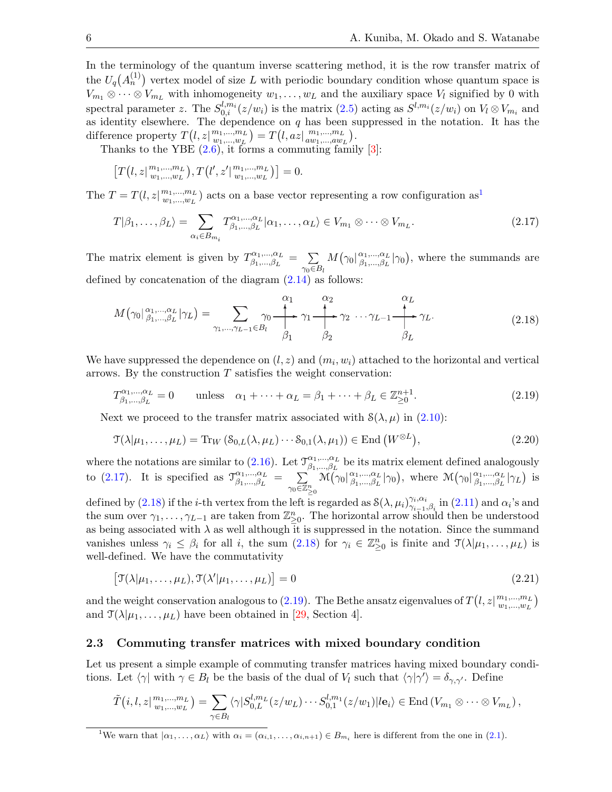In the terminology of the quantum inverse scattering method, it is the row transfer matrix of the  $U_q(A_n^{(1)})$  vertex model of size L with periodic boundary condition whose quantum space is  $V_{m_1} \otimes \cdots \otimes V_{m_L}$  with inhomogeneity  $w_1, \ldots, w_L$  and the auxiliary space  $V_l$  signified by 0 with spectral parameter z. The  $S_{0,i}^{l,m_i}(z/w_i)$  is the matrix  $(2.5)$  acting as  $S^{l,m_i}(z/w_i)$  on  $V_l \otimes V_{m_i}$  and as identity elsewhere. The dependence on  $q$  has been suppressed in the notation. It has the difference property  $T(l, z |_{w_1,\ldots,w_L}^{m_1,\ldots,m_L})$  $w_1,...,w_L$  =  $T(l, az | \frac{m_1,...,m_L}{aw_1,...,aw_L})$  $\begin{array}{c} m_1,...,m_L \\ aw_1,...,aw_L \end{array}$ .

Thanks to the YBE  $(2.6)$ , it forms a commuting family  $[3]$ :

<span id="page-5-2"></span>
$$
\left[T(l, z|_{w_1,\dots,w_L}^{m_1,\dots,m_L}), T(l', z'|_{w_1,\dots,w_L}^{m_1,\dots,m_L})\right] = 0.
$$

The  $T = T(l, z | \frac{m_1, ..., m_L}{m_1, ..., m_L})$  $w_1, \ldots, w_L$  $w_1, \ldots, w_L$  $w_1, \ldots, w_L$ ) acts on a base vector representing a row configuration as<sup>1</sup>

$$
T|\beta_1,\ldots,\beta_L\rangle = \sum_{\alpha_i \in B_{m_i}} T^{\alpha_1,\ldots,\alpha_L}_{\beta_1,\ldots,\beta_L} |\alpha_1,\ldots,\alpha_L\rangle \in V_{m_1} \otimes \cdots \otimes V_{m_L}.
$$
\n(2.17)

The matrix element is given by  $T_{\beta_1}^{\alpha_1,\dots,\alpha_L}$  $\beta_1,...,\beta_L = \sum_{l=1}^{n}$  $\gamma_0 \in B_l$  $M(\gamma_0|\frac{\alpha_1,\dots,\alpha_L}{\beta_1,\dots,\beta_L})$  $\beta_{1}, \ldots, \beta_{L} \mid \gamma_{0}$ , where the summands are defined by concatenation of the diagram  $(2.14)$  as follows:

<span id="page-5-3"></span>
$$
M(\gamma_0|\beta_1,\dots,\beta_L|\gamma_L) = \sum_{\gamma_1,\dots,\gamma_L=1 \in B_l} \gamma_0 \xrightarrow{\alpha_1} \gamma_1 \xrightarrow{\alpha_2} \gamma_2 \dots \gamma_{L-1} \xrightarrow{\alpha_L} \gamma_L.
$$
\n(2.18)

We have suppressed the dependence on  $(l, z)$  and  $(m_i, w_i)$  attached to the horizontal and vertical arrows. By the construction  $T$  satisfies the weight conservation:

<span id="page-5-4"></span>
$$
T^{\alpha_1,\dots,\alpha_L}_{\beta_1,\dots,\beta_L} = 0 \quad \text{unless} \quad \alpha_1 + \dots + \alpha_L = \beta_1 + \dots + \beta_L \in \mathbb{Z}_{\geq 0}^{n+1}.
$$
 (2.19)

Next we proceed to the transfer matrix associated with  $\mathcal{S}(\lambda, \mu)$  in [\(2.10\)](#page-4-1):

<span id="page-5-5"></span>
$$
\mathfrak{T}(\lambda|\mu_1,\ldots,\mu_L) = \text{Tr}_W\left(\mathcal{S}_{0,L}(\lambda,\mu_L)\cdots\mathcal{S}_{0,1}(\lambda,\mu_1)\right) \in \text{End}\left(W^{\otimes L}\right),\tag{2.20}
$$

where the notations are similar to [\(2.16\)](#page-4-4). Let  $\mathcal{T}_{\beta_1}^{\alpha_1,\dots,\alpha_L}$  $\beta_{1},...,\beta_{L}^{a_{1},...,\alpha_{L}}$  be its matrix element defined analogously to [\(2.17\)](#page-5-2). It is specified as  $\mathcal{T}_{\beta_1,\dots,\beta_L}^{\alpha_1,\dots,\alpha_L}$  $\alpha_1,...,\alpha_L \over \beta_1,...,\beta_L} = \sum_{\mathbb{Z}_2^n}$  $\gamma_0 \widetilde{\in} \mathbb{Z}_{\geq 0}^n$  $\mathcal{\tilde{M}}(\gamma_0|\frac{\alpha_1,\dots,\alpha_L}{\beta_1,\dots,\beta_L})$  $^{\alpha_1,...,\alpha_L}_{\beta_1,...,\beta_L}|\gamma_0\rangle$ , where  $\mathcal{M}(\gamma_0|_{\beta_1,...,\beta_L}^{\alpha_1,...,\alpha_L})$  $^{\alpha_1,...,\alpha_L}_{\beta_1,...,\beta_L}|\gamma_L\rangle$  is

defined by [\(2.18\)](#page-5-3) if the *i*-th vertex from the left is regarded as  $\mathcal{S}(\lambda, \mu_i)_{\gamma_{i-1}}^{\gamma_i, \alpha_i}$  $\gamma_{i-1}^{\gamma_i,\alpha_i}$  in  $(2.11)$  and  $\alpha_i$ 's and the sum over  $\gamma_1, \ldots, \gamma_{L-1}$  are taken from  $\mathbb{Z}_{\geq 0}^n$ . The horizontal arrow should then be understood as being associated with  $\lambda$  as well although it is suppressed in the notation. Since the summand vanishes unless  $\gamma_i \leq \beta_i$  for all i, the sum  $(2.18)$  for  $\gamma_i \in \mathbb{Z}_{\geq 0}^n$  is finite and  $\mathcal{T}(\lambda | \mu_1, \ldots, \mu_L)$  is well-defined. We have the commutativity

<span id="page-5-6"></span>
$$
[\mathfrak{T}(\lambda|\mu_1,\ldots,\mu_L),\mathfrak{T}(\lambda'|\mu_1,\ldots,\mu_L)]=0
$$
\n(2.21)

and the weight conservation analogous to [\(2.19\)](#page-5-4). The Bethe ansatz eigenvalues of  $T(l, z|_{m_1,\ldots,m_L}^{m_1,\ldots,m_L}$  $\binom{m_1,...,m_L}{w_1,...,w_L}$ and  $\mathcal{T}(\lambda|\mu_1,\ldots,\mu_L)$  have been obtained in [\[29,](#page-28-2) Section 4].

## <span id="page-5-0"></span>2.3 Commuting transfer matrices with mixed boundary condition

Let us present a simple example of commuting transfer matrices having mixed boundary conditions. Let  $\langle \gamma |$  with  $\gamma \in B_l$  be the basis of the dual of  $V_l$  such that  $\langle \gamma | \gamma' \rangle = \delta_{\gamma, \gamma'}$ . Define

$$
\tilde{T}(i,l,z|\substack{m_1,\ldots,m_L\\w_1,\ldots,w_L})=\sum_{\gamma\in B_l}\langle\gamma|S_{0,L}^{l,m_L}(z/w_L)\cdots S_{0,1}^{l,m_1}(z/w_1)|l\mathbf{e}_i\rangle\in \mathrm{End}\left(V_{m_1}\otimes\cdots\otimes V_{m_L}\right),
$$

<span id="page-5-1"></span><sup>1</sup>We warn that  $|\alpha_1,\ldots,\alpha_L\rangle$  with  $\alpha_i = (\alpha_{i,1},\ldots,\alpha_{i,n+1}) \in B_{m_i}$  here is different from the one in [\(2.1\)](#page-2-3).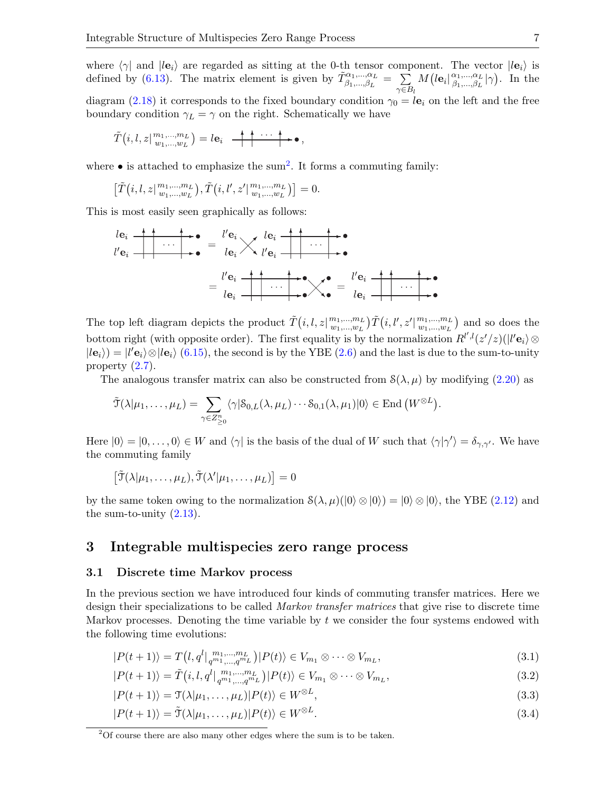where  $\langle \gamma |$  and  $|l\mathbf{e}_i \rangle$  are regarded as sitting at the 0-th tensor component. The vector  $|l\mathbf{e}_i \rangle$  is defined by [\(6.13\)](#page-19-1). The matrix element is given by  $\tilde{T}^{\alpha_1,...,\alpha_L}_{\beta_1,...,\beta_L} = \sum_{\epsilon,\epsilon}$  $\gamma \in B_l$  $M\left(l\mathbf{e}_i\right|_{\beta_1,\dots,\beta_L}^{\alpha_1,\dots,\alpha_L}$  $^{\alpha_1,...,\alpha_L}_{\beta_1,...,\beta_L}|\gamma)$ . In the diagram [\(2.18\)](#page-5-3) it corresponds to the fixed boundary condition  $\gamma_0 = l\mathbf{e}_i$  on the left and the free boundary condition  $\gamma_L = \gamma$  on the right. Schematically we have

$$
\tilde{T}(i, l, z |_{w_1, \ldots, w_L}^{m_1, \ldots, m_L}) = l \mathbf{e}_i \quad \begin{array}{c} \begin{array}{c} \hline \text{+} \\ \text{+} \end{array} & \cdots \end{array} \begin{array}{c} \hline \text{+} \\ \text{+} \end{array},
$$

where  $\bullet$  is attached to emphasize the sum<sup>[2](#page-6-1)</sup>. It forms a commuting family:

$$
\left[\tilde{T}(i, l, z |_{w_1, \ldots, w_L}^{m_1, \ldots, m_L}), \tilde{T}(i, l', z' |_{w_1, \ldots, w_L}^{m_1, \ldots, m_L})\right] = 0.
$$

This is most easily seen graphically as follows:

$$
\begin{aligned}\n\begin{array}{c}\n\log \frac{1}{l}\n\end{array} &\longrightarrow \text{ } \\
\begin{array}{c}\n\log \frac{1}{l}\n\end{array} &\longrightarrow \text{ } \\
\begin{array}{c}\n\log \frac{1}{l}\n\end{array} &\longrightarrow \text{ } \\
\begin{array}{c}\n\log \frac{1}{l}\n\end{array} &\longrightarrow \text{ } \\
\begin{array}{c}\n\log \frac{1}{l}\n\end{array} &\longrightarrow \text{ } \\
\begin{array}{c}\n\log \frac{1}{l}\n\end{array} &\longrightarrow \text{ } \\
\begin{array}{c}\n\log \frac{1}{l}\n\end{array} &\longrightarrow \text{ } \\
\begin{array}{c}\n\log \frac{1}{l}\n\end{array} &\longrightarrow \text{ } \\
\begin{array}{c}\n\log \frac{1}{l}\n\end{array} &\longrightarrow \text{ } \\
\begin{array}{c}\n\log \frac{1}{l}\n\end{array} &\longrightarrow \text{ } \\
\begin{array}{c}\n\log \frac{1}{l}\n\end{array} &\longrightarrow \text{ } \\
\begin{array}{c}\n\log \frac{1}{l}\n\end{array} &\longrightarrow \text{ } \\
\begin{array}{c}\n\log \frac{1}{l}\n\end{array} &\longrightarrow \text{ } \\
\begin{array}{c}\n\log \frac{1}{l}\n\end{array} &\longrightarrow \text{ } \\
\begin{array}{c}\n\log \frac{1}{l}\n\end{array} &\longrightarrow \text{ } \\
\begin{array}{c}\n\log \frac{1}{l}\n\end{array} &\longrightarrow \text{ } \\
\begin{array}{c}\n\log \frac{1}{l}\n\end{array} &\longrightarrow \text{ } \\
\begin{array}{c}\n\log \frac{1}{l}\n\end{array} &\longrightarrow \text{ } \\
\begin{array}{c}\n\log \frac{1}{l}\n\end{array} &\longrightarrow \text{ } \\
\begin{array}{c}\n\log \frac{1}{l}\n\end{array} &\longrightarrow \text{ } \\
\begin{array}{c}\n\log \frac{1}{l}\n\end{array} &\longrightarrow \text{ } \\
\begin{array}{c}\n\log \frac{1}{l}\n\end{array} &\longrightarrow \text{ } \\
\begin{array}{c}\n\log \frac{1}{l}\n\end{array} &\longrightarrow \text{ } \\
\begin{array}{c}\n\log \frac{1}{l}
$$

The top left diagram depicts the product  $\tilde{T}(i, l, z |_{m_1,\ldots,m_L}^{m_1,\ldots,m_L}$  $\big( m_1,...,m_L \atop w_1,...,w_L \big) \tilde{T} \big( i, l', z' \big| \, \substack{m_1,...,m_L \ m_1,...,w_L}$  $\binom{m_1,\ldots,m_L}{w_1,\ldots,w_L}$  and so does the bottom right (with opposite order). The first equality is by the normalization  $R^{l',l}(z'/z)(|l'e_i\rangle \otimes$  $|le_i\rangle = |l'e_i\rangle \otimes |le_i\rangle$  [\(6.15\)](#page-20-0), the second is by the YBE [\(2.6\)](#page-3-2) and the last is due to the sum-to-unity property [\(2.7\)](#page-3-1).

The analogous transfer matrix can also be constructed from  $S(\lambda, \mu)$  by modifying [\(2.20\)](#page-5-5) as

$$
\tilde{\mathcal{T}}(\lambda|\mu_1,\ldots,\mu_L)=\sum_{\gamma\in Z_{\geq 0}^n}\langle \gamma| \mathcal{S}_{0,L}(\lambda,\mu_L)\cdots \mathcal{S}_{0,1}(\lambda,\mu_1)|0\rangle\in \mathrm{End}\left(W^{\otimes L}\right).
$$

Here  $|0\rangle = |0,\ldots,0\rangle \in W$  and  $\langle \gamma |$  is the basis of the dual of W such that  $\langle \gamma | \gamma' \rangle = \delta_{\gamma,\gamma'}$ . We have the commuting family

$$
\left[\tilde{\mathcal{T}}(\lambda|\mu_1,\ldots,\mu_L),\tilde{\mathcal{T}}(\lambda'|\mu_1,\ldots,\mu_L)\right]=0
$$

by the same token owing to the normalization  $S(\lambda, \mu)(0) \otimes |0\rangle = |0\rangle \otimes |0\rangle$ , the YBE [\(2.12\)](#page-4-5) and the sum-to-unity  $(2.13)$ .

# <span id="page-6-0"></span>3 Integrable multispecies zero range process

#### <span id="page-6-6"></span>3.1 Discrete time Markov process

In the previous section we have introduced four kinds of commuting transfer matrices. Here we design their specializations to be called *Markov transfer matrices* that give rise to discrete time Markov processes. Denoting the time variable by  $t$  we consider the four systems endowed with the following time evolutions:

<span id="page-6-2"></span>
$$
|P(t+1)\rangle = T(l, q^l \mid_{q^{m_1}, \dots, q^{m_L}}^{\dots, m_L}) |P(t)\rangle \in V_{m_1} \otimes \dots \otimes V_{m_L},
$$
\n(3.1)

<span id="page-6-4"></span>
$$
|P(t+1)\rangle = \tilde{T}(i, l, q^l |_{q^{m_1}, \dots, q^{m_L}}) |P(t)\rangle \in V_{m_1} \otimes \dots \otimes V_{m_L},
$$
\n(3.2)

<span id="page-6-5"></span><span id="page-6-3"></span>
$$
|P(t+1)\rangle = \mathfrak{T}(\lambda|\mu_1,\ldots,\mu_L)|P(t)\rangle \in W^{\otimes L},\tag{3.3}
$$

$$
|P(t+1)\rangle = \tilde{\mathcal{T}}(\lambda|\mu_1,\dots,\mu_L)|P(t)\rangle \in W^{\otimes L}.
$$
\n(3.4)

<span id="page-6-1"></span> $2^2$ Of course there are also many other edges where the sum is to be taken.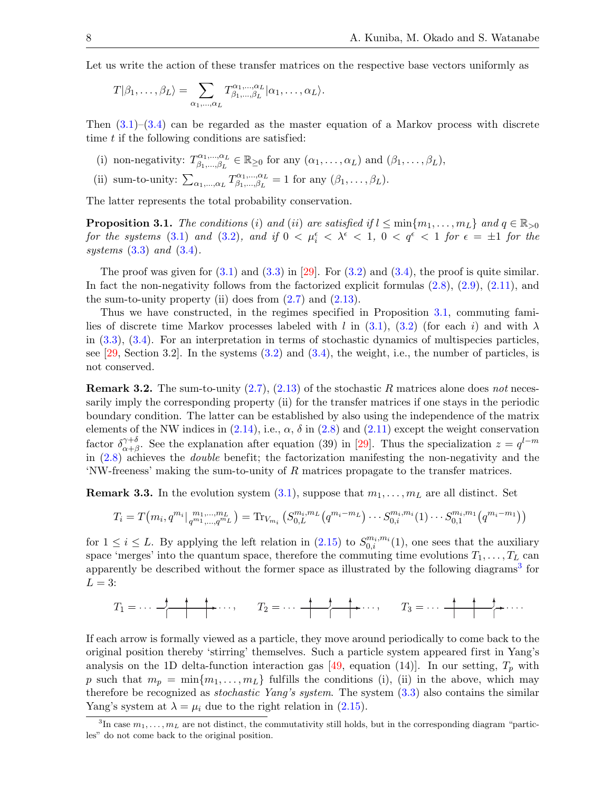Let us write the action of these transfer matrices on the respective base vectors uniformly as

$$
T|\beta_1,\ldots,\beta_L\rangle=\sum_{\alpha_1,\ldots,\alpha_L}T^{\alpha_1,\ldots,\alpha_L}_{\beta_1,\ldots,\beta_L}|\alpha_1,\ldots,\alpha_L\rangle.
$$

Then  $(3.1)$ – $(3.4)$  can be regarded as the master equation of a Markov process with discrete time  $t$  if the following conditions are satisfied:

- (i) non-negativity:  $T_{\beta_1}^{\alpha_1,\dots,\alpha_L}$  $\beta_{\beta_1,\dots,\beta_L}^{\alpha_1,\dots,\alpha_L} \in \mathbb{R}_{\geq 0}$  for any  $(\alpha_1,\dots,\alpha_L)$  and  $(\beta_1,\dots,\beta_L)$ ,
- (ii) sum-to-unity:  $\sum_{\alpha_1,\dots,\alpha_L} T^{\alpha_1,\dots,\alpha_L}_{\beta_1,\dots,\beta_L}$  $\beta_{1},...,\beta_{L}^{\alpha_{1},...,\alpha_{L}}=1$  for any  $(\beta_{1},...,\beta_{L}).$

The latter represents the total probability conservation.

<span id="page-7-0"></span>**Proposition 3.1.** The conditions (i) and (ii) are satisfied if  $l \leq \min\{m_1, \ldots, m_L\}$  and  $q \in \mathbb{R}_{>0}$ for the systems [\(3.1\)](#page-6-2) and [\(3.2\)](#page-6-4), and if  $0 < \mu_i^{\epsilon} < \lambda^{\epsilon} < 1$ ,  $0 < q^{\epsilon} < 1$  for  $\epsilon = \pm 1$  for the systems  $(3.3)$  and  $(3.4)$ .

The proof was given for  $(3.1)$  and  $(3.3)$  in [\[29\]](#page-28-2). For  $(3.2)$  and  $(3.4)$ , the proof is quite similar. In fact the non-negativity follows from the factorized explicit formulas [\(2.8\)](#page-3-0), [\(2.9\)](#page-3-4), [\(2.11\)](#page-4-3), and the sum-to-unity property (ii) does from  $(2.7)$  and  $(2.13)$ .

Thus we have constructed, in the regimes specified in Proposition [3.1,](#page-7-0) commuting fami-lies of discrete time Markov processes labeled with l in [\(3.1\)](#page-6-2), [\(3.2\)](#page-6-4) (for each i) and with  $\lambda$ in [\(3.3\)](#page-6-5), [\(3.4\)](#page-6-3). For an interpretation in terms of stochastic dynamics of multispecies particles, see  $[29, Section 3.2]$ . In the systems  $(3.2)$  and  $(3.4)$ , the weight, i.e., the number of particles, is not conserved.

<span id="page-7-2"></span>**Remark 3.2.** The sum-to-unity  $(2.7)$ ,  $(2.13)$  of the stochastic R matrices alone does not necessarily imply the corresponding property (ii) for the transfer matrices if one stays in the periodic boundary condition. The latter can be established by also using the independence of the matrix elements of the NW indices in  $(2.14)$ , i.e.,  $\alpha$ ,  $\delta$  in  $(2.8)$  and  $(2.11)$  except the weight conservation factor  $\delta_{\alpha+\beta}^{\gamma+\delta}$  $\gamma^{+\delta}_{\alpha+\beta}$ . See the explanation after equation (39) in [\[29\]](#page-28-2). Thus the specialization  $z = q^{l-m}$ in  $(2.8)$  achieves the *double* benefit; the factorization manifesting the non-negativity and the 'NW-freeness' making the sum-to-unity of R matrices propagate to the transfer matrices.

**Remark 3.3.** In the evolution system  $(3.1)$ , suppose that  $m_1, \ldots, m_L$  are all distinct. Set

$$
T_i = T(m_i, q^{m_i} |_{q^{m_1}, \dots, q^{m_L}}) = \text{Tr}_{V_{m_i}} \left( S_{0, L}^{m_i, m_L} \left( q^{m_i - m_L} \right) \dots S_{0, i}^{m_i, m_i} (1) \dots S_{0, 1}^{m_i, m_1} \left( q^{m_i - m_1} \right) \right)
$$

for  $1 \leq i \leq L$ . By applying the left relation in  $(2.15)$  to  $S_{0,i}^{m_i,m_i}(1)$ , one sees that the auxiliary space 'merges' into the quantum space, therefore the commuting time evolutions  $T_1, \ldots, T_L$  can apparently be described without the former space as illustrated by the following diagrams<sup>[3](#page-7-1)</sup> for  $L = 3$ :

$$
T_1 = \cdots \xrightarrow{\uparrow} \xrightarrow{\uparrow} \xrightarrow{\uparrow} \cdots, \qquad T_2 = \cdots \xrightarrow{\uparrow} \xrightarrow{\uparrow} \xrightarrow{\uparrow} \cdots, \qquad T_3 = \cdots \xrightarrow{\uparrow} \xrightarrow{\uparrow} \xrightarrow{\uparrow} \cdots
$$

If each arrow is formally viewed as a particle, they move around periodically to come back to the original position thereby 'stirring' themselves. Such a particle system appeared first in Yang's analysis on the 1D delta-function interaction gas [\[49,](#page-28-14) equation (14)]. In our setting,  $T_p$  with p such that  $m_p = \min\{m_1, \ldots, m_L\}$  fulfills the conditions (i), (ii) in the above, which may therefore be recognized as *stochastic Yang's system*. The system  $(3.3)$  also contains the similar Yang's system at  $\lambda = \mu_i$  due to the right relation in [\(2.15\)](#page-4-6).

<span id="page-7-1"></span><sup>&</sup>lt;sup>3</sup>In case  $m_1, \ldots, m_L$  are not distinct, the commutativity still holds, but in the corresponding diagram "particles" do not come back to the original position.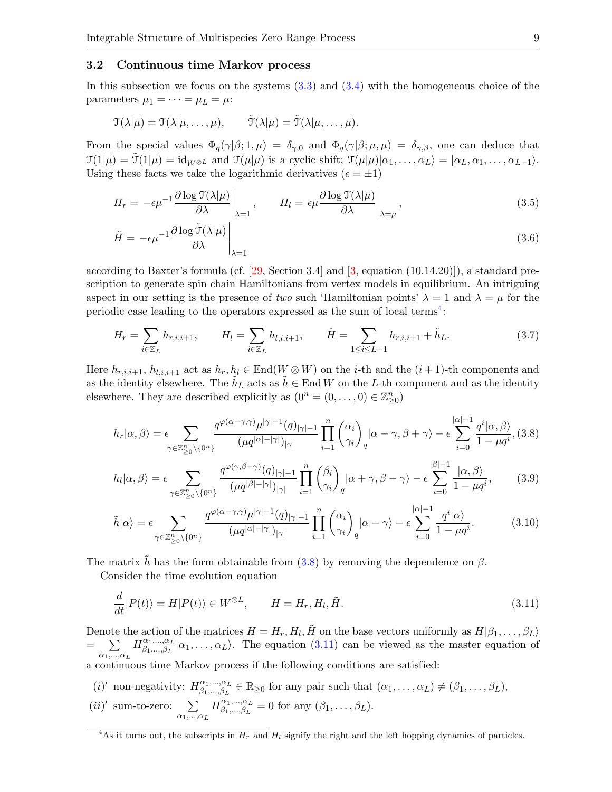#### <span id="page-8-0"></span>3.2 Continuous time Markov process

In this subsection we focus on the systems [\(3.3\)](#page-6-5) and [\(3.4\)](#page-6-3) with the homogeneous choice of the parameters  $\mu_1 = \cdots = \mu_L = \mu$ :

$$
\mathfrak{T}(\lambda|\mu) = \mathfrak{T}(\lambda|\mu,\ldots,\mu), \qquad \tilde{\mathfrak{T}}(\lambda|\mu) = \tilde{\mathfrak{T}}(\lambda|\mu,\ldots,\mu).
$$

From the special values  $\Phi_q(\gamma|\beta;1,\mu) = \delta_{\gamma,0}$  and  $\Phi_q(\gamma|\beta;\mu,\mu) = \delta_{\gamma,\beta}$ , one can deduce that  $\mathcal{T}(1|\mu) = \tilde{\mathcal{T}}(1|\mu) = id_{W\otimes L}$  and  $\mathcal{T}(\mu|\mu)$  is a cyclic shift;  $\mathcal{T}(\mu|\mu)|\alpha_1,\ldots,\alpha_L\rangle = |\alpha_L,\alpha_1,\ldots,\alpha_{L-1}\rangle$ . Using these facts we take the logarithmic derivatives ( $\epsilon = \pm 1$ )

<span id="page-8-5"></span>
$$
H_r = -\epsilon \mu^{-1} \frac{\partial \log \mathcal{T}(\lambda|\mu)}{\partial \lambda} \bigg|_{\lambda=1}, \qquad H_l = \epsilon \mu \frac{\partial \log \mathcal{T}(\lambda|\mu)}{\partial \lambda} \bigg|_{\lambda=\mu}, \tag{3.5}
$$

$$
\tilde{H} = -\epsilon \mu^{-1} \frac{\partial \log \tilde{\mathcal{T}}(\lambda|\mu)}{\partial \lambda} \bigg|_{\lambda=1} \tag{3.6}
$$

according to Baxter's formula (cf.  $[29, \text{Section 3.4}]$  and  $[3, \text{ equation } (10.14.20)]$ ), a standard prescription to generate spin chain Hamiltonians from vertex models in equilibrium. An intriguing aspect in our setting is the presence of two such 'Hamiltonian points'  $\lambda = 1$  and  $\lambda = \mu$  for the periodic case leading to the operators expressed as the sum of local terms<sup>[4](#page-8-1)</sup>:

<span id="page-8-7"></span>
$$
H_r = \sum_{i \in \mathbb{Z}_L} h_{r,i,i+1}, \qquad H_l = \sum_{i \in \mathbb{Z}_L} h_{l,i,i+1}, \qquad \tilde{H} = \sum_{1 \le i \le L-1} h_{r,i,i+1} + \tilde{h}_L.
$$
 (3.7)

Here  $h_{r,i,i+1}, h_{l,i,i+1}$  act as  $h_r, h_l \in \text{End}(W \otimes W)$  on the *i*-th and the  $(i+1)$ -th components and as the identity elsewhere. The  $\tilde{h}_L$  acts as  $\tilde{h} \in \text{End } W$  on the L-th component and as the identity elsewhere. They are described explicitly as  $(0^n = (0, \ldots, 0) \in \mathbb{Z}_{\geq 0}^n)$ 

<span id="page-8-2"></span>
$$
h_r|\alpha,\beta\rangle = \epsilon \sum_{\gamma \in \mathbb{Z}_{\geq 0}^n \backslash \{0^n\}} \frac{q^{\varphi(\alpha-\gamma,\gamma)} \mu^{|\gamma|-1}(q)_{|\gamma|-1}}{(\mu q^{|\alpha|-|\gamma|})_{|\gamma|}} \prod_{i=1}^n \binom{\alpha_i}{\gamma_i}_q |\alpha-\gamma,\beta+\gamma\rangle - \epsilon \sum_{i=0}^{|\alpha|-1} \frac{q^i |\alpha,\beta\rangle}{1-\mu q^i}, (3.8)
$$

<span id="page-8-6"></span>
$$
h_l|\alpha,\beta\rangle = \epsilon \sum_{\gamma \in \mathbb{Z}_{\geq 0}^n \backslash \{0^n\}} \frac{q^{\varphi(\gamma,\beta-\gamma)}(q)_{|\gamma|-1}}{(\mu q^{|\beta|-|\gamma|})_{|\gamma|}} \prod_{i=1}^n \binom{\beta_i}{\gamma_i}_q |\alpha+\gamma,\beta-\gamma\rangle - \epsilon \sum_{i=0}^{|\beta|-1} \frac{|\alpha,\beta\rangle}{1-\mu q^i},\tag{3.9}
$$

<span id="page-8-4"></span>
$$
\tilde{h}|\alpha\rangle = \epsilon \sum_{\gamma \in \mathbb{Z}_{\geq 0}^n \backslash \{0^n\}} \frac{q^{\varphi(\alpha - \gamma, \gamma)} \mu^{|\gamma| - 1}(q)_{|\gamma| - 1}}{(\mu q^{|\alpha| - |\gamma|})_{|\gamma|}} \prod_{i = 1}^n \binom{\alpha_i}{\gamma_i}_q |\alpha - \gamma\rangle - \epsilon \sum_{i = 0}^{|\alpha| - 1} \frac{q^i |\alpha\rangle}{1 - \mu q^i}.
$$
 (3.10)

The matrix h has the form obtainable from [\(3.8\)](#page-8-2) by removing the dependence on  $\beta$ .

Consider the time evolution equation

<span id="page-8-3"></span>
$$
\frac{d}{dt}|P(t)\rangle = H|P(t)\rangle \in W^{\otimes L}, \qquad H = H_r, H_l, \tilde{H}.
$$
\n(3.11)

Denote the action of the matrices  $H = H_r, H_l, \tilde{H}$  on the base vectors uniformly as  $H|\beta_1,\ldots,\beta_L\rangle$ =  $\sum$  $\alpha_1, \ldots, \alpha_L$  $H^{\alpha_1,...,\alpha_L}_{\beta_1,\cdots,\beta_L}$  $\beta_{1},...,\beta_{L}$   $\alpha_{1},...,\alpha_{L}$ . The equation [\(3.11\)](#page-8-3) can be viewed as the master equation of a continuous time Markov process if the following conditions are satisfied:

(*i*)' non-negativity:  $H^{\alpha_1,...,\alpha_L}_{\beta_1,\dots,\beta_L}$  $\alpha_1, ..., \alpha_L \atop \beta_1, ..., \beta_L \in \mathbb{R}_{\geq 0}$  for any pair such that  $(\alpha_1, ..., \alpha_L) \neq (\beta_1, ..., \beta_L)$ ,  $(ii)'$  sum-to-zero:  $\sum$  $\alpha_1,\ldots,\alpha_L$  $H^{\alpha_1,...,\alpha_L}_{\beta_1,\cdots,\beta_L}$  $\beta_1,...,\beta_L \atop \beta_1,...,\beta_L=0$  for any  $(\beta_1,...,\beta_L).$ 

<span id="page-8-1"></span><sup>&</sup>lt;sup>4</sup>As it turns out, the subscripts in  $H_r$  and  $H_l$  signify the right and the left hopping dynamics of particles.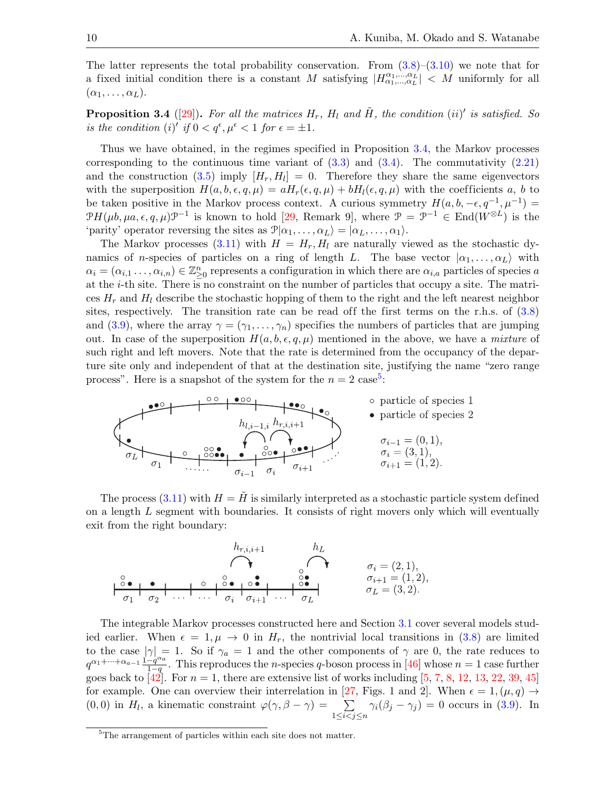The latter represents the total probability conservation. From  $(3.8)$ – $(3.10)$  we note that for a fixed initial condition there is a constant M satisfying  $|H_{\alpha_1,...,\alpha_L}^{\alpha_1,...,\alpha_L}| < M$  uniformly for all  $(\alpha_1, \ldots, \alpha_L).$ 

<span id="page-9-0"></span>**Proposition 3.4** ([\[29\]](#page-28-2)). For all the matrices  $H_r$ ,  $H_l$  and  $\tilde{H}$ , the condition (ii)' is satisfied. So is the condition (i)' if  $0 < q^{\epsilon}, \mu^{\epsilon} < 1$  for  $\epsilon = \pm 1$ .

Thus we have obtained, in the regimes specified in Proposition [3.4,](#page-9-0) the Markov processes corresponding to the continuous time variant of  $(3.3)$  and  $(3.4)$ . The commutativity  $(2.21)$ and the construction  $(3.5)$  imply  $[H_r, H_l] = 0$ . Therefore they share the same eigenvectors with the superposition  $H(a, b, \epsilon, q, \mu) = aH_r(\epsilon, q, \mu) + bH_l(\epsilon, q, \mu)$  with the coefficients a, b to be taken positive in the Markov process context. A curious symmetry  $H(a, b, -\epsilon, q^{-1}, \mu^{-1}) =$  $\mathcal{P}H(\mu b, \mu a, \epsilon, q, \mu)\mathcal{P}^{-1}$  is known to hold [\[29,](#page-28-2) Remark 9], where  $\mathcal{P} = \mathcal{P}^{-1} \in \text{End}(W^{\otimes L})$  is the 'parity' operator reversing the sites as  $\mathcal{P}|\alpha_1,\ldots,\alpha_L\rangle = |\alpha_L,\ldots,\alpha_1\rangle$ .

The Markov processes [\(3.11\)](#page-8-3) with  $H = H_r, H_l$  are naturally viewed as the stochastic dynamics of n-species of particles on a ring of length L. The base vector  $|\alpha_1, \ldots, \alpha_L\rangle$  with  $\alpha_i = (\alpha_{i,1}, \ldots, \alpha_{i,n}) \in \mathbb{Z}_{\geq 0}^n$  represents a configuration in which there are  $\alpha_{i,a}$  particles of species a at the i-th site. There is no constraint on the number of particles that occupy a site. The matrices  $H_r$  and  $H_l$  describe the stochastic hopping of them to the right and the left nearest neighbor sites, respectively. The transition rate can be read off the first terms on the r.h.s. of  $(3.8)$ and [\(3.9\)](#page-8-6), where the array  $\gamma = (\gamma_1, \ldots, \gamma_n)$  specifies the numbers of particles that are jumping out. In case of the superposition  $H(a, b, \epsilon, q, \mu)$  mentioned in the above, we have a *mixture* of such right and left movers. Note that the rate is determined from the occupancy of the departure site only and independent of that at the destination site, justifying the name "zero range process". Here is a snapshot of the system for the  $n = 2 \text{ case}^5$  $n = 2 \text{ case}^5$ :



The process  $(3.11)$  with  $H = H$  is similarly interpreted as a stochastic particle system defined on a length L segment with boundaries. It consists of right movers only which will eventually exit from the right boundary:

$$
\begin{array}{ccc}\n & h_{r,i,i+1} & h_L \\
\hline\n\end{array}\n\qquad \qquad\n\begin{array}{ccc}\n & h_{r,i+1} & h_L \\
\hline\n\end{array}\n\qquad \qquad\n\begin{array}{ccc}\n & \sigma_i = (2,1), \\
\sigma_{i+1} = (1,2), \\
\sigma_L = (3,2).\n\end{array}
$$

The integrable Markov processes constructed here and Section [3.1](#page-6-6) cover several models studied earlier. When  $\epsilon = 1, \mu \to 0$  in  $H_r$ , the nontrivial local transitions in [\(3.8\)](#page-8-2) are limited to the case  $|\gamma|=1$ . So if  $\gamma_a=1$  and the other components of  $\gamma$  are 0, the rate reduces to  $q^{\alpha_1 + \dots + \alpha_{a-1}} \frac{1-q^{\alpha_a}}{1-q}$  $\frac{-q^{\alpha}a}{1-q}$ . This reproduces the *n*-species q-boson process in [\[46\]](#page-28-15) whose  $n=1$  case further goes back to  $\left[42\right]$ . For  $n = 1$ , there are extensive list of works including [\[5,](#page-27-13) [7,](#page-27-14) [8,](#page-27-15) [12,](#page-27-16) [13,](#page-27-17) [22,](#page-27-18) [39,](#page-28-17) [45\]](#page-28-18) for example. One can overview their interrelation in [\[27,](#page-28-11) Figs. 1 and 2]. When  $\epsilon = 1, (\mu, q) \rightarrow$  $(0,0)$  in  $H_l$ , a kinematic constraint  $\varphi(\gamma,\beta-\gamma) = \sum$  $1 \leq i < j \leq n$  $\gamma_i(\beta_j - \gamma_j) = 0$  occurs in [\(3.9\)](#page-8-6). In

<span id="page-9-1"></span><sup>&</sup>lt;sup>5</sup>The arrangement of particles within each site does not matter.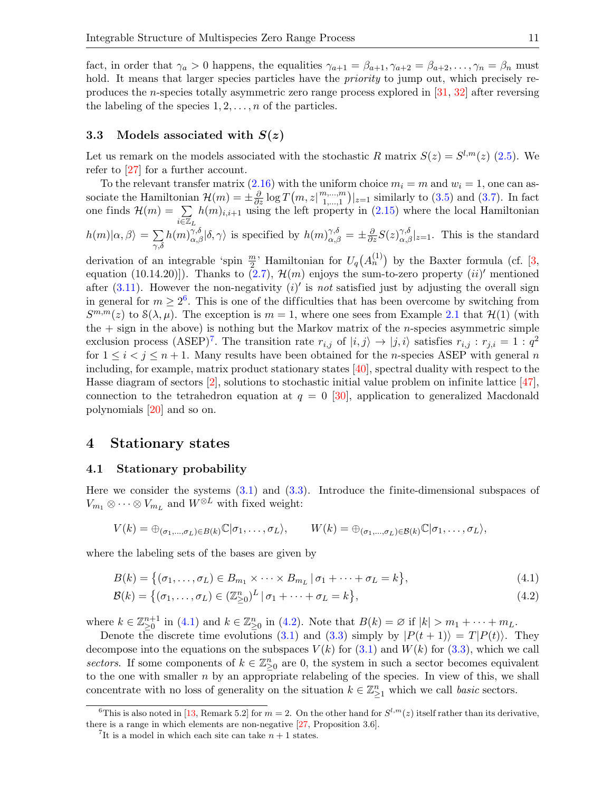fact, in order that  $\gamma_a > 0$  happens, the equalities  $\gamma_{a+1} = \beta_{a+1}, \gamma_{a+2} = \beta_{a+2}, \ldots, \gamma_n = \beta_n$  must hold. It means that larger species particles have the *priority* to jump out, which precisely reproduces the n-species totally asymmetric zero range process explored in [\[31,](#page-28-19) [32\]](#page-28-20) after reversing the labeling of the species  $1, 2, \ldots, n$  of the particles.

### <span id="page-10-1"></span>3.3 Models associated with  $S(z)$

Let us remark on the models associated with the stochastic R matrix  $S(z) = S^{l,m}(z)$  [\(2.5\)](#page-3-3). We refer to [\[27\]](#page-28-11) for a further account.

To the relevant transfer matrix  $(2.16)$  with the uniform choice  $m_i = m$  and  $w_i = 1$ , one can associate the Hamiltonian  $\mathcal{H}(m) = \pm \frac{\partial}{\partial z} \log T(m, z | \substack{m, \ldots, m \\ 1, \ldots, 1})$  $\sum_{1,...,1}^{n,...,m}$  |<sub>z=1</sub> similarly to [\(3.5\)](#page-8-5) and [\(3.7\)](#page-8-7). In fact one finds  $\mathcal{H}(m) = \sum$  $\vec{{\mathcal{E}}}\overline{\mathbb{Z}}_L$  $h(m)_{i,i+1}$  using the left property in  $(2.15)$  where the local Hamiltonian  $h(m)|\alpha,\beta\rangle = \sum$  $_{\gamma,\delta}$  $h(m)_{\alpha,\beta}^{\gamma,\delta}|\delta,\gamma\rangle$  is specified by  $h(m)_{\alpha,\beta}^{\gamma,\delta} = \pm \frac{\partial}{\partial z} S(z)_{\alpha,\beta}^{\gamma,\delta}|_{z=1}$ . This is the standard

derivation of an integrable 'spin  $\frac{m}{2}$ ' Hamiltonian for  $U_q(A_n^{(1)})$  by the Baxter formula (cf. [\[3,](#page-27-2) equation (10.14.20)]). Thanks to  $(2.7)$ ,  $\mathcal{H}(m)$  enjoys the sum-to-zero property  $(ii)'$  mentioned after  $(3.11)$ . However the non-negativity  $(i)'$  is not satisfied just by adjusting the overall sign in general for  $m \geq 2^6$  $m \geq 2^6$ . This is one of the difficulties that has been overcome by switching from  $S^{m,m}(z)$  to  $\mathcal{S}(\lambda,\mu)$ . The exception is  $m=1$ , where one sees from Example [2.1](#page-3-5) that  $\mathcal{H}(1)$  (with the  $+$  sign in the above) is nothing but the Markov matrix of the *n*-species asymmetric simple exclusion process (ASEP)<sup>[7](#page-10-3)</sup>. The transition rate  $r_{i,j}$  of  $|i,j\rangle \rightarrow |j,i\rangle$  satisfies  $r_{i,j} : r_{j,i} = 1 : q^2$ for  $1 \leq i \leq j \leq n+1$ . Many results have been obtained for the *n*-species ASEP with general *n* including, for example, matrix product stationary states [\[40\]](#page-28-8), spectral duality with respect to the Hasse diagram of sectors [\[2\]](#page-27-19), solutions to stochastic initial value problem on infinite lattice [\[47\]](#page-28-21), connection to the tetrahedron equation at  $q = 0$  [\[30\]](#page-28-7), application to generalized Macdonald polynomials [\[20\]](#page-27-20) and so on.

## <span id="page-10-0"></span>4 Stationary states

#### <span id="page-10-6"></span>4.1 Stationary probability

Here we consider the systems [\(3.1\)](#page-6-2) and [\(3.3\)](#page-6-5). Introduce the finite-dimensional subspaces of  $V_{m_1} \otimes \cdots \otimes V_{m_L}$  and  $W^{\otimes L}$  with fixed weight:

$$
V(k) = \bigoplus_{(\sigma_1,\ldots,\sigma_L)\in B(k)} \mathbb{C}|\sigma_1,\ldots,\sigma_L\rangle, \qquad W(k) = \bigoplus_{(\sigma_1,\ldots,\sigma_L)\in B(k)} \mathbb{C}|\sigma_1,\ldots,\sigma_L\rangle,
$$

where the labeling sets of the bases are given by

<span id="page-10-4"></span>
$$
B(k) = \{(\sigma_1, \dots, \sigma_L) \in B_{m_1} \times \dots \times B_{m_L} \mid \sigma_1 + \dots + \sigma_L = k\},\tag{4.1}
$$

<span id="page-10-5"></span>
$$
\mathcal{B}(k) = \left\{ (\sigma_1, \dots, \sigma_L) \in (\mathbb{Z}_{\geq 0}^n)^L \, | \, \sigma_1 + \dots + \sigma_L = k \right\},\tag{4.2}
$$

where  $k \in \mathbb{Z}_{\geq 0}^{n+1}$  in [\(4.1\)](#page-10-4) and  $k \in \mathbb{Z}_{\geq 0}^n$  in [\(4.2\)](#page-10-5). Note that  $B(k) = \emptyset$  if  $|k| > m_1 + \cdots + m_L$ .

Denote the discrete time evolutions [\(3.1\)](#page-6-2) and [\(3.3\)](#page-6-5) simply by  $|P(t + 1)\rangle = T|P(t)\rangle$ . They decompose into the equations on the subspaces  $V(k)$  for [\(3.1\)](#page-6-2) and  $W(k)$  for [\(3.3\)](#page-6-5), which we call sectors. If some components of  $k \in \mathbb{Z}_{\geq 0}^n$  are 0, the system in such a sector becomes equivalent to the one with smaller  $n$  by an appropriate relabeling of the species. In view of this, we shall concentrate with no loss of generality on the situation  $k \in \mathbb{Z}_{\geq 1}^n$  which we call *basic* sectors.

<span id="page-10-2"></span><sup>&</sup>lt;sup>6</sup>This is also noted in [\[13,](#page-27-17) Remark 5.2] for  $m = 2$ . On the other hand for  $S^{l,m}(z)$  itself rather than its derivative, there is a range in which elements are non-negative [\[27,](#page-28-11) Proposition 3.6].

<span id="page-10-3"></span><sup>&</sup>lt;sup>7</sup>It is a model in which each site can take  $n + 1$  states.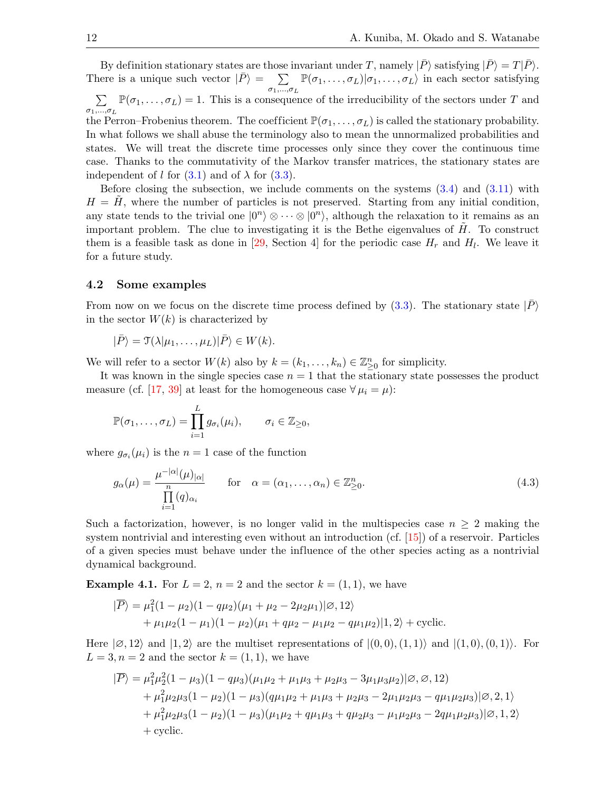By definition stationary states are those invariant under T, namely  $|\bar{P}\rangle$  satisfying  $|\bar{P}\rangle = T|\bar{P}\rangle$ . There is a unique such vector  $|\bar{P}\rangle = \sum$  $\sigma_1,...,\sigma_L$  $\mathbb{P}(\sigma_1,\ldots,\sigma_L)|\sigma_1,\ldots,\sigma_L\rangle$  in each sector satisfying  $\sum$  $\sigma_1,...,\sigma_L$  $\mathbb{P}(\sigma_1,\ldots,\sigma_L)=1$ . This is a consequence of the irreducibility of the sectors under T and the Perron–Frobenius theorem. The coefficient  $\mathbb{P}(\sigma_1, \ldots, \sigma_L)$  is called the stationary probability. In what follows we shall abuse the terminology also to mean the unnormalized probabilities and states. We will treat the discrete time processes only since they cover the continuous time case. Thanks to the commutativity of the Markov transfer matrices, the stationary states are independent of l for  $(3.1)$  and of  $\lambda$  for  $(3.3)$ .

Before closing the subsection, we include comments on the systems [\(3.4\)](#page-6-3) and [\(3.11\)](#page-8-3) with  $H = H$ , where the number of particles is not preserved. Starting from any initial condition, any state tends to the trivial one  $|0^n\rangle \otimes \cdots \otimes |0^n\rangle$ , although the relaxation to it remains as an important problem. The clue to investigating it is the Bethe eigenvalues of  $H$ . To construct them is a feasible task as done in [\[29,](#page-28-2) Section 4] for the periodic case  $H_r$  and  $H_l$ . We leave it for a future study.

#### 4.2 Some examples

From now on we focus on the discrete time process defined by  $(3.3)$ . The stationary state  $|P\rangle$ in the sector  $W(k)$  is characterized by

$$
|\bar{P}\rangle = \mathfrak{T}(\lambda|\mu_1,\ldots,\mu_L)|\bar{P}\rangle \in W(k).
$$

We will refer to a sector  $W(k)$  also by  $k = (k_1, \ldots, k_n) \in \mathbb{Z}_{\geq 0}^n$  for simplicity.

It was known in the single species case  $n = 1$  that the stationary state possesses the product measure (cf. [\[17,](#page-27-21) [39\]](#page-28-17) at least for the homogeneous case  $\forall \mu_i = \mu$ ):

$$
\mathbb{P}(\sigma_1,\ldots,\sigma_L)=\prod_{i=1}^L g_{\sigma_i}(\mu_i), \qquad \sigma_i\in \mathbb{Z}_{\geq 0},
$$

where  $g_{\sigma_i}(\mu_i)$  is the  $n=1$  case of the function

<span id="page-11-0"></span>
$$
g_{\alpha}(\mu) = \frac{\mu^{-|\alpha|}(\mu)_{|\alpha|}}{\prod_{i=1}^{n} (q)_{\alpha_i}} \quad \text{for} \quad \alpha = (\alpha_1, \dots, \alpha_n) \in \mathbb{Z}_{\geq 0}^n.
$$
 (4.3)

Such a factorization, however, is no longer valid in the multispecies case  $n \geq 2$  making the system nontrivial and interesting even without an introduction (cf. [\[15\]](#page-27-9)) of a reservoir. Particles of a given species must behave under the influence of the other species acting as a nontrivial dynamical background.

<span id="page-11-1"></span>**Example 4.1.** For  $L = 2$ ,  $n = 2$  and the sector  $k = (1, 1)$ , we have

$$
|\overline{P}\rangle = \mu_1^2 (1 - \mu_2)(1 - q\mu_2)(\mu_1 + \mu_2 - 2\mu_2\mu_1)|\varnothing, 12\rangle + \mu_1\mu_2(1 - \mu_1)(1 - \mu_2)(\mu_1 + q\mu_2 - \mu_1\mu_2 - q\mu_1\mu_2)|1, 2\rangle + \text{cyclic}.
$$

Here  $|\emptyset,12\rangle$  and  $|1,2\rangle$  are the multiset representations of  $|(0,0),(1,1)\rangle$  and  $|(1,0),(0,1)\rangle$ . For  $L = 3, n = 2$  and the sector  $k = (1, 1)$ , we have

$$
|\overline{P}\rangle = \mu_1^2 \mu_2^2 (1 - \mu_3)(1 - q\mu_3)(\mu_1 \mu_2 + \mu_1 \mu_3 + \mu_2 \mu_3 - 3\mu_1 \mu_3 \mu_2)|\mathcal{O}, \mathcal{O}, 12) + \mu_1^2 \mu_2 \mu_3 (1 - \mu_2)(1 - \mu_3)(q\mu_1 \mu_2 + \mu_1 \mu_3 + \mu_2 \mu_3 - 2\mu_1 \mu_2 \mu_3 - q\mu_1 \mu_2 \mu_3)|\mathcal{O}, 2, 1\rangle + \mu_1^2 \mu_2 \mu_3 (1 - \mu_2)(1 - \mu_3)(\mu_1 \mu_2 + q\mu_1 \mu_3 + q\mu_2 \mu_3 - \mu_1 \mu_2 \mu_3 - 2q\mu_1 \mu_2 \mu_3)|\mathcal{O}, 1, 2\rangle + \text{cyclic.}
$$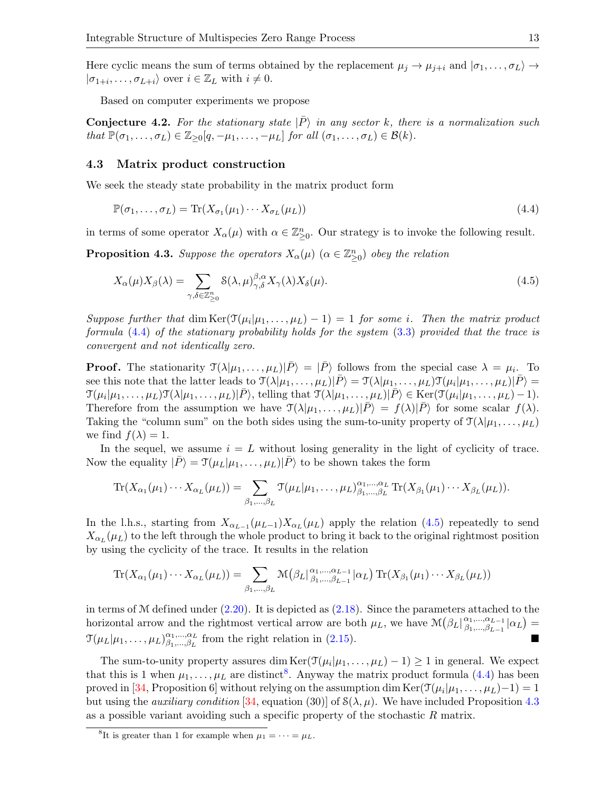Here cyclic means the sum of terms obtained by the replacement  $\mu_j \to \mu_{j+i}$  and  $|\sigma_1, \ldots, \sigma_L\rangle \to$  $|\sigma_{1+i}, \ldots, \sigma_{L+i}\rangle$  over  $i \in \mathbb{Z}_L$  with  $i \neq 0$ .

Based on computer experiments we propose

<span id="page-12-4"></span>**Conjecture 4.2.** For the stationary state  $|P\rangle$  in any sector k, there is a normalization such that  $\mathbb{P}(\sigma_1,\ldots,\sigma_L) \in \mathbb{Z}_{\geq 0}[q,-\mu_1,\ldots,-\mu_L]$  for all  $(\sigma_1,\ldots,\sigma_L) \in \mathcal{B}(k)$ .

## 4.3 Matrix product construction

We seek the steady state probability in the matrix product form

<span id="page-12-0"></span>
$$
\mathbb{P}(\sigma_1, \dots, \sigma_L) = \text{Tr}(X_{\sigma_1}(\mu_1) \cdots X_{\sigma_L}(\mu_L))
$$
\n(4.4)

in terms of some operator  $X_{\alpha}(\mu)$  with  $\alpha \in \mathbb{Z}_{\geq 0}^n$ . Our strategy is to invoke the following result.

<span id="page-12-3"></span>**Proposition 4.3.** Suppose the operators  $X_{\alpha}(\mu)$  ( $\alpha \in \mathbb{Z}_{\geq 0}^n$ ) obey the relation

<span id="page-12-1"></span>
$$
X_{\alpha}(\mu)X_{\beta}(\lambda) = \sum_{\gamma,\delta \in \mathbb{Z}_{\geq 0}^n} \mathcal{S}(\lambda,\mu)_{\gamma,\delta}^{\beta,\alpha} X_{\gamma}(\lambda) X_{\delta}(\mu). \tag{4.5}
$$

Suppose further that  $\dim \text{Ker}(\mathfrak{T}(\mu_i|\mu_1,\ldots,\mu_L)-1)=1$  for some i. Then the matrix product formula [\(4.4\)](#page-12-0) of the stationary probability holds for the system [\(3.3\)](#page-6-5) provided that the trace is convergent and not identically zero.

**Proof.** The stationarity  $\mathcal{T}(\lambda|\mu_1,\ldots,\mu_L)|\bar{P}\rangle = |\bar{P}\rangle$  follows from the special case  $\lambda = \mu_i$ . To see this note that the latter leads to  $\mathcal{T}(\lambda|\mu_1,\ldots,\mu_L)|\bar{P}\rangle = \mathcal{T}(\lambda|\mu_1,\ldots,\mu_L)\mathcal{T}(\mu_i|\mu_1,\ldots,\mu_L)|\bar{P}\rangle =$  $\mathcal{T}(\mu_i|\mu_1,\ldots,\mu_L)\mathcal{T}(\lambda|\mu_1,\ldots,\mu_L)|\bar{P}\rangle$ , telling that  $\mathcal{T}(\lambda|\mu_1,\ldots,\mu_L)|\bar{P}\rangle \in \text{Ker}(\mathcal{T}(\mu_i|\mu_1,\ldots,\mu_L)-1)$ . Therefore from the assumption we have  $\mathcal{T}(\lambda|\mu_1,\ldots,\mu_L)|\bar{P}\rangle = f(\lambda)|\bar{P}\rangle$  for some scalar  $f(\lambda)$ . Taking the "column sum" on the both sides using the sum-to-unity property of  $\mathcal{T}(\lambda|\mu_1,\ldots,\mu_L)$ we find  $f(\lambda) = 1$ .

In the sequel, we assume  $i = L$  without losing generality in the light of cyclicity of trace. Now the equality  $|\bar{P}\rangle = \mathcal{T}(\mu_L|\mu_1,\ldots,\mu_L)|\bar{P}\rangle$  to be shown takes the form

$$
\operatorname{Tr}(X_{\alpha_1}(\mu_1)\cdots X_{\alpha_L}(\mu_L))=\sum_{\beta_1,\ldots,\beta_L}\operatorname{Tr}(\mu_L|\mu_1,\ldots,\mu_L)_{\beta_1,\ldots,\beta_L}^{\alpha_1,\ldots,\alpha_L}\operatorname{Tr}(X_{\beta_1}(\mu_1)\cdots X_{\beta_L}(\mu_L)).
$$

In the l.h.s., starting from  $X_{\alpha_{L-1}}(\mu_{L-1})X_{\alpha_L}(\mu_L)$  apply the relation [\(4.5\)](#page-12-1) repeatedly to send  $X_{\alpha_L}(\mu_L)$  to the left through the whole product to bring it back to the original rightmost position by using the cyclicity of the trace. It results in the relation

$$
\operatorname{Tr}(X_{\alpha_1}(\mu_1)\cdots X_{\alpha_L}(\mu_L)) = \sum_{\beta_1,\dots,\beta_L} \mathcal{M}(\beta_L |_{\beta_1,\dots,\beta_{L-1}}^{\alpha_1,\dots,\alpha_{L-1}} | \alpha_L) \operatorname{Tr}(X_{\beta_1}(\mu_1)\cdots X_{\beta_L}(\mu_L))
$$

in terms of  $M$  defined under  $(2.20)$ . It is depicted as  $(2.18)$ . Since the parameters attached to the horizontal arrow and the rightmost vertical arrow are both  $\mu_L$ , we have  $\mathcal{M}(\beta_L|_{\beta_1,\dots,\beta_{L-1}}^{\alpha_1,\dots,\alpha_{L-1}})$  $^{\alpha_1,...,\alpha_{L-1}}_{\beta_1,...,\beta_{L-1}}|\alpha_L) =$  $\mathfrak{T}(\mu_L|\mu_1,\ldots,\mu_L)_{\beta_1,\ldots,\beta_L}^{\alpha_1,\ldots,\alpha_L}$  $\alpha_1,...,\alpha_L$  from the right relation in [\(2.15\)](#page-4-6).

The sum-to-unity property assures dim  $\text{Ker}(\mathcal{T}(\mu_i|\mu_1,\ldots,\mu_L)-1) \geq 1$  in general. We expect that this is 1 when  $\mu_1, \ldots, \mu_L$  are distinct<sup>[8](#page-12-2)</sup>. Anyway the matrix product formula [\(4.4\)](#page-12-0) has been proved in [\[34,](#page-28-3) Proposition 6] without relying on the assumption dim  $\text{Ker}(\mathcal{T}(\mu_i|\mu_1,\ldots,\mu_L)-1)=1$ but using the *auxiliary condition* [\[34,](#page-28-3) equation (30)] of  $S(\lambda, \mu)$ . We have included Proposition [4.3](#page-12-3) as a possible variant avoiding such a specific property of the stochastic R matrix.

<span id="page-12-2"></span><sup>&</sup>lt;sup>8</sup>It is greater than 1 for example when  $\mu_1 = \cdots = \mu_L$ .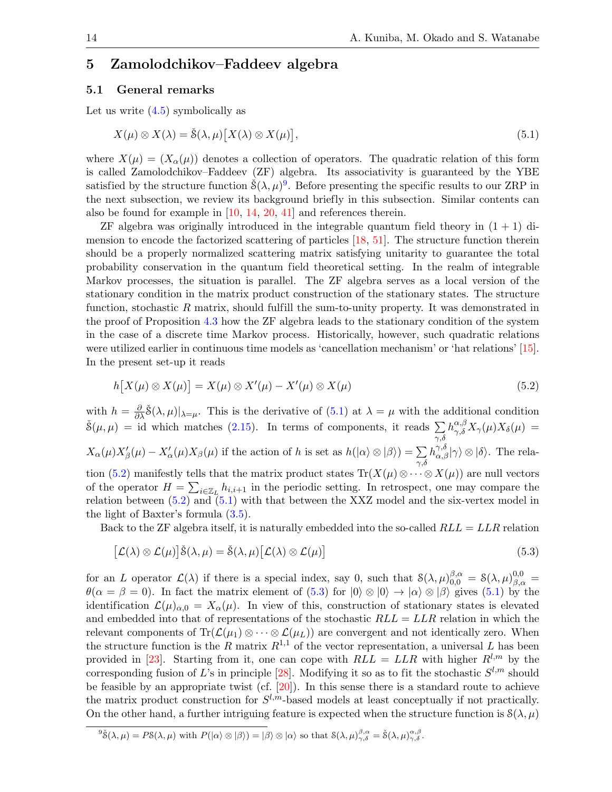# <span id="page-13-0"></span>5 Zamolodchikov–Faddeev algebra

## <span id="page-13-1"></span>5.1 General remarks

Let us write  $(4.5)$  symbolically as

<span id="page-13-3"></span>
$$
X(\mu) \otimes X(\lambda) = \check{\mathcal{S}}(\lambda, \mu) [X(\lambda) \otimes X(\mu)], \qquad (5.1)
$$

where  $X(\mu) = (X_{\alpha}(\mu))$  denotes a collection of operators. The quadratic relation of this form is called Zamolodchikov–Faddeev (ZF) algebra. Its associativity is guaranteed by the YBE satisfied by the structure function  $\check{S}(\lambda,\mu)^9$  $\check{S}(\lambda,\mu)^9$ . Before presenting the specific results to our ZRP in the next subsection, we review its background briefly in this subsection. Similar contents can also be found for example in [\[10,](#page-27-7) [14,](#page-27-8) [20,](#page-27-20) [41\]](#page-28-6) and references therein.

 $ZF$  algebra was originally introduced in the integrable quantum field theory in  $(1 + 1)$  dimension to encode the factorized scattering of particles [\[18,](#page-27-4) [51\]](#page-28-5). The structure function therein should be a properly normalized scattering matrix satisfying unitarity to guarantee the total probability conservation in the quantum field theoretical setting. In the realm of integrable Markov processes, the situation is parallel. The ZF algebra serves as a local version of the stationary condition in the matrix product construction of the stationary states. The structure function, stochastic R matrix, should fulfill the sum-to-unity property. It was demonstrated in the proof of Proposition [4.3](#page-12-3) how the ZF algebra leads to the stationary condition of the system in the case of a discrete time Markov process. Historically, however, such quadratic relations were utilized earlier in continuous time models as 'cancellation mechanism' or 'hat relations' [\[15\]](#page-27-9). In the present set-up it reads

<span id="page-13-4"></span>
$$
h[X(\mu) \otimes X(\mu)] = X(\mu) \otimes X'(\mu) - X'(\mu) \otimes X(\mu) \tag{5.2}
$$

with  $h=\frac{\partial}{\partial x}$  $\frac{\partial}{\partial \lambda}$   $\check{S}(\lambda, \mu)|_{\lambda=\mu}$ . This is the derivative of  $(5.1)$  at  $\lambda = \mu$  with the additional condition  $\check{S}(\mu,\mu) = \text{id}$  which matches [\(2.15\)](#page-4-6). In terms of components, it reads  $\sum h_{\gamma,\delta}^{\alpha,\beta} X_{\gamma}(\mu) X_{\delta}(\mu) =$  $_{\gamma,\delta}$  $X_{\alpha}(\mu)X_{\beta}'(\mu) - X_{\alpha}'(\mu)X_{\beta}(\mu)$  if the action of h is set as  $h(|\alpha\rangle \otimes |\beta\rangle) = \sum_{\gamma,\delta}$  $|h_{\alpha,\beta}^{\gamma,\delta}|\gamma\rangle \otimes |\delta\rangle$ . The rela-tion [\(5.2\)](#page-13-4) manifestly tells that the matrix product states  $\text{Tr}(X(\mu) \otimes \cdots \otimes X(\mu))$  are null vectors of the operator  $H = \sum_{i \in \mathbb{Z}_L} h_{i,i+1}$  in the periodic setting. In retrospect, one may compare the relation between [\(5.2\)](#page-13-4) and [\(5.1\)](#page-13-3) with that between the XXZ model and the six-vertex model in the light of Baxter's formula  $(3.5)$ .

Back to the ZF algebra itself, it is naturally embedded into the so-called  $RLL = LLR$  relation

<span id="page-13-5"></span>
$$
[\mathcal{L}(\lambda) \otimes \mathcal{L}(\mu)]\check{\mathcal{S}}(\lambda, \mu) = \check{\mathcal{S}}(\lambda, \mu)[\mathcal{L}(\lambda) \otimes \mathcal{L}(\mu)] \tag{5.3}
$$

for an L operator  $\mathcal{L}(\lambda)$  if there is a special index, say 0, such that  $\mathcal{S}(\lambda,\mu)_{0,0}^{\beta,\alpha} = \mathcal{S}(\lambda,\mu)_{\beta,\alpha}^{0,0} =$  $\theta(\alpha = \beta = 0)$ . In fact the matrix element of  $(5.3)$  for  $|0\rangle \otimes |0\rangle \rightarrow |\alpha\rangle \otimes |\beta\rangle$  gives  $(5.1)$  by the identification  $\mathcal{L}(\mu)_{\alpha,0} = X_{\alpha}(\mu)$ . In view of this, construction of stationary states is elevated and embedded into that of representations of the stochastic  $RLL = LLR$  relation in which the relevant components of Tr( $\mathcal{L}(\mu_1) \otimes \cdots \otimes \mathcal{L}(\mu_L)$ ) are convergent and not identically zero. When the structure function is the R matrix  $R^{1,1}$  of the vector representation, a universal L has been provided in [\[23\]](#page-27-22). Starting from it, one can cope with  $RLL = LLR$  with higher  $R^{l,m}$  by the corresponding fusion of L's in principle [\[28\]](#page-28-22). Modifying it so as to fit the stochastic  $S^{l,m}$  should be feasible by an appropriate twist (cf.  $[20]$ ). In this sense there is a standard route to achieve the matrix product construction for  $S^{l,m}$ -based models at least conceptually if not practically. On the other hand, a further intriguing feature is expected when the structure function is  $\mathcal{S}(\lambda, \mu)$ 

<span id="page-13-2"></span> ${}^9\check{S}(\lambda,\mu)=PS(\lambda,\mu)$  with  $P(|\alpha\rangle\otimes|\beta\rangle)=|\beta\rangle\otimes|\alpha\rangle$  so that  $S(\lambda,\mu)^{\beta,\alpha}_{\gamma,\delta}=\check{S}(\lambda,\mu)^{\alpha,\beta}_{\gamma,\delta}$ .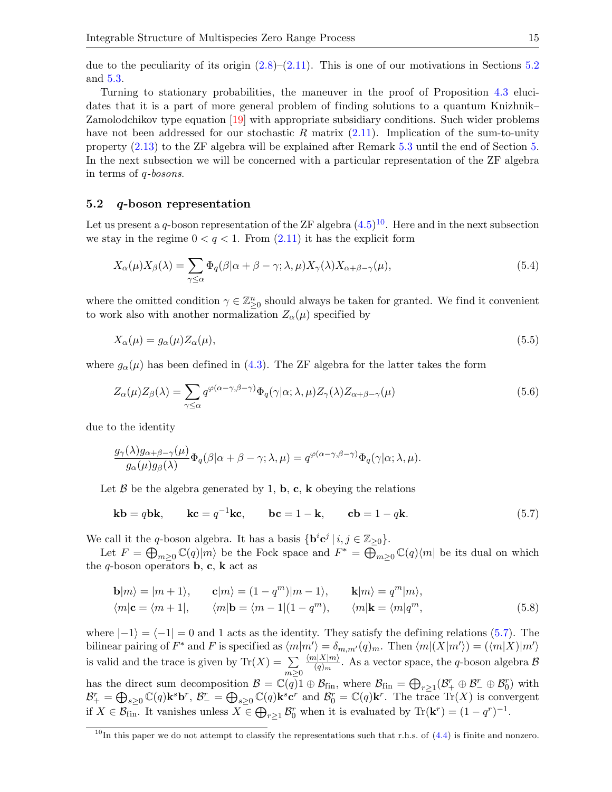due to the peculiarity of its origin  $(2.8)$ – $(2.11)$ . This is one of our motivations in Sections [5.2](#page-14-0) and [5.3.](#page-15-0)

Turning to stationary probabilities, the maneuver in the proof of Proposition [4.3](#page-12-3) elucidates that it is a part of more general problem of finding solutions to a quantum Knizhnik– Zamolodchikov type equation [\[19\]](#page-27-23) with appropriate subsidiary conditions. Such wider problems have not been addressed for our stochastic R matrix  $(2.11)$ . Implication of the sum-to-unity property [\(2.13\)](#page-4-2) to the ZF algebra will be explained after Remark [5.3](#page-17-1) until the end of Section [5.](#page-13-0) In the next subsection we will be concerned with a particular representation of the ZF algebra in terms of q-bosons.

## <span id="page-14-0"></span>5.2 q-boson representation

Let us present a q-boson representation of the ZF algebra  $(4.5)^{10}$  $(4.5)^{10}$  $(4.5)^{10}$ . Here and in the next subsection we stay in the regime  $0 < q < 1$ . From  $(2.11)$  it has the explicit form

<span id="page-14-3"></span>
$$
X_{\alpha}(\mu)X_{\beta}(\lambda) = \sum_{\gamma \le \alpha} \Phi_q(\beta|\alpha + \beta - \gamma; \lambda, \mu)X_{\gamma}(\lambda)X_{\alpha + \beta - \gamma}(\mu),\tag{5.4}
$$

where the omitted condition  $\gamma \in \mathbb{Z}_{\geq 0}^n$  should always be taken for granted. We find it convenient to work also with another normalization  $Z_{\alpha}(\mu)$  specified by

<span id="page-14-6"></span>
$$
X_{\alpha}(\mu) = g_{\alpha}(\mu) Z_{\alpha}(\mu), \tag{5.5}
$$

where  $g_{\alpha}(\mu)$  has been defined in [\(4.3\)](#page-11-0). The ZF algebra for the latter takes the form

<span id="page-14-4"></span>
$$
Z_{\alpha}(\mu)Z_{\beta}(\lambda) = \sum_{\gamma \le \alpha} q^{\varphi(\alpha - \gamma, \beta - \gamma)} \Phi_q(\gamma|\alpha; \lambda, \mu) Z_{\gamma}(\lambda) Z_{\alpha + \beta - \gamma}(\mu)
$$
(5.6)

due to the identity

$$
\frac{g_{\gamma}(\lambda)g_{\alpha+\beta-\gamma}(\mu)}{g_{\alpha}(\mu)g_{\beta}(\lambda)}\Phi_q(\beta|\alpha+\beta-\gamma;\lambda,\mu)=q^{\varphi(\alpha-\gamma,\beta-\gamma)}\Phi_q(\gamma|\alpha;\lambda,\mu).
$$

Let  $\beta$  be the algebra generated by 1, **b**, **c**, **k** obeying the relations

<span id="page-14-2"></span>
$$
\mathbf{kb} = q\mathbf{bk}, \qquad \mathbf{kc} = q^{-1}\mathbf{kc}, \qquad \mathbf{bc} = 1 - \mathbf{k}, \qquad \mathbf{cb} = 1 - q\mathbf{k}.\tag{5.7}
$$

We call it the q-boson algebra. It has a basis  $\{ \mathbf{b}^i \mathbf{c}^j \mid i, j \in \mathbb{Z}_{\geq 0} \}.$ 

Let  $F = \bigoplus_{m \geq 0} \mathbb{C}(q)|m\rangle$  be the Fock space and  $F^* = \bigoplus_{m \geq 0} \mathbb{C}(q)\langle m|$  be its dual on which the q-boson operators **b**, **c**, **k** act as

<span id="page-14-5"></span>
$$
\mathbf{b}|m\rangle = |m+1\rangle, \qquad \mathbf{c}|m\rangle = (1 - q^m)|m-1\rangle, \qquad \mathbf{k}|m\rangle = q^m|m\rangle, \langle m|\mathbf{c} = \langle m+1|, \qquad \langle m|\mathbf{b} = \langle m-1|(1 - q^m), \qquad \langle m|\mathbf{k} = \langle m|q^m,
$$
\n(5.8)

where  $|-1\rangle = \langle -1| = 0$  and 1 acts as the identity. They satisfy the defining relations [\(5.7\)](#page-14-2). The bilinear pairing of  $F^*$  and F is specified as  $\langle m|m'\rangle = \delta_{m,m'}(q)_m$ . Then  $\langle m|(X|m')\rangle = (\langle m|X||m'\rangle)$ is valid and the trace is given by  $\text{Tr}(X) = \sum$  $m \geq 0$  $\langle m|X|m\rangle$  $\frac{d|\mathbf{A}|\mathbf{m}|}{(q)_m}$ . As a vector space, the *q*-boson algebra  $\mathcal{B}$ has the direct sum decomposition  $\mathcal{B} = \mathbb{C}(q) \mathbb{1} \oplus \mathcal{B}_{fin}$ , where  $\mathcal{B}_{fin} = \bigoplus_{r \geq 1} (\mathcal{B}_+^r \oplus \mathcal{B}_-^r \oplus \mathcal{B}_0^r)$  with  $\mathcal{B}_{+}^{r} = \bigoplus_{s\geq 0} \mathbb{C}(q) \mathbf{k}^{s} \mathbf{b}^{r}, \ \mathcal{B}_{-}^{r} = \bigoplus_{s\geq 0} \mathbb{C}(q) \mathbf{k}^{s} \mathbf{c}^{r}$  and  $\mathcal{B}_{0}^{r} = \mathbb{C}(q) \mathbf{k}^{r}$ . The trace  $\text{Tr}(X)$  is convergent if  $X \in \mathcal{B}_{fin}$ . It vanishes unless  $X \in \bigoplus_{r \geq 1} \mathcal{B}_0^r$  when it is evaluated by  $\text{Tr}(\mathbf{k}^r) = (1 - q^r)^{-1}$ .

<span id="page-14-1"></span><sup>&</sup>lt;sup>10</sup>In this paper we do not attempt to classify the representations such that r.h.s. of  $(4.4)$  is finite and nonzero.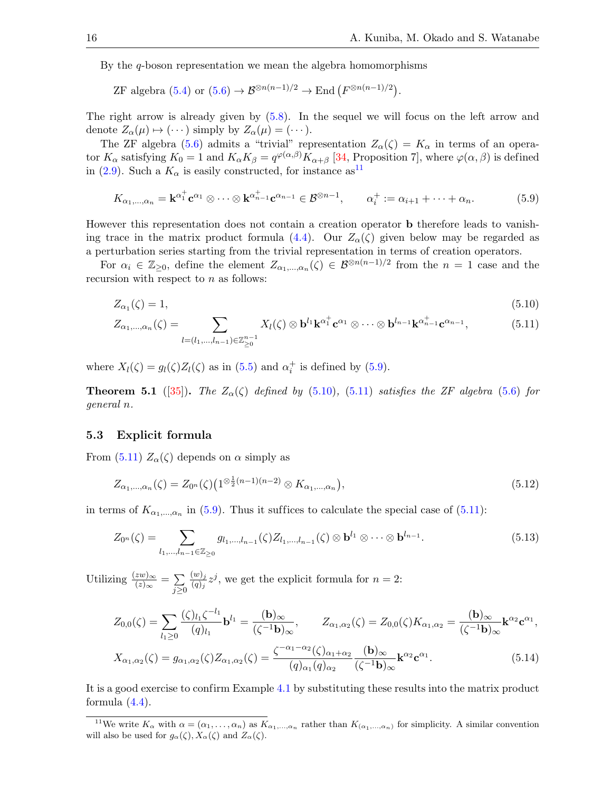By the q-boson representation we mean the algebra homomorphisms

ZF algebra [\(5.4\)](#page-14-3) or  $(5.6) \rightarrow \mathcal{B}^{\otimes n(n-1)/2} \rightarrow \text{End}(F^{\otimes n(n-1)/2})$ .

The right arrow is already given by [\(5.8\)](#page-14-5). In the sequel we will focus on the left arrow and denote  $Z_{\alpha}(\mu) \mapsto (\cdots)$  simply by  $Z_{\alpha}(\mu) = (\cdots)$ .

The ZF algebra [\(5.6\)](#page-14-4) admits a "trivial" representation  $Z_{\alpha}(\zeta) = K_{\alpha}$  in terms of an operator  $K_{\alpha}$  satisfying  $K_0 = 1$  and  $K_{\alpha}K_{\beta} = q^{\varphi(\alpha,\beta)}K_{\alpha+\beta}$  [\[34,](#page-28-3) Proposition 7], where  $\varphi(\alpha,\beta)$  is defined in [\(2.9\)](#page-3-4). Such a  $K_{\alpha}$  is easily constructed, for instance as  $^{11}$  $^{11}$  $^{11}$ 

<span id="page-15-2"></span>
$$
K_{\alpha_1,\dots,\alpha_n} = \mathbf{k}^{\alpha_1^+} \mathbf{c}^{\alpha_1} \otimes \dots \otimes \mathbf{k}^{\alpha_{n-1}^+} \mathbf{c}^{\alpha_{n-1}} \in \mathcal{B}^{\otimes n-1}, \qquad \alpha_i^+ := \alpha_{i+1} + \dots + \alpha_n. \tag{5.9}
$$

However this representation does not contain a creation operator b therefore leads to vanish-ing trace in the matrix product formula [\(4.4\)](#page-12-0). Our  $Z_{\alpha}(\zeta)$  given below may be regarded as a perturbation series starting from the trivial representation in terms of creation operators.

For  $\alpha_i \in \mathbb{Z}_{\geq 0}$ , define the element  $Z_{\alpha_1,\dots,\alpha_n}(\zeta) \in \mathcal{B}^{\otimes n(n-1)/2}$  from the  $n=1$  case and the recursion with respect to n as follows:

<span id="page-15-3"></span>
$$
Z_{\alpha_1}(\zeta) = 1,\tag{5.10}
$$

<span id="page-15-4"></span>
$$
Z_{\alpha_1,\dots,\alpha_n}(\zeta) = \sum_{l=(l_1,\dots,l_{n-1})\in\mathbb{Z}_{\geq 0}^{n-1}} X_l(\zeta) \otimes \mathbf{b}^{l_1} \mathbf{k}^{\alpha_1^+} \mathbf{c}^{\alpha_1} \otimes \dots \otimes \mathbf{b}^{l_{n-1}} \mathbf{k}^{\alpha_{n-1}^+} \mathbf{c}^{\alpha_{n-1}},
$$
(5.11)

where  $X_l(\zeta) = g_l(\zeta) Z_l(\zeta)$  as in [\(5.5\)](#page-14-6) and  $\alpha_i^+$  is defined by [\(5](#page-15-2).9).

<span id="page-15-7"></span>**Theorem 5.1** ([\[35\]](#page-28-4)). The  $Z_{\alpha}(\zeta)$  defined by [\(5.10\)](#page-15-3), [\(5.11\)](#page-15-4) satisfies the ZF algebra [\(5.6\)](#page-14-4) for general n.

#### <span id="page-15-0"></span>5.3 Explicit formula

From [\(5.11\)](#page-15-4)  $Z_{\alpha}(\zeta)$  depends on  $\alpha$  simply as

<span id="page-15-6"></span>
$$
Z_{\alpha_1,\dots,\alpha_n}(\zeta) = Z_{0^n}(\zeta) \left(1^{\otimes \frac{1}{2}(n-1)(n-2)} \otimes K_{\alpha_1,\dots,\alpha_n}\right),\tag{5.12}
$$

in terms of  $K_{\alpha_1,\dots,\alpha_n}$  in [\(5.9\)](#page-15-2). Thus it suffices to calculate the special case of [\(5.11\)](#page-15-4):

<span id="page-15-5"></span>
$$
Z_{0^n}(\zeta) = \sum_{l_1,\dots,l_{n-1}\in\mathbb{Z}_{\geq 0}} g_{l_1,\dots,l_{n-1}}(\zeta) Z_{l_1,\dots,l_{n-1}}(\zeta) \otimes \mathbf{b}^{l_1} \otimes \dots \otimes \mathbf{b}^{l_{n-1}}.
$$
(5.13)

Utilizing  $\frac{(zw)_{\infty}}{(z)_{\infty}} = \sum_{\alpha}$  $j \geq 0$  $(w)_j$  $\frac{(w)_j}{(q)_j}z^j$ , we get the explicit formula for  $n=2$ :

$$
Z_{0,0}(\zeta) = \sum_{l_1 \geq 0} \frac{(\zeta)_{l_1} \zeta^{-l_1}}{(q)_{l_1}} \mathbf{b}^{l_1} = \frac{(\mathbf{b})_{\infty}}{(\zeta^{-1} \mathbf{b})_{\infty}}, \qquad Z_{\alpha_1,\alpha_2}(\zeta) = Z_{0,0}(\zeta) K_{\alpha_1,\alpha_2} = \frac{(\mathbf{b})_{\infty}}{(\zeta^{-1} \mathbf{b})_{\infty}} \mathbf{k}^{\alpha_2} \mathbf{c}^{\alpha_1},
$$

<span id="page-15-8"></span>
$$
X_{\alpha_1,\alpha_2}(\zeta) = g_{\alpha_1,\alpha_2}(\zeta) Z_{\alpha_1,\alpha_2}(\zeta) = \frac{\zeta^{-\alpha_1-\alpha_2}(\zeta)_{\alpha_1+\alpha_2}}{(q)_{\alpha_1}(q)_{\alpha_2}} \frac{(\mathbf{b})_{\infty}}{(\zeta^{-1}\mathbf{b})_{\infty}} \mathbf{k}^{\alpha_2} \mathbf{c}^{\alpha_1}.
$$
 (5.14)

It is a good exercise to confirm Example [4.1](#page-11-1) by substituting these results into the matrix product formula  $(4.4)$ .

<span id="page-15-1"></span><sup>&</sup>lt;sup>11</sup>We write  $K_{\alpha}$  with  $\alpha = (\alpha_1, \ldots, \alpha_n)$  as  $K_{\alpha_1, \ldots, \alpha_n}$  rather than  $K_{(\alpha_1, \ldots, \alpha_n)}$  for simplicity. A similar convention will also be used for  $g_{\alpha}(\zeta), X_{\alpha}(\zeta)$  and  $Z_{\alpha}(\zeta)$ .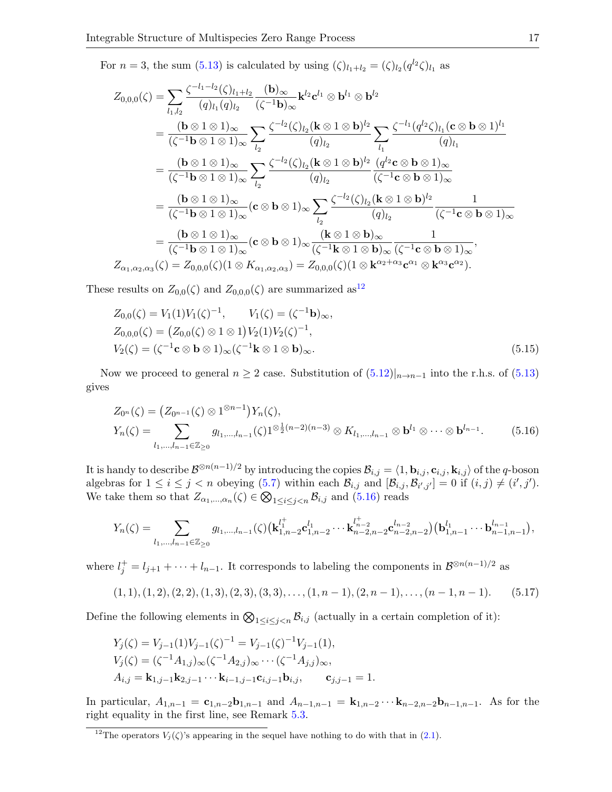For  $n = 3$ , the sum [\(5.13\)](#page-15-5) is calculated by using  $(\zeta)_{l_1+l_2} = (\zeta)_{l_2} (q^{l_2} \zeta)_{l_1}$  as

$$
Z_{0,0,0}(\zeta) = \sum_{l_1,l_2} \frac{\zeta^{-l_1-l_2}(\zeta)_{l_1+l_2}}{(q)_{l_1}(q)_{l_2}} \frac{(\mathbf{b})_{\infty}}{(\zeta^{-1}\mathbf{b})_{\infty}} \mathbf{k}^{l_2} \mathbf{c}^{l_1} \otimes \mathbf{b}^{l_2}
$$
  
\n
$$
= \frac{(\mathbf{b} \otimes 1 \otimes 1)_{\infty}}{(\zeta^{-1}\mathbf{b} \otimes 1 \otimes 1)_{\infty}} \sum_{l_2} \frac{\zeta^{-l_2}(\zeta)_{l_2}(\mathbf{k} \otimes 1 \otimes \mathbf{b})^{l_2}}{(q)_{l_2}} \sum_{l_1} \frac{\zeta^{-l_1}(q^{l_2}\zeta)_{l_1}(\mathbf{c} \otimes \mathbf{b} \otimes 1)^{l_1}}{(q)_{l_1}}
$$
  
\n
$$
= \frac{(\mathbf{b} \otimes 1 \otimes 1)_{\infty}}{(\zeta^{-1}\mathbf{b} \otimes 1 \otimes 1)_{\infty}} \sum_{l_2} \frac{\zeta^{-l_2}(\zeta)_{l_2}(\mathbf{k} \otimes 1 \otimes \mathbf{b})^{l_2}}{(q)_{l_2}} \frac{(q^{l_2}\mathbf{c} \otimes \mathbf{b} \otimes 1)_{\infty}}{(\zeta^{-1}\mathbf{c} \otimes \mathbf{b} \otimes 1)_{\infty}}
$$
  
\n
$$
= \frac{(\mathbf{b} \otimes 1 \otimes 1)_{\infty}}{(\zeta^{-1}\mathbf{b} \otimes 1 \otimes 1)_{\infty}} (\mathbf{c} \otimes \mathbf{b} \otimes 1)_{\infty} \sum_{l_2} \frac{\zeta^{-l_2}(\zeta)_{l_2}(\mathbf{k} \otimes 1 \otimes \mathbf{b})^{l_2}}{(q)_{l_2}} \frac{1}{(\zeta^{-1}\mathbf{c} \otimes \mathbf{b} \otimes 1)_{\infty}}
$$
  
\n
$$
= \frac{(\mathbf{b} \otimes 1 \otimes 1)_{\infty}}{(\zeta^{-1}\mathbf{b} \otimes 1 \otimes 1)_{\infty}} (\mathbf
$$

These results on  $Z_{0,0}(\zeta)$  and  $Z_{0,0,0}(\zeta)$  are summarized as<sup>[12](#page-16-0)</sup>

<span id="page-16-2"></span>
$$
Z_{0,0}(\zeta) = V_1(1)V_1(\zeta)^{-1}, \qquad V_1(\zeta) = (\zeta^{-1} \mathbf{b})_{\infty},
$$
  
\n
$$
Z_{0,0,0}(\zeta) = (Z_{0,0}(\zeta) \otimes 1 \otimes 1)V_2(1)V_2(\zeta)^{-1},
$$
  
\n
$$
V_2(\zeta) = (\zeta^{-1} \mathbf{c} \otimes \mathbf{b} \otimes 1)_{\infty}(\zeta^{-1} \mathbf{k} \otimes 1 \otimes \mathbf{b})_{\infty}.
$$
\n(5.15)

Now we proceed to general  $n \geq 2$  case. Substitution of  $(5.12)|_{n \to n-1}$  $(5.12)|_{n \to n-1}$  $(5.12)|_{n \to n-1}$  into the r.h.s. of  $(5.13)$ gives

<span id="page-16-1"></span>
$$
Z_{0^n}(\zeta) = (Z_{0^{n-1}}(\zeta) \otimes 1^{\otimes n-1}) Y_n(\zeta),
$$
  
\n
$$
Y_n(\zeta) = \sum_{l_1, \dots, l_{n-1} \in \mathbb{Z}_{\geq 0}} g_{l_1, \dots, l_{n-1}}(\zeta) 1^{\otimes \frac{1}{2}(n-2)(n-3)} \otimes K_{l_1, \dots, l_{n-1}} \otimes \mathbf{b}^{l_1} \otimes \dots \otimes \mathbf{b}^{l_{n-1}}.
$$
 (5.16)

It is handy to describe  $\mathcal{B}^{\otimes n(n-1)/2}$  by introducing the copies  $\mathcal{B}_{i,j} = \langle 1, \mathbf{b}_{i,j}, \mathbf{c}_{i,j}, \mathbf{k}_{i,j} \rangle$  of the q-boson algebras for  $1 \leq i \leq j < n$  obeying [\(5.7\)](#page-14-2) within each  $\mathcal{B}_{i,j}$  and  $[\mathcal{B}_{i,j}, \mathcal{B}_{i',j'}] = 0$  if  $(i, j) \neq (i', j')$ . We take them so that  $Z_{\alpha_1,\dots,\alpha_n}(\zeta) \in \bigotimes_{1 \leq i \leq j \leq n} \mathcal{B}_{i,j}$  and  $(5.16)$  reads

$$
Y_n(\zeta) = \sum_{l_1,\dots,l_{n-1}\in\mathbb{Z}_{\geq 0}} g_{l_1,\dots,l_{n-1}}(\zeta) \left(\mathbf{k}_{1,n-2}^{l_1^+}\mathbf{c}_{1,n-2}^{l_1}\cdots\mathbf{k}_{n-2,n-2}^{l_{n-2}^+}\mathbf{c}_{n-2,n-2}^{l_{n-2}}\right) \left(\mathbf{b}_{1,n-1}^{l_1}\cdots\mathbf{b}_{n-1,n-1}^{l_{n-1}}\right),
$$

where  $l_j^+ = l_{j+1} + \cdots + l_{n-1}$ . It corresponds to labeling the components in  $\mathcal{B}^{\otimes n(n-1)/2}$  as

<span id="page-16-3"></span>
$$
(1,1), (1,2), (2,2), (1,3), (2,3), (3,3), \ldots, (1, n-1), (2, n-1), \ldots, (n-1, n-1). \tag{5.17}
$$

Define the following elements in  $\bigotimes_{1 \leq i \leq j \leq n} \mathcal{B}_{i,j}$  (actually in a certain completion of it):

$$
Y_j(\zeta) = V_{j-1}(1)V_{j-1}(\zeta)^{-1} = V_{j-1}(\zeta)^{-1}V_{j-1}(1),
$$
  
\n
$$
V_j(\zeta) = (\zeta^{-1}A_{1,j})_{\infty}(\zeta^{-1}A_{2,j})_{\infty} \cdots (\zeta^{-1}A_{j,j})_{\infty},
$$
  
\n
$$
A_{i,j} = \mathbf{k}_{1,j-1}\mathbf{k}_{2,j-1} \cdots \mathbf{k}_{i-1,j-1}\mathbf{c}_{i,j-1}\mathbf{b}_{i,j}, \qquad \mathbf{c}_{j,j-1} = 1.
$$

In particular,  $A_{1,n-1} = c_{1,n-2}b_{1,n-1}$  and  $A_{n-1,n-1} = k_{1,n-2}\cdots k_{n-2,n-2}b_{n-1,n-1}$ . As for the right equality in the first line, see Remark [5.3.](#page-17-1)

<span id="page-16-0"></span><sup>&</sup>lt;sup>12</sup>The operators  $V_j(\zeta)$ 's appearing in the sequel have nothing to do with that in [\(2.1\)](#page-2-3).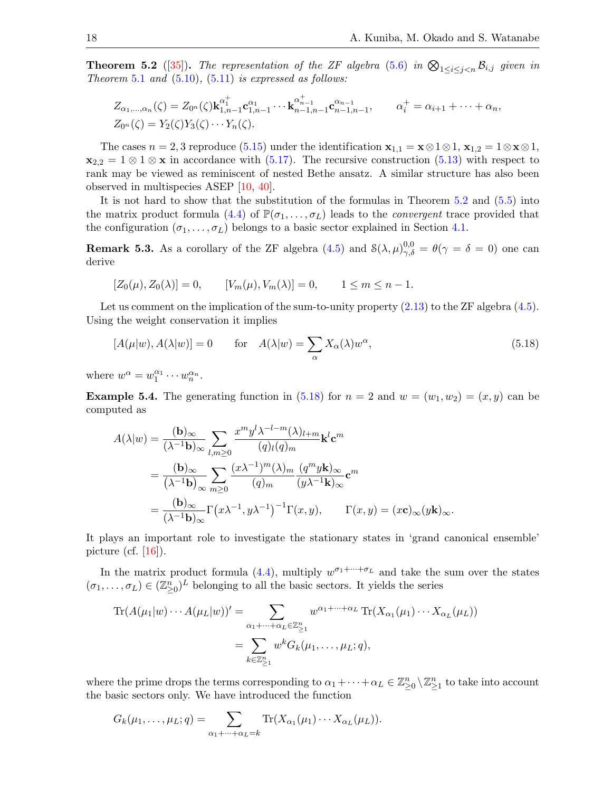<span id="page-17-0"></span>**Theorem 5.2** ([\[35\]](#page-28-4)). The representation of the ZF algebra [\(5.6\)](#page-14-4) in  $\bigotimes_{1 \leq i \leq j \leq n} \mathcal{B}_{i,j}$  given in Theorem [5.1](#page-15-7) and  $(5.10)$ ,  $(5.11)$  is expressed as follows:

$$
Z_{\alpha_1,\dots,\alpha_n}(\zeta) = Z_{0^n}(\zeta) \mathbf{k}_{1,n-1}^{\alpha_1^+} \mathbf{c}_{1,n-1}^{\alpha_1} \cdots \mathbf{k}_{n-1,n-1}^{\alpha_{n-1}^+} \mathbf{c}_{n-1,n-1}^{\alpha_{n-1}^-}, \qquad \alpha_i^+ = \alpha_{i+1} + \dots + \alpha_n,
$$
  

$$
Z_{0^n}(\zeta) = Y_2(\zeta) Y_3(\zeta) \cdots Y_n(\zeta).
$$

The cases  $n = 2, 3$  reproduce [\(5.15\)](#page-16-2) under the identification  $\mathbf{x}_{1,1} = \mathbf{x} \otimes 1 \otimes 1$ ,  $\mathbf{x}_{1,2} = 1 \otimes \mathbf{x} \otimes 1$ ,  $\mathbf{x}_{2,2} = 1 \otimes 1 \otimes \mathbf{x}$  in accordance with [\(5.17\)](#page-16-3). The recursive construction [\(5.13\)](#page-15-5) with respect to rank may be viewed as reminiscent of nested Bethe ansatz. A similar structure has also been observed in multispecies ASEP [\[10,](#page-27-7) [40\]](#page-28-8).

It is not hard to show that the substitution of the formulas in Theorem [5.2](#page-17-0) and [\(5.5\)](#page-14-6) into the matrix product formula [\(4.4\)](#page-12-0) of  $\mathbb{P}(\sigma_1,\ldots,\sigma_L)$  leads to the *convergent* trace provided that the configuration  $(\sigma_1, \ldots, \sigma_L)$  belongs to a basic sector explained in Section [4.1.](#page-10-6)

<span id="page-17-1"></span>**Remark 5.3.** As a corollary of the ZF algebra  $(4.5)$  and  $\mathcal{S}(\lambda, \mu)_{\gamma, \delta}^{0,0} = \theta(\gamma = \delta = 0)$  one can derive

$$
[Z_0(\mu), Z_0(\lambda)] = 0, \qquad [V_m(\mu), V_m(\lambda)] = 0, \qquad 1 \le m \le n - 1.
$$

Let us comment on the implication of the sum-to-unity property  $(2.13)$  to the ZF algebra  $(4.5)$ . Using the weight conservation it implies

<span id="page-17-2"></span>
$$
[A(\mu|w), A(\lambda|w)] = 0 \qquad \text{for} \quad A(\lambda|w) = \sum_{\alpha} X_{\alpha}(\lambda)w^{\alpha}, \tag{5.18}
$$

where  $w^{\alpha} = w_1^{\alpha_1} \cdots w_n^{\alpha_n}$ .

**Example 5.4.** The generating function in [\(5.18\)](#page-17-2) for  $n = 2$  and  $w = (w_1, w_2) = (x, y)$  can be computed as

$$
A(\lambda|w) = \frac{(\mathbf{b})_{\infty}}{(\lambda^{-1}\mathbf{b})_{\infty}} \sum_{l,m \geq 0} \frac{x^m y^l \lambda^{-l-m}(\lambda)_{l+m}}{(q)_l (q)_m} \mathbf{k}^l \mathbf{c}^m
$$
  

$$
= \frac{(\mathbf{b})_{\infty}}{(\lambda^{-1}\mathbf{b})_{\infty}} \sum_{m \geq 0} \frac{(x \lambda^{-1})^m (\lambda)_m}{(q)_m} \frac{(q^m y \mathbf{k})_{\infty}}{(y \lambda^{-1}\mathbf{k})_{\infty}} \mathbf{c}^m
$$
  

$$
= \frac{(\mathbf{b})_{\infty}}{(\lambda^{-1}\mathbf{b})_{\infty}} \Gamma(x \lambda^{-1}, y \lambda^{-1})^{-1} \Gamma(x, y), \qquad \Gamma(x, y) = (x \mathbf{c})_{\infty} (y \mathbf{k})_{\infty}.
$$

It plays an important role to investigate the stationary states in 'grand canonical ensemble' picture (cf.  $[16]$ ).

In the matrix product formula [\(4.4\)](#page-12-0), multiply  $w^{\sigma_1+\cdots+\sigma_L}$  and take the sum over the states  $(\sigma_1, \ldots, \sigma_L) \in (\mathbb{Z}_{\geq 0}^n)^L$  belonging to all the basic sectors. It yields the series

$$
\operatorname{Tr}(A(\mu_1|w)\cdots A(\mu_L|w))' = \sum_{\alpha_1+\cdots+\alpha_L \in \mathbb{Z}_{\geq 1}^n} w^{\alpha_1+\cdots+\alpha_L} \operatorname{Tr}(X_{\alpha_1}(\mu_1)\cdots X_{\alpha_L}(\mu_L))
$$

$$
= \sum_{k \in \mathbb{Z}_{\geq 1}^n} w^k G_k(\mu_1,\ldots,\mu_L;q),
$$

where the prime drops the terms corresponding to  $\alpha_1 + \cdots + \alpha_L \in \mathbb{Z}_{\geq 0}^n \setminus \mathbb{Z}_{\geq 1}^n$  to take into account the basic sectors only. We have introduced the function

$$
G_k(\mu_1,\ldots,\mu_L;q)=\sum_{\alpha_1+\cdots+\alpha_L=k}\operatorname{Tr}(X_{\alpha_1}(\mu_1)\cdots X_{\alpha_L}(\mu_L)).
$$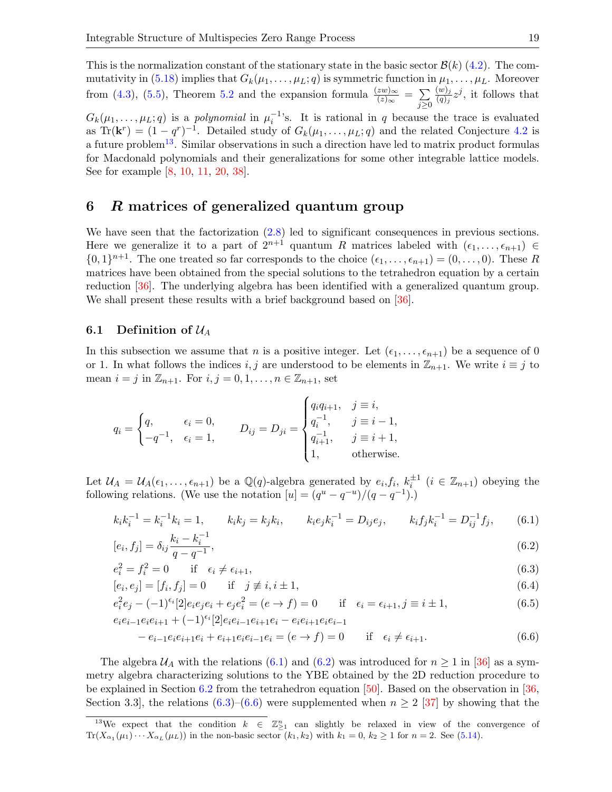This is the normalization constant of the stationary state in the basic sector  $\mathcal{B}(k)$  [\(4.2\)](#page-10-5). The com-mutativity in [\(5.18\)](#page-17-2) implies that  $G_k(\mu_1, \ldots, \mu_L; q)$  is symmetric function in  $\mu_1, \ldots, \mu_L$ . Moreover from [\(4.3\)](#page-11-0), [\(5.5\)](#page-14-6), Theorem [5.2](#page-17-0) and the expansion formula  $\frac{(zw)_{\infty}}{(z)_{\infty}} = \sum_{\infty}$  $j \geq 0$  $(w)_j$  $\frac{(w)_j}{(q)_j}z^j$ , it follows that  $G_k(\mu_1,\ldots,\mu_L;q)$  is a *polynomial* in  $\mu_i^{-1}$ 's. It is rational in q because the trace is evaluated

as Tr( $\mathbf{k}^r$ ) =  $(1 - q^r)^{-1}$ . Detailed study of  $G_k(\mu_1, \ldots, \mu_L; q)$  and the related Conjecture [4.2](#page-12-4) is a future problem<sup>[13](#page-18-1)</sup>. Similar observations in such a direction have led to matrix product formulas for Macdonald polynomials and their generalizations for some other integrable lattice models. See for example [\[8,](#page-27-15) [10,](#page-27-7) [11,](#page-27-24) [20,](#page-27-20) [38\]](#page-28-23).

# <span id="page-18-0"></span>6 R matrices of generalized quantum group

We have seen that the factorization  $(2.8)$  led to significant consequences in previous sections. Here we generalize it to a part of  $2^{n+1}$  quantum R matrices labeled with  $(\epsilon_1, \ldots, \epsilon_{n+1}) \in$  $\{0,1\}^{n+1}$ . The one treated so far corresponds to the choice  $(\epsilon_1, \ldots, \epsilon_{n+1}) = (0, \ldots, 0)$ . These R matrices have been obtained from the special solutions to the tetrahedron equation by a certain reduction [\[36\]](#page-28-10). The underlying algebra has been identified with a generalized quantum group. We shall present these results with a brief background based on  $[36]$ .

## 6.1 Definition of  $\mathcal{U}_A$

In this subsection we assume that n is a positive integer. Let  $(\epsilon_1, \ldots, \epsilon_{n+1})$  be a sequence of 0 or 1. In what follows the indices i, j are understood to be elements in  $\mathbb{Z}_{n+1}$ . We write  $i \equiv j$  to mean  $i = j$  in  $\mathbb{Z}_{n+1}$ . For  $i, j = 0, 1, \ldots, n \in \mathbb{Z}_{n+1}$ , set

$$
q_i = \begin{cases} q, & \epsilon_i = 0, \\ -q^{-1}, & \epsilon_i = 1, \end{cases} \qquad D_{ij} = D_{ji} = \begin{cases} q_i q_{i+1}, & j \equiv i, \\ q_i^{-1}, & j \equiv i-1, \\ q_{i+1}^{-1}, & j \equiv i+1, \\ 1, & \text{otherwise.} \end{cases}
$$

Let  $\mathcal{U}_A = \mathcal{U}_A(\epsilon_1,\ldots,\epsilon_{n+1})$  be a  $\mathbb{Q}(q)$ -algebra generated by  $e_i, f_i, k_i^{\pm 1}$   $(i \in \mathbb{Z}_{n+1})$  obeying the following relations. (We use the notation  $[u] = (q^u - q^{-u})/(q - q^{-1})$ .)

$$
k_i k_i^{-1} = k_i^{-1} k_i = 1, \qquad k_i k_j = k_j k_i, \qquad k_i e_j k_i^{-1} = D_{ij} e_j, \qquad k_i f_j k_i^{-1} = D_{ij}^{-1} f_j, \qquad (6.1)
$$

<span id="page-18-3"></span><span id="page-18-2"></span>
$$
[e_i, f_j] = \delta_{ij} \frac{k_i - k_i^{-1}}{q - q^{-1}},\tag{6.2}
$$

$$
e_i^2 = f_i^2 = 0 \qquad \text{if} \quad \epsilon_i \neq \epsilon_{i+1}, \tag{6.3}
$$

<span id="page-18-4"></span>
$$
[e_i, e_j] = [f_i, f_j] = 0
$$
 if  $j \neq i, i \pm 1,$  (6.4)

<span id="page-18-5"></span>
$$
e_i^2 e_j - (-1)^{\epsilon_i} [2] e_i e_j e_i + e_j e_i^2 = (e \to f) = 0 \quad \text{if} \quad \epsilon_i = \epsilon_{i+1}, j \equiv i \pm 1,
$$
\n(6.5)

$$
e_{i}e_{i-1}e_{i}e_{i+1} + (-1)^{\epsilon_{i}}[2]e_{i}e_{i-1}e_{i+1}e_{i} - e_{i}e_{i+1}e_{i}e_{i-1}
$$
  
- 
$$
e_{i-1}e_{i}e_{i+1}e_{i} + e_{i+1}e_{i}e_{i-1}e_{i} = (e \to f) = 0
$$
 if  $\epsilon_{i} \neq \epsilon_{i+1}$ . (6.6)

The algebra  $U_A$  with the relations [\(6.1\)](#page-18-2) and [\(6.2\)](#page-18-3) was introduced for  $n \ge 1$  in [\[36\]](#page-28-10) as a symmetry algebra characterizing solutions to the YBE obtained by the 2D reduction procedure to be explained in Section [6.2](#page-20-1) from the tetrahedron equation [\[50\]](#page-28-9). Based on the observation in [\[36,](#page-28-10) Section 3.3, the relations  $(6.3)$ – $(6.6)$  were supplemented when  $n \geq 2$  [\[37\]](#page-28-24) by showing that the

<span id="page-18-1"></span><sup>&</sup>lt;sup>13</sup>We expect that the condition  $k \in \mathbb{Z}_{\geq 1}^n$  can slightly be relaxed in view of the convergence of  $\text{Tr}(X_{\alpha_1}(\mu_1)\cdots X_{\alpha_L}(\mu_L))$  in the non-basic sector  $(k_1, k_2)$  with  $k_1 = 0, k_2 \ge 1$  for  $n = 2$ . See [\(5.14\)](#page-15-8).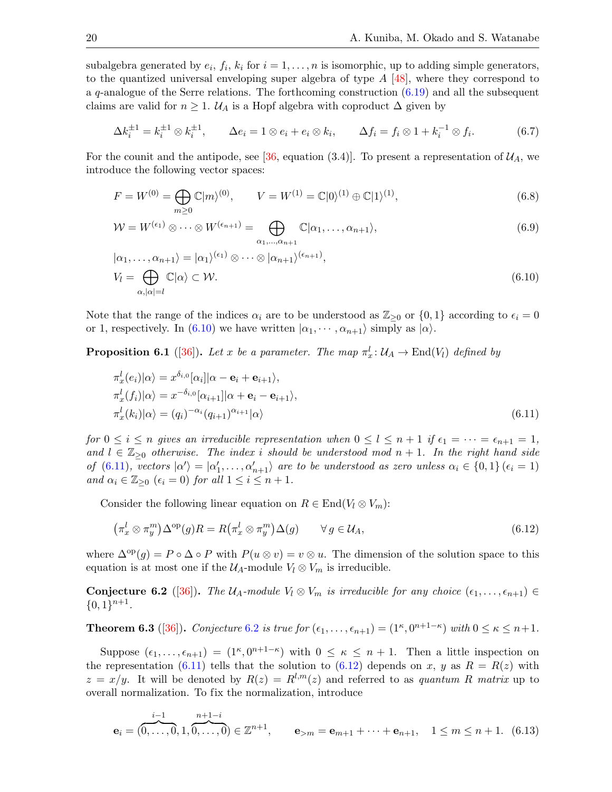subalgebra generated by  $e_i$ ,  $f_i$ ,  $k_i$  for  $i = 1, ..., n$  is isomorphic, up to adding simple generators, to the quantized universal enveloping super algebra of type  $A \, [48]$  $A \, [48]$ , where they correspond to a  $q$ -analogue of the Serre relations. The forthcoming construction  $(6.19)$  and all the subsequent claims are valid for  $n \geq 1$ .  $\mathcal{U}_A$  is a Hopf algebra with coproduct  $\Delta$  given by

<span id="page-19-8"></span>
$$
\Delta k_i^{\pm 1} = k_i^{\pm 1} \otimes k_i^{\pm 1}, \qquad \Delta e_i = 1 \otimes e_i + e_i \otimes k_i, \qquad \Delta f_i = f_i \otimes 1 + k_i^{-1} \otimes f_i. \tag{6.7}
$$

For the counit and the antipode, see [\[36,](#page-28-10) equation (3.4)]. To present a representation of  $\mathcal{U}_A$ , we introduce the following vector spaces:

<span id="page-19-6"></span><span id="page-19-5"></span>
$$
F = W^{(0)} = \bigoplus_{m \ge 0} \mathbb{C}|m\rangle^{(0)}, \qquad V = W^{(1)} = \mathbb{C}|0\rangle^{(1)} \oplus \mathbb{C}|1\rangle^{(1)}, \tag{6.8}
$$

$$
\mathcal{W} = W^{(\epsilon_1)} \otimes \cdots \otimes W^{(\epsilon_{n+1})} = \bigoplus_{\alpha_1, \dots, \alpha_{n+1}} \mathbb{C} | \alpha_1, \dots, \alpha_{n+1} \rangle,
$$
\n(6.9)

<span id="page-19-2"></span>
$$
|\alpha_1, ..., \alpha_{n+1}\rangle = |\alpha_1\rangle^{(\epsilon_1)} \otimes \cdots \otimes |\alpha_{n+1}\rangle^{(\epsilon_{n+1})},
$$
  
\n
$$
V_l = \bigoplus_{\alpha, |\alpha| = l} \mathbb{C}|\alpha\rangle \subset \mathcal{W}.
$$
\n(6.10)

Note that the range of the indices  $\alpha_i$  are to be understood as  $\mathbb{Z}_{\geq 0}$  or  $\{0,1\}$  according to  $\epsilon_i = 0$ or 1, respectively. In [\(6.10\)](#page-19-2) we have written  $|\alpha_1, \dots, \alpha_{n+1}\rangle$  simply as  $|\alpha\rangle$ .

**Proposition 6.1** ([\[36\]](#page-28-10)). Let x be a parameter. The map  $\pi_x^l: \mathcal{U}_A \to \text{End}(V_l)$  defined by

<span id="page-19-3"></span>
$$
\pi_x^l(e_i)|\alpha\rangle = x^{\delta_{i,0}}[\alpha_i]|\alpha - \mathbf{e}_i + \mathbf{e}_{i+1}\rangle,
$$
  
\n
$$
\pi_x^l(f_i)|\alpha\rangle = x^{-\delta_{i,0}}[\alpha_{i+1}]|\alpha + \mathbf{e}_i - \mathbf{e}_{i+1}\rangle,
$$
  
\n
$$
\pi_x^l(k_i)|\alpha\rangle = (q_i)^{-\alpha_i}(q_{i+1})^{\alpha_{i+1}}|\alpha\rangle
$$
\n(6.11)

for  $0 \le i \le n$  gives an irreducible representation when  $0 \le l \le n+1$  if  $\epsilon_1 = \cdots = \epsilon_{n+1} = 1$ , and  $l \in \mathbb{Z}_{\geq 0}$  otherwise. The index i should be understood mod  $n + 1$ . In the right hand side of [\(6.11\)](#page-19-3), vectors  $|\alpha\rangle = |\alpha_1', \ldots, \alpha_{n+1}'\rangle$  are to be understood as zero unless  $\alpha_i \in \{0,1\}$  ( $\epsilon_i = 1$ ) and  $\alpha_i \in \mathbb{Z}_{\geq 0}$   $(\epsilon_i = 0)$  for all  $1 \leq i \leq n+1$ .

Consider the following linear equation on  $R \in \text{End}(V_l \otimes V_m)$ :

<span id="page-19-0"></span>
$$
\left(\pi_x^l \otimes \pi_y^m\right) \Delta^{\text{op}}(g) R = R\left(\pi_x^l \otimes \pi_y^m\right) \Delta(g) \qquad \forall \, g \in \mathcal{U}_A,\tag{6.12}
$$

where  $\Delta^{op}(g) = P \circ \Delta \circ P$  with  $P(u \otimes v) = v \otimes u$ . The dimension of the solution space to this equation is at most one if the  $\mathcal{U}_A$ -module  $V_l \otimes V_m$  is irreducible.

<span id="page-19-4"></span>**Conjecture 6.2** ([\[36\]](#page-28-10)). The  $U_A$ -module  $V_l \otimes V_m$  is irreducible for any choice  $(\epsilon_1, \ldots, \epsilon_{n+1}) \in$  $\{0,1\}^{n+1}.$ 

<span id="page-19-7"></span>**Theorem 6.3** ([\[36\]](#page-28-10)). Conjecture [6.2](#page-19-4) is true for  $(\epsilon_1, \ldots, \epsilon_{n+1}) = (1^{\kappa}, 0^{n+1-\kappa})$  with  $0 \leq \kappa \leq n+1$ .

Suppose  $(\epsilon_1, \ldots, \epsilon_{n+1}) = (1^{\kappa}, 0^{n+1-\kappa})$  with  $0 \leq \kappa \leq n+1$ . Then a little inspection on the representation [\(6.11\)](#page-19-3) tells that the solution to [\(6.12\)](#page-19-0) depends on x, y as  $R = R(z)$  with  $z = x/y$ . It will be denoted by  $R(z) = R^{l,m}(z)$  and referred to as quantum R matrix up to overall normalization. To fix the normalization, introduce

<span id="page-19-1"></span>
$$
\mathbf{e}_{i} = (\overbrace{0, \ldots, 0}^{i-1}, 1, \overbrace{0, \ldots, 0}^{n+1-i}) \in \mathbb{Z}^{n+1}, \qquad \mathbf{e}_{>m} = \mathbf{e}_{m+1} + \cdots + \mathbf{e}_{n+1}, \quad 1 \leq m \leq n+1. \tag{6.13}
$$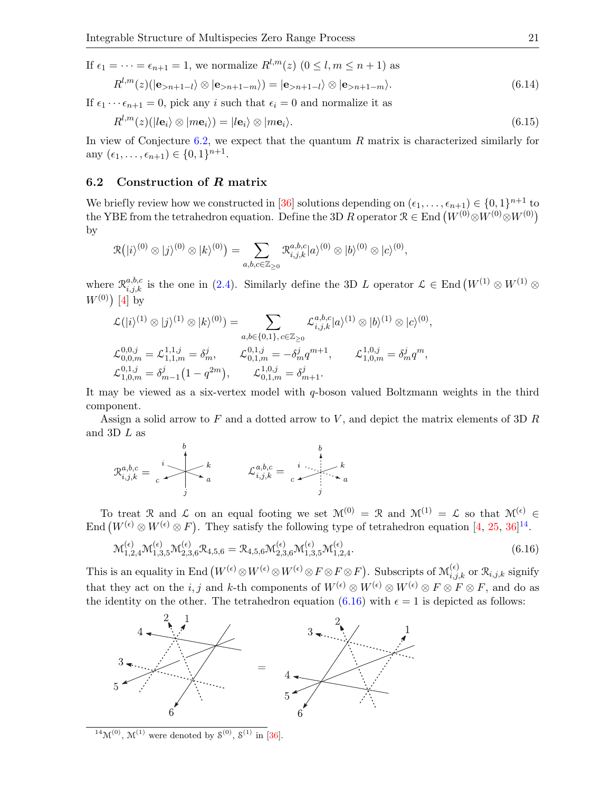If 
$$
\epsilon_1 = \cdots = \epsilon_{n+1} = 1
$$
, we normalize  $R^{l,m}(z)$  ( $0 \le l, m \le n+1$ ) as  
\n
$$
R^{l,m}(z)(|\mathbf{e}_{>n+1-l}\rangle \otimes |\mathbf{e}_{>n+1-m}\rangle) = |\mathbf{e}_{>n+1-l}\rangle \otimes |\mathbf{e}_{>n+1-m}\rangle.
$$
\n(6.14)

If  $\epsilon_1 \cdots \epsilon_{n+1} = 0$ , pick any i such that  $\epsilon_i = 0$  and normalize it as

<span id="page-20-4"></span><span id="page-20-0"></span>
$$
R^{l,m}(z)(|\boldsymbol{le}_i\rangle \otimes |m\mathbf{e}_i\rangle) = |\boldsymbol{le}_i\rangle \otimes |m\mathbf{e}_i\rangle.
$$
\n(6.15)

In view of Conjecture [6.2,](#page-19-4) we expect that the quantum  $R$  matrix is characterized similarly for any  $(\epsilon_1, ..., \epsilon_{n+1}) \in \{0, 1\}^{n+1}$ .

## <span id="page-20-1"></span>6.2 Construction of R matrix

We briefly review how we constructed in [\[36\]](#page-28-10) solutions depending on  $(\epsilon_1, \ldots, \epsilon_{n+1}) \in \{0, 1\}^{n+1}$  to the YBE from the tetrahedron equation. Define the 3D R operator  $\mathcal{R} \in \text{End}(W^{(0)} \otimes W^{(0)} \otimes W^{(0)})$ by

$$
\mathcal{R}( |i\rangle^{(0)} \otimes |j\rangle^{(0)} \otimes |k\rangle^{(0)} ) = \sum_{a,b,c \in \mathbb{Z}_{\geq 0}} \mathcal{R}^{a,b,c}_{i,j,k} |a\rangle^{(0)} \otimes |b\rangle^{(0)} \otimes |c\rangle^{(0)},
$$

where  $\mathcal{R}_{i,j,k}^{a,b,c}$  is the one in [\(2.4\)](#page-2-1). Similarly define the 3D L operator  $\mathcal{L} \in \text{End}\left(W^{(1)} \otimes W^{(1)}\right)$  $W^{(0)}$  [\[4\]](#page-27-11) by

$$
\mathcal{L}(|i\rangle^{(1)} \otimes |j\rangle^{(1)} \otimes |k\rangle^{(0)}) = \sum_{a,b \in \{0,1\}, c \in \mathbb{Z}_{\geq 0}} \mathcal{L}_{i,j,k}^{a,b,c} |a\rangle^{(1)} \otimes |b\rangle^{(1)} \otimes |c\rangle^{(0)},
$$
  

$$
\mathcal{L}_{0,0,m}^{0,0,j} = \mathcal{L}_{1,1,m}^{1,1,j} = \delta_m^j, \qquad \mathcal{L}_{0,1,m}^{0,1,j} = -\delta_m^j q^{m+1}, \qquad \mathcal{L}_{1,0,m}^{1,0,j} = \delta_m^j q^m,
$$
  

$$
\mathcal{L}_{1,0,m}^{0,1,j} = \delta_{m-1}^j (1 - q^{2m}), \qquad \mathcal{L}_{0,1,m}^{1,0,j} = \delta_{m+1}^j.
$$

It may be viewed as a six-vertex model with q-boson valued Boltzmann weights in the third component.

Assign a solid arrow to F and a dotted arrow to V, and depict the matrix elements of 3D  $R$ and 3D L as

$$
\mathfrak{R}_{i,j,k}^{a,b,c} = \begin{array}{c} \begin{matrix} & b \\ c \end{matrix} \\ \begin{matrix} k \\ a \end{matrix} \\ \begin{matrix} k \\ \end{matrix} \\ \begin{matrix} k \\ \end{matrix} \\ \begin{matrix} k \\ \end{matrix} \\ \begin{matrix} k \\ \end{matrix} \\ \begin{matrix} k \\ \end{matrix} \\ \begin{matrix} k \\ \end{matrix} \\ \begin{matrix} k \\ \end{matrix} \\ \begin{matrix} k \\ \end{matrix} \\ \begin{matrix} k \\ \end{matrix} \\ \begin{matrix} k \\ \end{matrix} \\ \begin{matrix} k \\ \end{matrix} \\ \begin{matrix} k \\ \end{matrix} \\ \begin{matrix} k \\ \end{matrix} \\ \begin{matrix} k \\ \end{matrix} \\ \begin{matrix} k \\ \end{matrix} \\ \begin{matrix} k \\ \end{matrix} \\ \begin{matrix} k \\ \end{matrix} \\ \begin{matrix} k \\ \end{matrix} \\ \begin{matrix} k \\ \end{matrix} \\ \begin{matrix} k \\ \end{matrix} \\ \begin{matrix} k \\ \end{matrix} \\ \begin{matrix} k \\ \end{matrix} \\ \begin{matrix} k \\ \end{matrix} \\ \begin{matrix} k \\ \end{matrix} \\ \begin{matrix} k \\ \end{matrix} \\ \begin{matrix} k \\ \end{matrix} \\ \begin{matrix} k \\ \end{matrix} \\ \begin{matrix} k \\ \end{matrix} \\ \begin{matrix} k \\ \end{matrix} \\ \begin{matrix} k \\ \end{matrix} \\ \begin{matrix} k \\ \end{matrix} \\ \begin{matrix} k \\ \end{matrix} \\ \begin{matrix} k \\ \end{matrix} \\ \begin{matrix} k \\ \end{matrix} \\ \begin{matrix} k \\ \end{matrix} \\ \begin{matrix} k \\ \end{matrix} \\ \begin{matrix} k \\ \end{matrix} \\ \begin{matrix} k \\ \end{matrix} \\ \begin{matrix} k \\ \end{matrix} \\ \begin{matrix} k \\ \end{matrix} \\ \begin{matrix} k \\ \end{matrix} \\ \begin{matrix} k \\ \end{matrix} \\ \begin{matrix} k \\ \end{matrix} \\ \begin{matrix} k \\ \end{matrix} \\ \begin{matrix} k \\ \end{matrix} \\ \begin{matrix} k \\ \end{matrix} \\ \begin{matrix} k \\ \end{matrix} \\ \begin{matrix} k \\ \end{matrix} \\ \begin{matrix} k \\ \end{matrix} \\ \begin{matrix} k \\ \end{matrix} \\ \begin{matrix} k \\ \end{matrix} \\ \begin{matrix} k \\ \end{matrix} \\ \begin{matrix} k \\ \end{matrix} \\ \begin{matrix} k \\ \end{matrix} \\ \begin{matrix}
$$

To treat R and L on an equal footing we set  $\mathcal{M}^{(0)} = \mathcal{R}$  and  $\mathcal{M}^{(1)} = \mathcal{L}$  so that  $\mathcal{M}^{(\epsilon)} \in \mathcal{L}$ End  $(W^{(\epsilon)} \otimes W^{(\epsilon)} \otimes F)$ . They satisfy the following type of tetrahedron equation [\[4,](#page-27-11) [25,](#page-27-10) [36\]](#page-28-10)<sup>[14](#page-20-2)</sup>.

<span id="page-20-3"></span>
$$
\mathcal{M}_{1,2,4}^{(\epsilon)} \mathcal{M}_{1,3,5}^{(\epsilon)} \mathcal{M}_{2,3,6}^{(\epsilon)} \mathcal{R}_{4,5,6} = \mathcal{R}_{4,5,6} \mathcal{M}_{2,3,6}^{(\epsilon)} \mathcal{M}_{1,3,5}^{(\epsilon)} \mathcal{M}_{1,2,4}^{(\epsilon)}.
$$
\n(6.16)

This is an equality in End  $(W^{(\epsilon)} \otimes W^{(\epsilon)} \otimes W^{(\epsilon)} \otimes F \otimes F \otimes F)$ . Subscripts of  $\mathcal{M}_{i,j,k}^{(\epsilon)}$  or  $\mathcal{R}_{i,j,k}$  signify that they act on the i, j and k-th components of  $W^{(\epsilon)} \otimes W^{(\epsilon)} \otimes W^{(\epsilon)} \otimes F \otimes F$ , and do as the identity on the other. The tetrahedron equation [\(6.16\)](#page-20-3) with  $\epsilon = 1$  is depicted as follows:



<span id="page-20-2"></span><sup>14</sup>M<sup>(0)</sup>, M<sup>(1)</sup> were denoted by  $S^{(0)}$ ,  $S^{(1)}$  in [\[36\]](#page-28-10).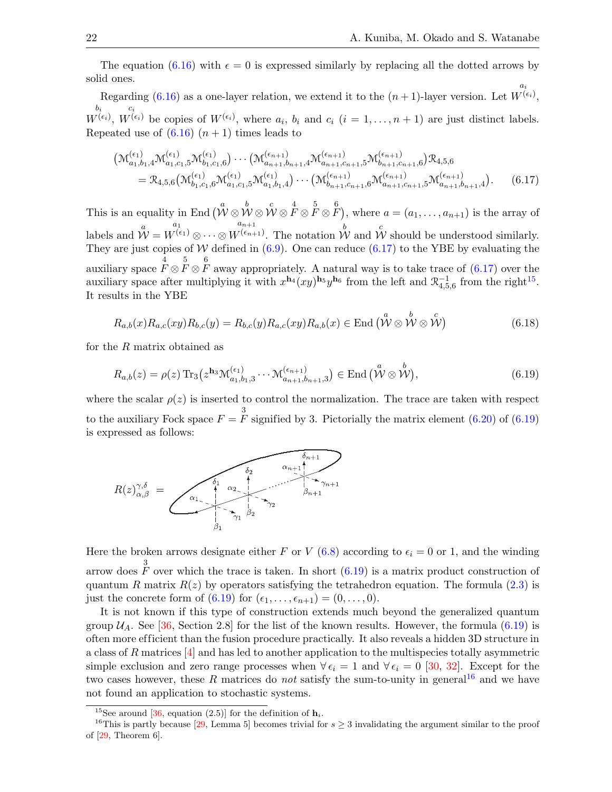The equation [\(6.16\)](#page-20-3) with  $\epsilon = 0$  is expressed similarly by replacing all the dotted arrows by solid ones. ai

Regarding  $(6.16)$  as a one-layer relation, we extend it to the  $(n+1)$ -layer version. Let  $W^{(\epsilon_i)},$  $_{b_i}$  $W^{(\epsilon_i)},$ ci  $W^{(\epsilon_i)}$  be copies of  $W^{(\epsilon_i)}$ , where  $a_i, b_i$  and  $c_i$   $(i = 1, \ldots, n + 1)$  are just distinct labels. Repeated use of  $(6.16)$   $(n+1)$  times leads to

<span id="page-21-1"></span>
$$
\begin{split}\n\left(\mathcal{M}_{a_{1},b_{1},4}^{(\epsilon_{1})}\mathcal{M}_{a_{1},c_{1},5}^{(\epsilon_{1})}\mathcal{M}_{b_{1},c_{1},6}^{(\epsilon_{1})}\right) \cdots\left(\mathcal{M}_{a_{n+1},b_{n+1},4}^{(\epsilon_{n+1})}\mathcal{M}_{a_{n+1},c_{n+1},5}^{(\epsilon_{n+1})}\mathcal{M}_{b_{n+1},c_{n+1},6}^{(\epsilon_{n+1})}\right) & \mathcal{R}_{4,5,6} \\
&= \mathcal{R}_{4,5,6}\left(\mathcal{M}_{b_{1},c_{1},6}^{(\epsilon_{1})}\mathcal{M}_{a_{1},c_{1},5}^{(\epsilon_{1})}\mathcal{M}_{a_{1},b_{1},4}^{(\epsilon_{1})}\right) \cdots\left(\mathcal{M}_{b_{n+1},c_{n+1},6}^{(\epsilon_{n+1})}\mathcal{M}_{a_{n+1},c_{n+1},5}^{(\epsilon_{n+1})}\mathcal{M}_{a_{n+1},b_{n+1},4}^{(\epsilon_{n+1})}\right).\n\end{split} \tag{6.17}
$$

This is an equality in End  $(\stackrel{a}{\mathcal{W}} \otimes \stackrel{b}{\mathcal{W}} \otimes \stackrel{c}{\mathcal{W}} \otimes \stackrel{4}{F} \otimes \stackrel{5}{F} \otimes \stackrel{6}{F}),$  where  $a = (a_1, \ldots, a_{n+1})$  is the array of labels and  $\overset{a}{\mathcal{W}}=$  $a_1$  $W^{(\epsilon_{1})}\otimes\cdots\otimes$  $a_{n+1}$  $W^{(e_{n+1})}$ . The notation  $\overset{b}{\mathcal{W}}$  and  $\overset{c}{\mathcal{W}}$  should be understood similarly. They are just copies of W defined in  $(6.9)$ . One can reduce  $(6.17)$  to the YBE by evaluating the auxiliary space  $\overline{F} \otimes \overline{F} \otimes \overline{F}$  away appropriately. A natural way is to take trace of [\(6.17\)](#page-21-1) over the auxiliary space after multiplying it with  $x^{\mathbf{h}_4}(xy)^{\mathbf{h}_5}y^{\mathbf{h}_6}$  from the left and  $\mathcal{R}_{4,5,6}^{-1}$  from the right<sup>[15](#page-21-2)</sup>. It results in the YBE

<span id="page-21-4"></span>
$$
R_{a,b}(x)R_{a,c}(xy)R_{b,c}(y) = R_{b,c}(y)R_{a,c}(xy)R_{a,b}(x) \in \text{End}\left(\overset{a}{\mathcal{W}}\otimes \overset{b}{\mathcal{W}}\otimes \overset{c}{\mathcal{W}}\right)
$$
(6.18)

for the R matrix obtained as

<span id="page-21-0"></span>
$$
R_{a,b}(z) = \rho(z) \operatorname{Tr}_3(z^{\mathbf{h}_3} \mathcal{M}_{a_1,b_1,3}^{(\epsilon_1)} \cdots \mathcal{M}_{a_{n+1},b_{n+1},3}^{(\epsilon_{n+1})}) \in \text{End}\left(\overset{a}{\mathcal{W}} \otimes \overset{b}{\mathcal{W}}\right),\tag{6.19}
$$

where the scalar  $\rho(z)$  is inserted to control the normalization. The trace are taken with respect to the auxiliary Fock space  $F = \frac{3}{F}$  signified by 3. Pictorially the matrix element [\(6.20\)](#page-22-0) of [\(6.19\)](#page-21-0) is expressed as follows:



Here the broken arrows designate either F or V [\(6.8\)](#page-19-6) according to  $\epsilon_i = 0$  or 1, and the winding arrow does  $\overrightarrow{F}$  over which the trace is taken. In short [\(6.19\)](#page-21-0) is a matrix product construction of quantum R matrix  $R(z)$  by operators satisfying the tetrahedron equation. The formula [\(2.3\)](#page-2-2) is just the concrete form of  $(6.19)$  for  $(\epsilon_1, \ldots, \epsilon_{n+1}) = (0, \ldots, 0)$ .

It is not known if this type of construction extends much beyond the generalized quantum group  $\mathcal{U}_A$ . See [\[36,](#page-28-10) Section 2.8] for the list of the known results. However, the formula [\(6.19\)](#page-21-0) is often more ef ficient than the fusion procedure practically. It also reveals a hidden 3D structure in a class of R matrices [\[4\]](#page-27-11) and has led to another application to the multispecies totally asymmetric simple exclusion and zero range processes when  $\forall \epsilon_i = 1$  and  $\forall \epsilon_i = 0$  [\[30,](#page-28-7) [32\]](#page-28-20). Except for the two cases however, these R matrices do *not* satisfy the sum-to-unity in general<sup>[16](#page-21-3)</sup> and we have not found an application to stochastic systems.

<span id="page-21-3"></span><span id="page-21-2"></span><sup>&</sup>lt;sup>15</sup>See around [\[36,](#page-28-10) equation (2.5)] for the definition of  $h_i$ .

<sup>&</sup>lt;sup>16</sup>This is partly because [\[29,](#page-28-2) Lemma 5] becomes trivial for  $s \geq 3$  invalidating the argument similar to the proof of  $[29,$  Theorem 6.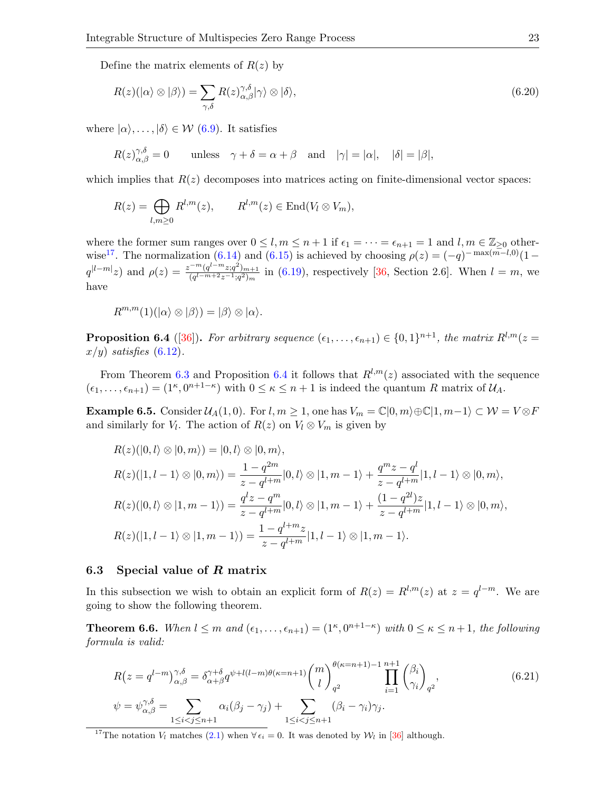Define the matrix elements of  $R(z)$  by

<span id="page-22-0"></span>
$$
R(z)(|\alpha\rangle \otimes |\beta\rangle) = \sum_{\gamma,\delta} R(z)_{\alpha,\beta}^{\gamma,\delta} |\gamma\rangle \otimes |\delta\rangle, \tag{6.20}
$$

where  $|\alpha\rangle, \ldots, |\delta\rangle \in \mathcal{W}$  [\(6.9\)](#page-19-5). It satisfies

$$
R(z)_{\alpha,\beta}^{\gamma,\delta}=0\qquad\text{unless}\quad\gamma+\delta=\alpha+\beta\quad\text{and}\quad|\gamma|=|\alpha|,\quad|\delta|=|\beta|,
$$

which implies that  $R(z)$  decomposes into matrices acting on finite-dimensional vector spaces:

$$
R(z) = \bigoplus_{l,m \geq 0} R^{l,m}(z), \qquad R^{l,m}(z) \in \text{End}(V_l \otimes V_m),
$$

where the former sum ranges over  $0 \leq l, m \leq n+1$  if  $\epsilon_1 = \cdots = \epsilon_{n+1} = 1$  and  $l, m \in \mathbb{Z}_{\geq 0}$  other-wise<sup>[17](#page-22-1)</sup>. The normalization [\(6.14\)](#page-20-4) and [\(6.15\)](#page-20-0) is achieved by choosing  $\rho(z) = (-q)^{-\max(m-l,0)}(1-\frac{1}{z})$  $q^{|l-m|}z$  and  $\rho(z) = \frac{z^{-m}(q^{l-m}z;q^2)_{m+1}}{(q^l-m+2z-1;q^2)}$  $\frac{(q^m-2;q^2)_{m+1}}{(q^{l-m+2}z^{-1};q^2)_m}$  in [\(6.19\)](#page-21-0), respectively [\[36,](#page-28-10) Section 2.6]. When  $l=m$ , we have

$$
R^{m,m}(1)(\ket{\alpha}\otimes\ket{\beta}) = \ket{\beta}\otimes\ket{\alpha}.
$$

<span id="page-22-2"></span>**Proposition 6.4** ([\[36\]](#page-28-10)). For arbitrary sequence  $(\epsilon_1, \ldots, \epsilon_{n+1}) \in \{0,1\}^{n+1}$ , the matrix  $R^{l,m}(z =$  $x/y$ ) satisfies [\(6.12\)](#page-19-0).

From Theorem [6.3](#page-19-7) and Proposition [6.4](#page-22-2) it follows that  $R^{l,m}(z)$  associated with the sequence  $(\epsilon_1,\ldots,\epsilon_{n+1})=(1^{\kappa},0^{n+1-\kappa})$  with  $0\leq\kappa\leq n+1$  is indeed the quantum R matrix of  $\mathcal{U}_A$ .

**Example 6.5.** Consider  $\mathcal{U}_A(1,0)$ . For  $l, m \geq 1$ , one has  $V_m = \mathbb{C}[0,m) \oplus \mathbb{C}[1,m-1] \subset \mathcal{W} = V \otimes F$ and similarly for  $V_l$ . The action of  $R(z)$  on  $V_l \otimes V_m$  is given by

$$
R(z)(|0,l\rangle \otimes |0,m\rangle) = |0,l\rangle \otimes |0,m\rangle,
$$
  
\n
$$
R(z)(|1,l-1\rangle \otimes |0,m\rangle) = \frac{1-q^{2m}}{z-q^{l+m}}|0,l\rangle \otimes |1,m-1\rangle + \frac{q^m z - q^l}{z-q^{l+m}}|1,l-1\rangle \otimes |0,m\rangle,
$$
  
\n
$$
R(z)(|0,l\rangle \otimes |1,m-1\rangle) = \frac{q^l z - q^m}{z-q^{l+m}}|0,l\rangle \otimes |1,m-1\rangle + \frac{(1-q^{2l})z}{z-q^{l+m}}|1,l-1\rangle \otimes |0,m\rangle,
$$
  
\n
$$
R(z)(|1,l-1\rangle \otimes |1,m-1\rangle) = \frac{1-q^{l+m}z}{z-q^{l+m}}|1,l-1\rangle \otimes |1,m-1\rangle.
$$

#### 6.3 Special value of R matrix

In this subsection we wish to obtain an explicit form of  $R(z) = R^{l,m}(z)$  at  $z = q^{l-m}$ . We are going to show the following theorem.

<span id="page-22-4"></span>**Theorem 6.6.** When  $l \leq m$  and  $(\epsilon_1, \ldots, \epsilon_{n+1}) = (1^{\kappa}, 0^{n+1-\kappa})$  with  $0 \leq \kappa \leq n+1$ , the following formula is valid:

<span id="page-22-3"></span>
$$
R(z = q^{l-m})_{\alpha,\beta}^{\gamma,\delta} = \delta_{\alpha+\beta}^{\gamma+\delta} q^{\psi+l(l-m)\theta(\kappa=n+1)} {m \choose l}_{q^2}^{\theta(\kappa=n+1)-1} \prod_{i=1}^{n+1} {\beta_i \choose \gamma_i}_{q^2},
$$
  
\n
$$
\psi = \psi_{\alpha,\beta}^{\gamma,\delta} = \sum_{1 \le i < j \le n+1} \alpha_i (\beta_j - \gamma_j) + \sum_{1 \le i < j \le n+1} (\beta_i - \gamma_i) \gamma_j.
$$
\n
$$
(6.21)
$$

<span id="page-22-1"></span><sup>17</sup>The notation  $V_l$  matches [\(2.1\)](#page-2-3) when  $\forall \epsilon_i = 0$ . It was denoted by  $\mathcal{W}_l$  in [\[36\]](#page-28-10) although.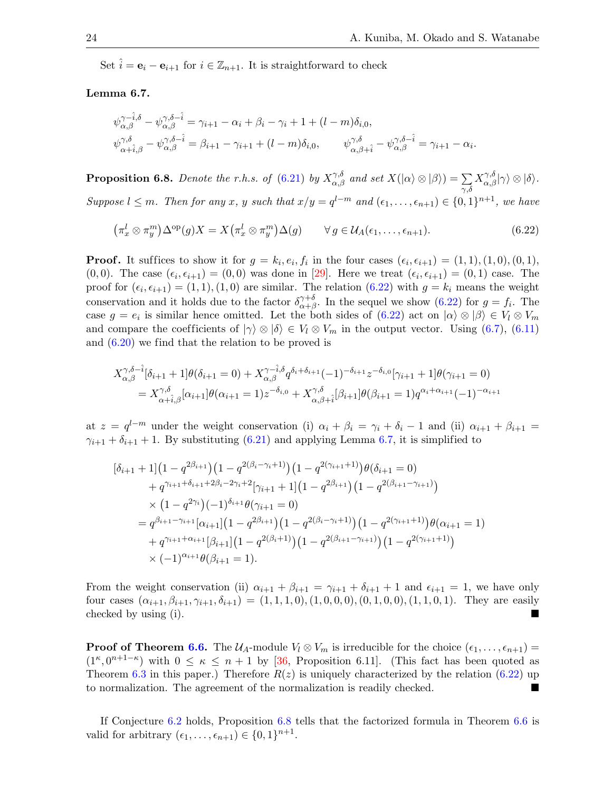Set  $\hat{i} = e_i - e_{i+1}$  for  $i \in \mathbb{Z}_{n+1}$ . It is straightforward to check

## <span id="page-23-1"></span>Lemma 6.7.

$$
\psi_{\alpha,\beta}^{\gamma-\hat{i},\delta} - \psi_{\alpha,\beta}^{\gamma,\delta-\hat{i}} = \gamma_{i+1} - \alpha_i + \beta_i - \gamma_i + 1 + (l - m)\delta_{i,0},
$$
  

$$
\psi_{\alpha+\hat{i},\beta}^{\gamma,\delta} - \psi_{\alpha,\beta}^{\gamma,\delta-\hat{i}} = \beta_{i+1} - \gamma_{i+1} + (l - m)\delta_{i,0}, \qquad \psi_{\alpha,\beta+\hat{i}}^{\gamma,\delta} - \psi_{\alpha,\beta}^{\gamma,\delta-\hat{i}} = \gamma_{i+1} - \alpha_i.
$$

<span id="page-23-2"></span>**Proposition 6.8.** Denote the r.h.s. of [\(6.21\)](#page-22-3) by  $X^{\gamma,\delta}_{\alpha,\beta}$  and set  $X(|\alpha\rangle \otimes |\beta\rangle) = \sum_{\gamma,\delta}$  $X_{\alpha,\beta}^{\gamma,\delta}|\gamma\rangle \otimes |\delta\rangle.$ Suppose  $l \leq m$ . Then for any x, y such that  $x/y = q^{l-m}$  and  $(\epsilon_1, \ldots, \epsilon_{n+1}) \in \{0,1\}^{n+1}$ , we have

<span id="page-23-0"></span>
$$
\left(\pi_x^l \otimes \pi_y^m\right) \Delta^{\text{op}}(g) X = X \left(\pi_x^l \otimes \pi_y^m\right) \Delta(g) \qquad \forall g \in \mathcal{U}_A(\epsilon_1, \dots, \epsilon_{n+1}).\tag{6.22}
$$

**Proof.** It suffices to show it for  $g = k_i, e_i, f_i$  in the four cases  $(\epsilon_i, \epsilon_{i+1}) = (1, 1), (1, 0), (0, 1),$  $(0,0)$ . The case  $(\epsilon_i, \epsilon_{i+1}) = (0,0)$  was done in [\[29\]](#page-28-2). Here we treat  $(\epsilon_i, \epsilon_{i+1}) = (0,1)$  case. The proof for  $(\epsilon_i, \epsilon_{i+1}) = (1, 1), (1, 0)$  are similar. The relation  $(6.22)$  with  $g = k_i$  means the weight conservation and it holds due to the factor  $\delta^{\gamma+\delta}_{\alpha+\beta}$  $\alpha+\beta$ . In the sequel we show  $(6.22)$  for  $g = f_i$ . The case  $g = e_i$  is similar hence omitted. Let the both sides of  $(6.22)$  act on  $|\alpha\rangle \otimes |\beta\rangle \in V_l \otimes V_m$ and compare the coefficients of  $|\gamma\rangle \otimes |\delta\rangle \in V_l \otimes V_m$  in the output vector. Using [\(6.7\)](#page-19-8), [\(6.11\)](#page-19-3) and  $(6.20)$  we find that the relation to be proved is

$$
X_{\alpha,\beta}^{\gamma,\delta-\hat{i}}[\delta_{i+1}+1] \theta(\delta_{i+1}=0) + X_{\alpha,\beta}^{\gamma-\hat{i},\delta} q^{\delta_i+\delta_{i+1}} (-1)^{-\delta_{i+1}} z^{-\delta_{i,0}} [\gamma_{i+1}+1] \theta(\gamma_{i+1}=0)
$$
  
=  $X_{\alpha+\hat{i},\beta}^{\gamma,\delta} [\alpha_{i+1}] \theta(\alpha_{i+1}=1) z^{-\delta_{i,0}} + X_{\alpha,\beta+\hat{i}}^{\gamma,\delta} [\beta_{i+1}] \theta(\beta_{i+1}=1) q^{\alpha_i+\alpha_{i+1}} (-1)^{-\alpha_{i+1}}$ 

at  $z = q^{l-m}$  under the weight conservation (i)  $\alpha_i + \beta_i = \gamma_i + \delta_i - 1$  and (ii)  $\alpha_{i+1} + \beta_{i+1} =$  $\gamma_{i+1} + \delta_{i+1} + 1$ . By substituting [\(6.21\)](#page-22-3) and applying Lemma [6.7,](#page-23-1) it is simplified to

$$
\begin{split}\n&\left[\delta_{i+1}+1\right]\left(1-q^{2\beta_{i+1}}\right)\left(1-q^{2(\beta_i-\gamma_i+1)}\right)\left(1-q^{2(\gamma_{i+1}+1)}\right)\theta(\delta_{i+1}=0) \\
&+q^{\gamma_{i+1}+\delta_{i+1}+2\beta_i-2\gamma_i+2}\left[\gamma_{i+1}+1\right]\left(1-q^{2\beta_{i+1}}\right)\left(1-q^{2(\beta_{i+1}-\gamma_{i+1})}\right) \\
&\times\left(1-q^{2\gamma_i}\right)(-1)^{\delta_{i+1}}\theta(\gamma_{i+1}=0) \\
&=q^{\beta_{i+1}-\gamma_{i+1}}\left[\alpha_{i+1}\right]\left(1-q^{2\beta_{i+1}}\right)\left(1-q^{2(\beta_i-\gamma_i+1)}\right)\left(1-q^{2(\gamma_{i+1}+1)}\right)\theta(\alpha_{i+1}=1) \\
&+q^{\gamma_{i+1}+\alpha_{i+1}}\left[\beta_{i+1}\right]\left(1-q^{2(\beta_i+1)}\right)\left(1-q^{2(\beta_{i+1}-\gamma_{i+1})}\right)\left(1-q^{2(\gamma_{i+1}+1)}\right) \\
&\times(-1)^{\alpha_{i+1}}\theta(\beta_{i+1}=1).\n\end{split}
$$

From the weight conservation (ii)  $\alpha_{i+1} + \beta_{i+1} = \gamma_{i+1} + \delta_{i+1} + 1$  and  $\epsilon_{i+1} = 1$ , we have only four cases  $(\alpha_{i+1}, \beta_{i+1}, \gamma_{i+1}, \delta_{i+1}) = (1, 1, 1, 0), (1, 0, 0, 0), (0, 1, 0, 0), (1, 1, 0, 1).$  They are easily checked by using (i).

**Proof of Theorem [6.6.](#page-22-4)** The  $U_A$ -module  $V_l \otimes V_m$  is irreducible for the choice  $(\epsilon_1, \ldots, \epsilon_{n+1}) =$  $(1^{\kappa}, 0^{n+1-\kappa})$  with  $0 \leq \kappa \leq n+1$  by [\[36,](#page-28-10) Proposition 6.11]. (This fact has been quoted as Theorem [6.3](#page-19-7) in this paper.) Therefore  $R(z)$  is uniquely characterized by the relation [\(6.22\)](#page-23-0) up to normalization. The agreement of the normalization is readily checked.

If Conjecture [6.2](#page-19-4) holds, Proposition [6.8](#page-23-2) tells that the factorized formula in Theorem [6.6](#page-22-4) is valid for arbitrary  $(\epsilon_1, \ldots, \epsilon_{n+1}) \in \{0, 1\}^{n+1}$ .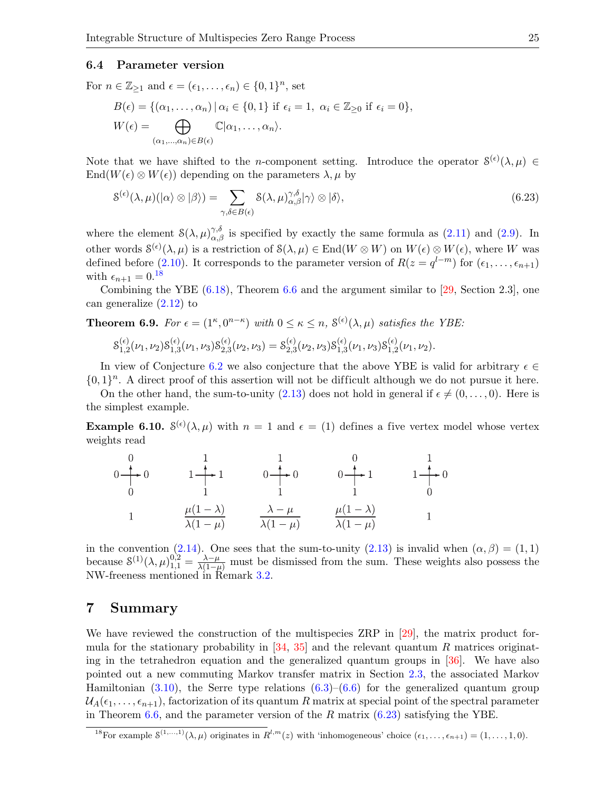#### 6.4 Parameter version

For  $n \in \mathbb{Z}_{\geq 1}$  and  $\epsilon = (\epsilon_1, \ldots, \epsilon_n) \in \{0, 1\}^n$ , set

$$
B(\epsilon) = \{(\alpha_1, \dots, \alpha_n) | \alpha_i \in \{0, 1\} \text{ if } \epsilon_i = 1, \ \alpha_i \in \mathbb{Z}_{\geq 0} \text{ if } \epsilon_i = 0\},
$$
  

$$
W(\epsilon) = \bigoplus_{(\alpha_1, \dots, \alpha_n) \in B(\epsilon)} \mathbb{C}|\alpha_1, \dots, \alpha_n\rangle.
$$

Note that we have shifted to the *n*-component setting. Introduce the operator  $S^{(\epsilon)}(\lambda,\mu) \in$  $\text{End}(W(\epsilon) \otimes W(\epsilon))$  depending on the parameters  $\lambda, \mu$  by

<span id="page-24-2"></span>
$$
\mathcal{S}^{(\epsilon)}(\lambda,\mu)(\ket{\alpha}\otimes\ket{\beta}) = \sum_{\gamma,\delta\in B(\epsilon)} \mathcal{S}(\lambda,\mu)_{\alpha,\beta}^{\gamma,\delta}|\gamma\rangle \otimes |\delta\rangle,\tag{6.23}
$$

where the element  $\mathcal{S}(\lambda, \mu)_{\alpha,\beta}^{\gamma,\delta}$  is specified by exactly the same formula as [\(2.11\)](#page-4-3) and [\(2.9\)](#page-3-4). In other words  $S^{(\epsilon)}(\lambda,\mu)$  is a restriction of  $S(\lambda,\mu) \in \text{End}(W \otimes W)$  on  $W(\epsilon) \otimes W(\epsilon)$ , where W was defined before [\(2.10\)](#page-4-1). It corresponds to the parameter version of  $R(z = q^{l-m})$  for  $(\epsilon_1, \ldots, \epsilon_{n+1})$ with  $\epsilon_{n+1} = 0.18$  $\epsilon_{n+1} = 0.18$ 

Combining the YBE  $(6.18)$ , Theorem  $6.6$  and the argument similar to [\[29,](#page-28-2) Section 2.3], one can generalize [\(2.12\)](#page-4-5) to

**Theorem 6.9.** For  $\epsilon = (1^{\kappa}, 0^{n-\kappa})$  with  $0 \leq \kappa \leq n$ ,  $S^{(\epsilon)}(\lambda, \mu)$  satisfies the YBE:

$$
\mathcal{S}_{1,2}^{(\epsilon)}(\nu_1,\nu_2)\mathcal{S}_{1,3}^{(\epsilon)}(\nu_1,\nu_3)\mathcal{S}_{2,3}^{(\epsilon)}(\nu_2,\nu_3)=\mathcal{S}_{2,3}^{(\epsilon)}(\nu_2,\nu_3)\mathcal{S}_{1,3}^{(\epsilon)}(\nu_1,\nu_3)\mathcal{S}_{1,2}^{(\epsilon)}(\nu_1,\nu_2).
$$

In view of Conjecture [6.2](#page-19-4) we also conjecture that the above YBE is valid for arbitrary  $\epsilon \in$  $\{0,1\}^n$ . A direct proof of this assertion will not be difficult although we do not pursue it here.

On the other hand, the sum-to-unity [\(2.13\)](#page-4-2) does not hold in general if  $\epsilon \neq (0, \ldots, 0)$ . Here is the simplest example.

**Example 6.10.**  $S^{(\epsilon)}(\lambda,\mu)$  with  $n=1$  and  $\epsilon=(1)$  defines a five vertex model whose vertex weights read

$$
0 \longrightarrow 0 \qquad 1 \longrightarrow 1 \qquad 0 \longrightarrow 0 \qquad 0 \longrightarrow 1 \qquad 1 \longrightarrow 0
$$
  
\n
$$
1 \qquad \frac{\mu(1-\lambda)}{\lambda(1-\mu)} \qquad \frac{\lambda-\mu}{\lambda(1-\mu)} \qquad \frac{\mu(1-\lambda)}{\lambda(1-\mu)} \qquad 1
$$

in the convention [\(2.14\)](#page-4-0). One sees that the sum-to-unity [\(2.13\)](#page-4-2) is invalid when  $(\alpha, \beta) = (1, 1)$ because  $S^{(1)}(\lambda, \mu)_{1,1}^{0,2} = \frac{\lambda - \mu}{\lambda(1 - \mu)}$  must be dismissed from the sum. These weights also possess the NW-freeness mentioned in Remark [3.2.](#page-7-2)

# <span id="page-24-0"></span>7 Summary

We have reviewed the construction of the multispecies ZRP in [\[29\]](#page-28-2), the matrix product formula for the stationary probability in  $[34, 35]$  $[34, 35]$  and the relevant quantum R matrices originating in the tetrahedron equation and the generalized quantum groups in [\[36\]](#page-28-10). We have also pointed out a new commuting Markov transfer matrix in Section [2.3,](#page-5-0) the associated Markov Hamiltonian  $(3.10)$ , the Serre type relations  $(6.3)-(6.6)$  $(6.3)-(6.6)$  for the generalized quantum group  $U_A(\epsilon_1,\ldots,\epsilon_{n+1}),$  factorization of its quantum R matrix at special point of the spectral parameter in Theorem [6.6,](#page-22-4) and the parameter version of the R matrix  $(6.23)$  satisfying the YBE.

<span id="page-24-1"></span><sup>&</sup>lt;sup>18</sup>For example  $\mathcal{S}^{(1,...,1)}(\lambda,\mu)$  originates in  $R^{l,m}(z)$  with 'inhomogeneous' choice  $(\epsilon_1,\ldots,\epsilon_{n+1})=(1,\ldots,1,0)$ .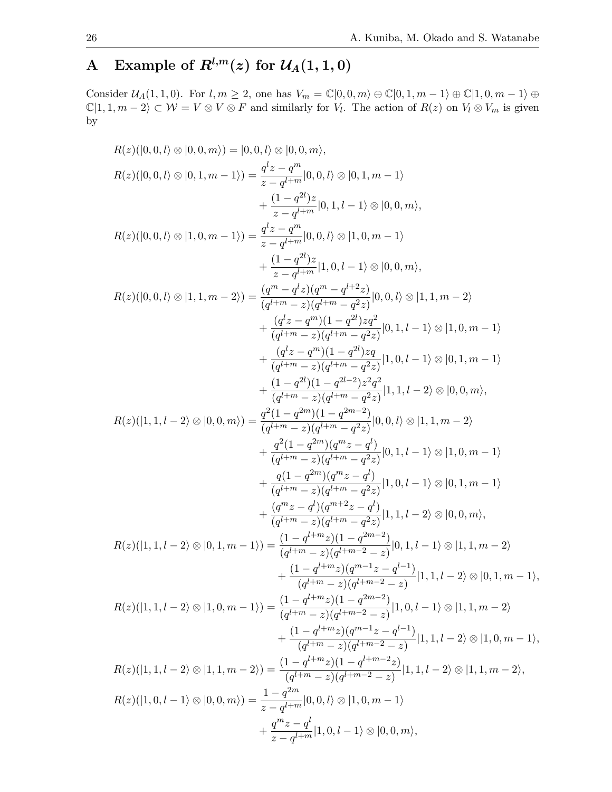# <span id="page-25-0"></span>A Example of  $R^{l,m}(z)$  for  $\mathcal{U}_A(1,1,0)$

Consider  $\mathcal{U}_A(1,1,0)$ . For  $l, m \geq 2$ , one has  $V_m = \mathbb{C}[0,0,m) \oplus \mathbb{C}[0,1,m-1] \oplus \mathbb{C}[1,0,m-1] \oplus$  $\mathbb{C}|1, 1, m-2\rangle \subset \mathcal{W} = V \otimes V \otimes F$  and similarly for  $V_l$ . The action of  $R(z)$  on  $V_l \otimes V_m$  is given by

$$
R(z)(|0,0,l)\otimes |0,0,m\rangle) = |0,0,l\rangle\otimes |0,0,m\rangle,
$$
  
\n
$$
R(z)(|0,0,l)\otimes |0,1,m-1\rangle) = \frac{q^{z}_{z}-q^{m}}{z-q^{l+m}}|0,0,l\rangle\otimes |0,1,m-1\rangle
$$
  
\n
$$
+\frac{(1-q^{2l})}{z-q^{l+m}}|0,0,l\rangle\otimes |1,0,m-1\rangle
$$
  
\n
$$
R(z)(|0,0,l)\otimes |1,0,m-1\rangle) = \frac{q^{z}_{z}-q^{m}}{z-q^{l+m}}|0,0,l\rangle\otimes |1,0,m-1\rangle
$$
  
\n
$$
+ \frac{(1-q^{2l})z}{z-q^{l+m}}|1,0,l-1\rangle\otimes |0,0,m\rangle,
$$
  
\n
$$
R(z)(|0,0,l\rangle\otimes |1,1,m-2\rangle) = \frac{(q^{m}-q^{z})q^{m}-q^{l+2}z}{(q^{l+m}-z)(q^{l+m}-q^{2}z)}|0,0,l\rangle\otimes |1,1,m-2\rangle
$$
  
\n
$$
+ \frac{(q^{l}z-q^{m})(1-q^{2l})zq}{(q^{l+m}-z)(q^{l+m}-q^{2}z)}|0,1,l-1\rangle\otimes |1,0,m-1\rangle
$$
  
\n
$$
+ \frac{(q^{l}z-q^{m})(1-q^{2l})zq}{(q^{l+m}-z)(q^{l+m}-q^{2}z)}|1,0,l-1\rangle\otimes |1,0,m-1\rangle
$$
  
\n
$$
+ \frac{(1-q^{2l})(1-q^{2l})zq}{(q^{l+m}-z)(q^{l+m}-q^{2}z)}|1,0,l-1\rangle\otimes |0,0,m\rangle,
$$
  
\n
$$
R(z)(|1,1,l-2\rangle\otimes |0,0,m\rangle) = \frac{q^{2}(1-q^{2m})(1-q^{2m}-2)}{(q^{l+m}-q^{2}z)}|0,0,l\rangle\otimes |1,1,m-2\rangle
$$
  
\n
$$
+ \frac{q^{2}(1-q^{2m})(q^{m}z-q^{l})}{(q^{l+m}-z)(q^{l+m}-q^{2}z)}|0,0,l\rangle\otimes |1,1,m-2\rangle
$$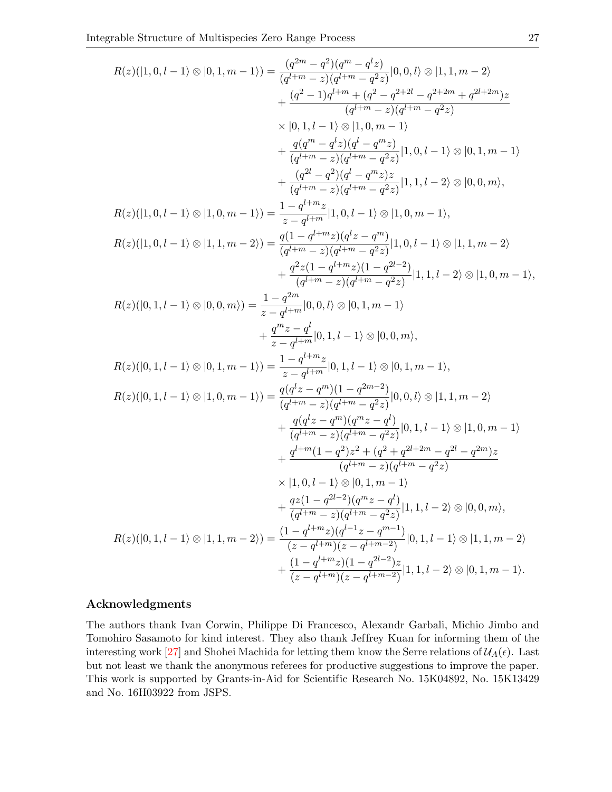$$
R(z)(|1,0,l-1\rangle\otimes|0,1,m-1\rangle)=\frac{(q^{2m}-q^2)(q^m-q^2z)}{(q^{l+m}-z)(q^{l+m}-q^2z)}|0,0,l\rangle\otimes|1,1,m-2\rangle\\ \hspace{1.0in}+\frac{(q^2-1)q^{l+m}+(q^2-q^{2+2l}-q^{2+2m}+q^{2l+2m})z}{(q^{l+m}-z)(q^{l+m}-q^2z)}\\ \hspace{1.0in} \times|0,1,l-1\rangle\otimes|1,0,l-1\rangle\otimes|0,1,m-1\rangle\\ \hspace{1.0in}+\frac{q(q^m-q^lz)(q^l-q^mz)}{(q^{l+m}-z)(q^{l+m}-q^2z)}|1,0,l-1\rangle\otimes|0,1,m-1\rangle\\ \hspace{1.0in}+\frac{(q^2-q^2)(q^l-q^mz)z}{(q^{l+m}-z)(q^{l+m}-q^2z)}|1,1,l-2\rangle\otimes|0,0,m\rangle,\\ R(z)(|1,0,l-1\rangle\otimes|1,0,m-1\rangle)=\frac{1-q^{l+m}z}{z-q^{l+m}z}|1,0,l-1\rangle\otimes|1,0,m-1\rangle,\\ R(z)(|1,0,l-1\rangle\otimes|1,1,m-2\rangle)=\frac{q(1-q^{l+m}z)(q^lz-q^m)}{(q^{l+m}-z)(q^{l+m}-q^2z)}|1,0,l-1\rangle\otimes|1,1,m-2\rangle\\ \hspace{1.0in}+\frac{q^2z(1-q^{l+m}z)(1-q^{2l-2})}{(q^{l+m}-z)(q^{l+m}-q^2z)}|1,1,l-2\rangle\otimes|1,0,m-1\rangle,\\ R(z)(|0,1,l-1\rangle\otimes|0,0,m\rangle)=\frac{1-q^{2m}}{z-q^{l+m}}|0,0,l\rangle\otimes|0,1,m-1\rangle\\ \hspace{1.0in}+\frac{q^mz-q^l}{z-q^{l+m}}|0,1,l-1\rangle\otimes|0,0,m\rangle,\\ R(z)(|0,1,l-1\rangle\otimes|0,1,m-1\rangle)=\frac{q(q^lz-q^m)(1-q^{2m-2})}{(q^{l+m}-z)(q^{l+m}-q^2z)}|0,0,l\rangle\otimes|1,1,m-2\rangle\\ \hspace{1.
$$

### Acknowledgments

The authors thank Ivan Corwin, Philippe Di Francesco, Alexandr Garbali, Michio Jimbo and Tomohiro Sasamoto for kind interest. They also thank Jeffrey Kuan for informing them of the interesting work [\[27\]](#page-28-11) and Shohei Machida for letting them know the Serre relations of  $\mathcal{U}_A(\epsilon)$ . Last but not least we thank the anonymous referees for productive suggestions to improve the paper. This work is supported by Grants-in-Aid for Scientific Research No. 15K04892, No. 15K13429 and No. 16H03922 from JSPS.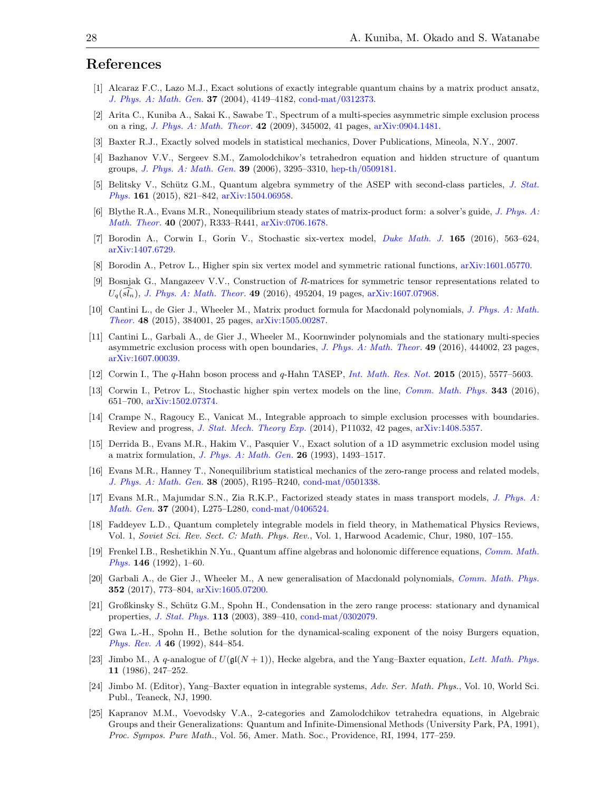# References

- <span id="page-27-5"></span>[1] Alcaraz F.C., Lazo M.J., Exact solutions of exactly integrable quantum chains by a matrix product ansatz, [J. Phys. A: Math. Gen.](https://doi.org/10.1088/0305-4470/37/14/001) 37 (2004), 4149–4182, [cond-mat/0312373.](https://arxiv.org/abs/cond-mat/0312373)
- <span id="page-27-19"></span>[2] Arita C., Kuniba A., Sakai K., Sawabe T., Spectrum of a multi-species asymmetric simple exclusion process on a ring, [J. Phys. A: Math. Theor.](https://doi.org/10.1088/1751-8113/42/34/345002) 42 (2009), 345002, 41 pages, [arXiv:0904.1481.](https://arxiv.org/abs/0904.1481)
- <span id="page-27-2"></span>[3] Baxter R.J., Exactly solved models in statistical mechanics, Dover Publications, Mineola, N.Y., 2007.
- <span id="page-27-11"></span>[4] Bazhanov V.V., Sergeev S.M., Zamolodchikov's tetrahedron equation and hidden structure of quantum groups, [J. Phys. A: Math. Gen.](https://doi.org/10.1088/0305-4470/39/13/009) 39 (2006), 3295–3310, [hep-th/0509181.](https://arxiv.org/abs/hep-th/0509181)
- <span id="page-27-13"></span>[5] Belitsky V., Schütz G.M., Quantum algebra symmetry of the ASEP with second-class particles, [J. Stat.](https://doi.org/10.1007/s10955-015-1363-1) [Phys.](https://doi.org/10.1007/s10955-015-1363-1) 161 (2015), 821–842, [arXiv:1504.06958.](https://arxiv.org/abs/1504.06958)
- <span id="page-27-6"></span>[6] Blythe R.A., Evans M.R., Nonequilibrium steady states of matrix-product form: a solver's guide, [J. Phys. A:](https://doi.org/10.1088/1751-8113/40/46/R01) [Math. Theor.](https://doi.org/10.1088/1751-8113/40/46/R01) 40 (2007), R333–R441, [arXiv:0706.1678.](https://arxiv.org/abs/0706.1678)
- <span id="page-27-14"></span>[7] Borodin A., Corwin I., Gorin V., Stochastic six-vertex model, [Duke Math. J.](https://doi.org/10.1215/00127094-3166843) 165 (2016), 563–624, [arXiv:1407.6729.](https://arxiv.org/abs/1407.6729)
- <span id="page-27-15"></span>[8] Borodin A., Petrov L., Higher spin six vertex model and symmetric rational functions, [arXiv:1601.05770.](https://arxiv.org/abs/1601.05770)
- <span id="page-27-12"></span>[9] Bosnjak G., Mangazeev V.V., Construction of R-matrices for symmetric tensor representations related to  $U_q(sl_n)$ , [J. Phys. A: Math. Theor.](https://doi.org/10.1088/1751-8113/49/49/495204) 49 (2016), 495204, 19 pages, [arXiv:1607.07968.](https://arxiv.org/abs/1607.07968)
- <span id="page-27-7"></span>[10] Cantini L., de Gier J., Wheeler M., Matrix product formula for Macdonald polynomials, [J. Phys. A: Math.](https://doi.org/10.1088/1751-8113/48/38/384001) [Theor.](https://doi.org/10.1088/1751-8113/48/38/384001) 48 (2015), 384001, 25 pages, [arXiv:1505.00287.](https://arxiv.org/abs/1505.00287)
- <span id="page-27-24"></span>[11] Cantini L., Garbali A., de Gier J., Wheeler M., Koornwinder polynomials and the stationary multi-species asymmetric exclusion process with open boundaries, [J. Phys. A: Math. Theor.](https://doi.org/10.1088/1751-8113/49/44/444002)  $49$  (2016), 444002, 23 pages, [arXiv:1607.00039.](https://arxiv.org/abs/1607.00039)
- <span id="page-27-16"></span>[12] Corwin I., The q-Hahn boson process and q-Hahn TASEP, *[Int. Math. Res. Not.](https://doi.org/10.1093/imrn/rnu094)* **2015** (2015), 5577–5603.
- <span id="page-27-17"></span>[13] Corwin I., Petrov L., Stochastic higher spin vertex models on the line, [Comm. Math. Phys.](https://doi.org/10.1007/s00220-015-2479-5) 343 (2016), 651–700, [arXiv:1502.07374.](https://arxiv.org/abs/1502.07374)
- <span id="page-27-8"></span>[14] Crampe N., Ragoucy E., Vanicat M., Integrable approach to simple exclusion processes with boundaries. Review and progress, [J. Stat. Mech. Theory Exp.](https://doi.org/10.1088/1742-5468/2014/11/P11032) (2014), P11032, 42 pages, [arXiv:1408.5357.](https://arxiv.org/abs/1408.5357)
- <span id="page-27-9"></span>[15] Derrida B., Evans M.R., Hakim V., Pasquier V., Exact solution of a 1D asymmetric exclusion model using a matrix formulation, [J. Phys. A: Math. Gen.](https://doi.org/10.1088/0305-4470/26/7/011) 26 (1993), 1493–1517.
- <span id="page-27-0"></span>[16] Evans M.R., Hanney T., Nonequilibrium statistical mechanics of the zero-range process and related models, [J. Phys. A: Math. Gen.](https://doi.org/10.1088/0305-4470/38/19/R01) 38 (2005), R195–R240, [cond-mat/0501338.](https://arxiv.org/abs/cond-mat/0501338)
- <span id="page-27-21"></span>[17] Evans M.R., Majumdar S.N., Zia R.K.P., Factorized steady states in mass transport models, [J. Phys. A:](https://doi.org/10.1088/0305-4470/37/25/L02) [Math. Gen.](https://doi.org/10.1088/0305-4470/37/25/L02) 37 (2004), L275–L280, [cond-mat/0406524.](https://arxiv.org/abs/cond-mat/0406524)
- <span id="page-27-4"></span>[18] Faddeyev L.D., Quantum completely integrable models in field theory, in Mathematical Physics Reviews, Vol. 1, Soviet Sci. Rev. Sect. C: Math. Phys. Rev., Vol. 1, Harwood Academic, Chur, 1980, 107–155.
- <span id="page-27-23"></span>[19] Frenkel I.B., Reshetikhin N.Yu., Quantum affine algebras and holonomic difference equations, [Comm. Math.](https://doi.org/10.1007/BF02099206) [Phys.](https://doi.org/10.1007/BF02099206) 146 (1992), 1–60.
- <span id="page-27-20"></span>[20] Garbali A., de Gier J., Wheeler M., A new generalisation of Macdonald polynomials, [Comm. Math. Phys.](https://doi.org/10.1007/s00220-016-2818-1) 352 (2017), 773–804, [arXiv:1605.07200.](https://arxiv.org/abs/1605.07200)
- <span id="page-27-1"></span>[21] Großkinsky S., Schütz G.M., Spohn H., Condensation in the zero range process: stationary and dynamical properties, [J. Stat. Phys.](https://doi.org/10.1023/A:1026008532442) 113 (2003), 389–410, [cond-mat/0302079.](https://arxiv.org/abs/cond-mat/0302079)
- <span id="page-27-18"></span>[22] Gwa L.-H., Spohn H., Bethe solution for the dynamical-scaling exponent of the noisy Burgers equation, [Phys. Rev. A](https://doi.org/10.1103/PhysRevA.46.844) 46 (1992), 844–854.
- <span id="page-27-22"></span>[23] Jimbo M., A q-analogue of  $U(\mathfrak{gl}(N+1))$ , Hecke algebra, and the Yang–Baxter equation, [Lett. Math. Phys.](https://doi.org/10.1007/BF00400222) 11 (1986), 247–252.
- <span id="page-27-3"></span>[24] Jimbo M. (Editor), Yang–Baxter equation in integrable systems, Adv. Ser. Math. Phys., Vol. 10, World Sci. Publ., Teaneck, NJ, 1990.
- <span id="page-27-10"></span>[25] Kapranov M.M., Voevodsky V.A., 2-categories and Zamolodchikov tetrahedra equations, in Algebraic Groups and their Generalizations: Quantum and Infinite-Dimensional Methods (University Park, PA, 1991), Proc. Sympos. Pure Math., Vol. 56, Amer. Math. Soc., Providence, RI, 1994, 177–259.